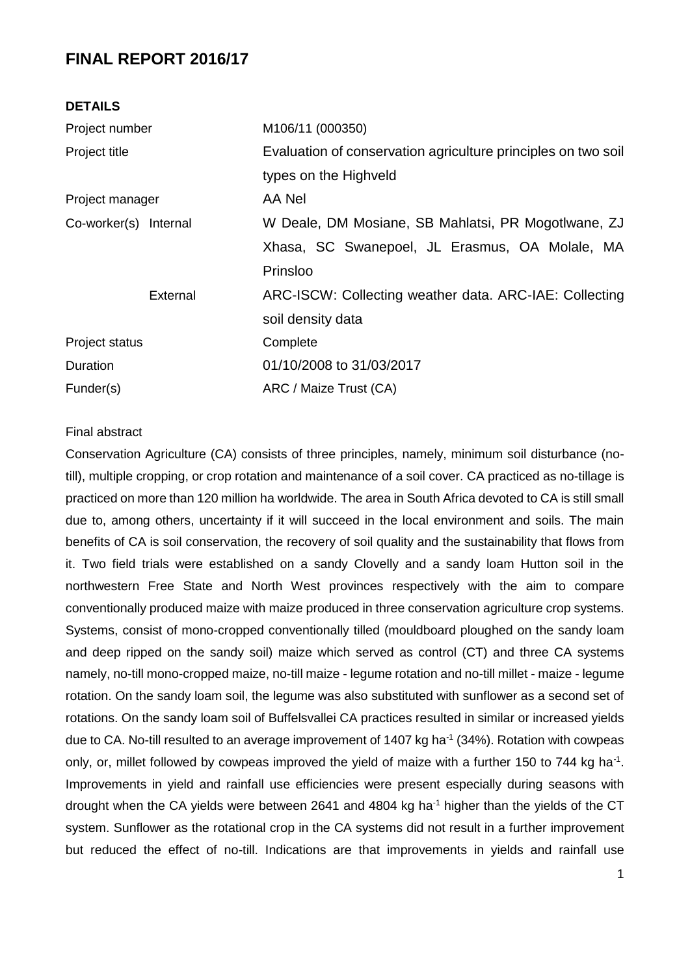# **FINAL REPORT 2016/17**

| <b>DETAILS</b>        |                                                               |  |  |  |  |
|-----------------------|---------------------------------------------------------------|--|--|--|--|
| Project number        | M106/11 (000350)                                              |  |  |  |  |
| Project title         | Evaluation of conservation agriculture principles on two soil |  |  |  |  |
|                       | types on the Highveld                                         |  |  |  |  |
| Project manager       | AA Nel                                                        |  |  |  |  |
| Co-worker(s) Internal | W Deale, DM Mosiane, SB Mahlatsi, PR Mogotlwane, ZJ           |  |  |  |  |
|                       | Xhasa, SC Swanepoel, JL Erasmus, OA Molale, MA                |  |  |  |  |
|                       | Prinsloo                                                      |  |  |  |  |
| External              | ARC-ISCW: Collecting weather data. ARC-IAE: Collecting        |  |  |  |  |
|                       | soil density data                                             |  |  |  |  |
| Project status        | Complete                                                      |  |  |  |  |
| Duration              | 01/10/2008 to 31/03/2017                                      |  |  |  |  |
| Funder(s)             | ARC / Maize Trust (CA)                                        |  |  |  |  |
|                       |                                                               |  |  |  |  |

#### Final abstract

Conservation Agriculture (CA) consists of three principles, namely, minimum soil disturbance (notill), multiple cropping, or crop rotation and maintenance of a soil cover. CA practiced as no-tillage is practiced on more than 120 million ha worldwide. The area in South Africa devoted to CA is still small due to, among others, uncertainty if it will succeed in the local environment and soils. The main benefits of CA is soil conservation, the recovery of soil quality and the sustainability that flows from it. Two field trials were established on a sandy Clovelly and a sandy loam Hutton soil in the northwestern Free State and North West provinces respectively with the aim to compare conventionally produced maize with maize produced in three conservation agriculture crop systems. Systems, consist of mono-cropped conventionally tilled (mouldboard ploughed on the sandy loam and deep ripped on the sandy soil) maize which served as control (CT) and three CA systems namely, no-till mono-cropped maize, no-till maize - legume rotation and no-till millet - maize - legume rotation. On the sandy loam soil, the legume was also substituted with sunflower as a second set of rotations. On the sandy loam soil of Buffelsvallei CA practices resulted in similar or increased yields due to CA. No-till resulted to an average improvement of 1407 kg ha<sup>-1</sup> (34%). Rotation with cowpeas only, or, millet followed by cowpeas improved the yield of maize with a further 150 to 744 kg ha<sup>-1</sup>. Improvements in yield and rainfall use efficiencies were present especially during seasons with drought when the CA yields were between 2641 and 4804 kg ha<sup>-1</sup> higher than the yields of the CT system. Sunflower as the rotational crop in the CA systems did not result in a further improvement but reduced the effect of no-till. Indications are that improvements in yields and rainfall use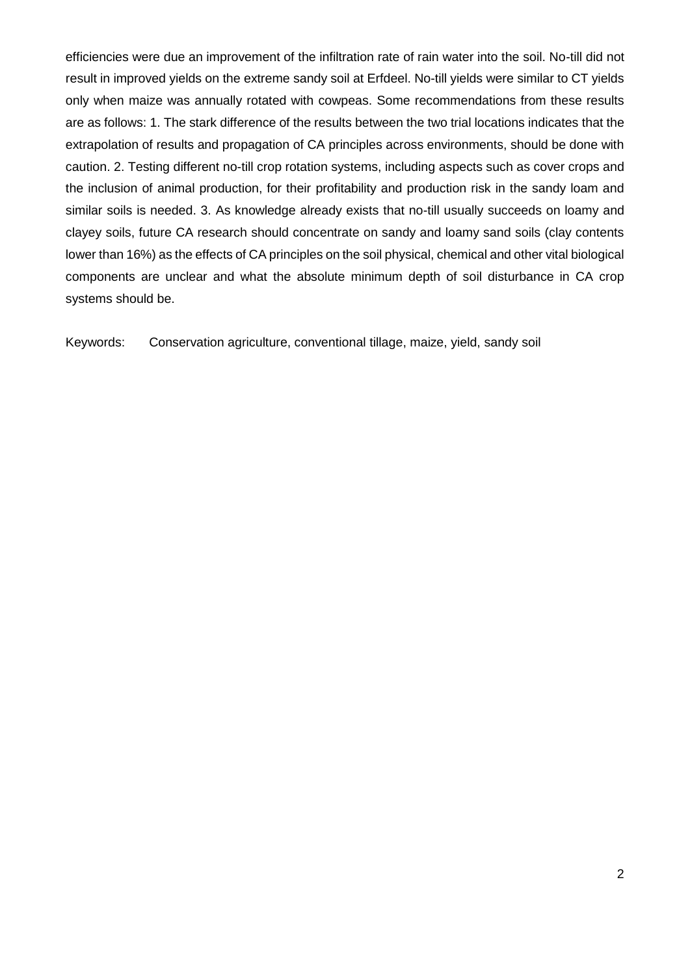efficiencies were due an improvement of the infiltration rate of rain water into the soil. No-till did not result in improved yields on the extreme sandy soil at Erfdeel. No-till yields were similar to CT yields only when maize was annually rotated with cowpeas. Some recommendations from these results are as follows: 1. The stark difference of the results between the two trial locations indicates that the extrapolation of results and propagation of CA principles across environments, should be done with caution. 2. Testing different no-till crop rotation systems, including aspects such as cover crops and the inclusion of animal production, for their profitability and production risk in the sandy loam and similar soils is needed. 3. As knowledge already exists that no-till usually succeeds on loamy and clayey soils, future CA research should concentrate on sandy and loamy sand soils (clay contents lower than 16%) as the effects of CA principles on the soil physical, chemical and other vital biological components are unclear and what the absolute minimum depth of soil disturbance in CA crop systems should be.

Keywords: Conservation agriculture, conventional tillage, maize, yield, sandy soil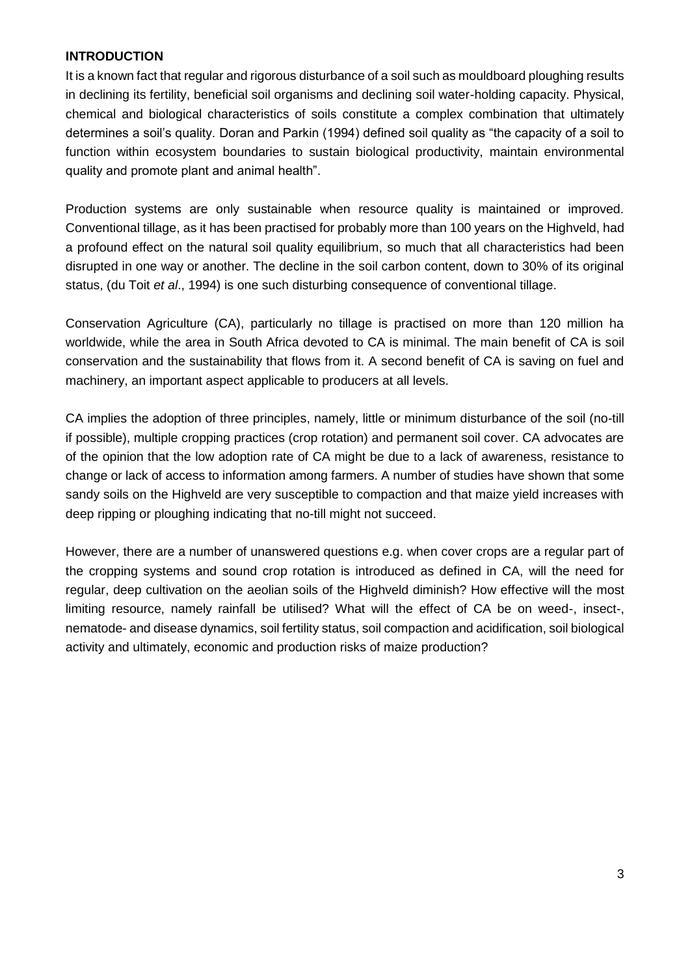# **INTRODUCTION**

It is a known fact that regular and rigorous disturbance of a soil such as mouldboard ploughing results in declining its fertility, beneficial soil organisms and declining soil water-holding capacity. Physical, chemical and biological characteristics of soils constitute a complex combination that ultimately determines a soil's quality. Doran and Parkin (1994) defined soil quality as "the capacity of a soil to function within ecosystem boundaries to sustain biological productivity, maintain environmental quality and promote plant and animal health".

Production systems are only sustainable when resource quality is maintained or improved. Conventional tillage, as it has been practised for probably more than 100 years on the Highveld, had a profound effect on the natural soil quality equilibrium, so much that all characteristics had been disrupted in one way or another. The decline in the soil carbon content, down to 30% of its original status, (du Toit *et al*., 1994) is one such disturbing consequence of conventional tillage.

Conservation Agriculture (CA), particularly no tillage is practised on more than 120 million ha worldwide, while the area in South Africa devoted to CA is minimal. The main benefit of CA is soil conservation and the sustainability that flows from it. A second benefit of CA is saving on fuel and machinery, an important aspect applicable to producers at all levels.

CA implies the adoption of three principles, namely, little or minimum disturbance of the soil (no-till if possible), multiple cropping practices (crop rotation) and permanent soil cover. CA advocates are of the opinion that the low adoption rate of CA might be due to a lack of awareness, resistance to change or lack of access to information among farmers. A number of studies have shown that some sandy soils on the Highveld are very susceptible to compaction and that maize yield increases with deep ripping or ploughing indicating that no-till might not succeed.

However, there are a number of unanswered questions e.g. when cover crops are a regular part of the cropping systems and sound crop rotation is introduced as defined in CA, will the need for regular, deep cultivation on the aeolian soils of the Highveld diminish? How effective will the most limiting resource, namely rainfall be utilised? What will the effect of CA be on weed-, insect-, nematode- and disease dynamics, soil fertility status, soil compaction and acidification, soil biological activity and ultimately, economic and production risks of maize production?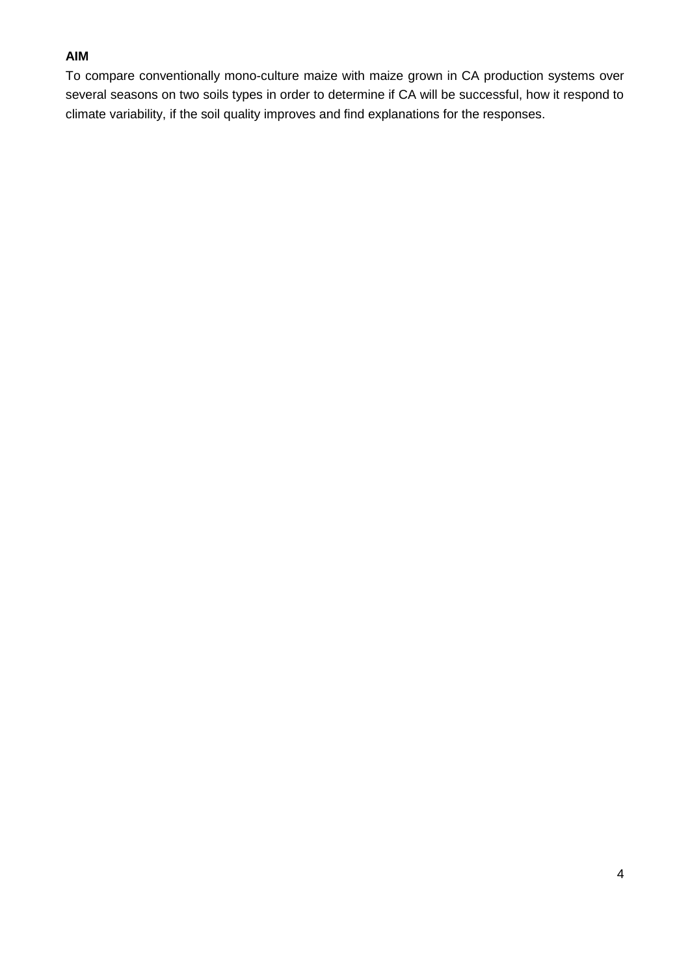# **AIM**

To compare conventionally mono-culture maize with maize grown in CA production systems over several seasons on two soils types in order to determine if CA will be successful, how it respond to climate variability, if the soil quality improves and find explanations for the responses.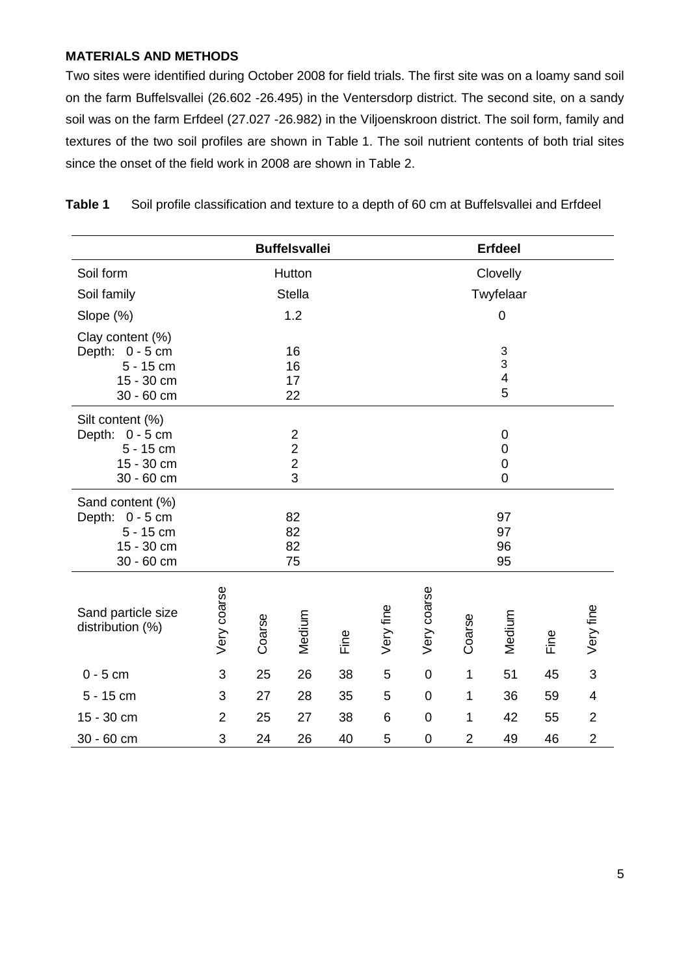# **MATERIALS AND METHODS**

Two sites were identified during October 2008 for field trials. The first site was on a loamy sand soil on the farm Buffelsvallei (26.602 -26.495) in the Ventersdorp district. The second site, on a sandy soil was on the farm Erfdeel (27.027 -26.982) in the Viljoenskroon district. The soil form, family and textures of the two soil profiles are shown in Table 1. The soil nutrient contents of both trial sites since the onset of the field work in 2008 are shown in Table 2.

**Table 1** Soil profile classification and texture to a depth of 60 cm at Buffelsvallei and Erfdeel

|                                                                                |                |        | <b>Buffelsvallei</b>                                               |      |             |             |                | <b>Erfdeel</b>                                                 |      |                |
|--------------------------------------------------------------------------------|----------------|--------|--------------------------------------------------------------------|------|-------------|-------------|----------------|----------------------------------------------------------------|------|----------------|
| Soil form                                                                      |                |        | Hutton                                                             |      |             |             |                | Clovelly                                                       |      |                |
| Soil family                                                                    |                |        | <b>Stella</b>                                                      |      |             |             |                | Twyfelaar                                                      |      |                |
| Slope (%)                                                                      |                |        | 1.2                                                                |      |             |             |                | 0                                                              |      |                |
| Clay content (%)<br>Depth: 0 - 5 cm<br>$5 - 15$ cm<br>15 - 30 cm<br>30 - 60 cm |                |        | 16<br>16<br>17<br>22                                               |      |             |             |                | $\ensuremath{\mathsf{3}}$<br>3<br>$\overline{\mathbf{4}}$<br>5 |      |                |
| Silt content (%)<br>Depth: 0 - 5 cm<br>$5 - 15$ cm<br>15 - 30 cm<br>30 - 60 cm |                |        | $\boldsymbol{2}$<br>$\overline{\mathbf{c}}$<br>$\overline{2}$<br>3 |      |             |             |                | $\boldsymbol{0}$<br>$\mathbf 0$<br>$\mathbf 0$<br>$\mathbf 0$  |      |                |
| Sand content (%)<br>Depth: 0 - 5 cm<br>$5 - 15$ cm<br>15 - 30 cm<br>30 - 60 cm |                |        | 82<br>82<br>82<br>75                                               |      |             |             |                | 97<br>97<br>96<br>95                                           |      |                |
| Sand particle size<br>distribution (%)                                         | Very coarse    | Coarse | Medium                                                             | Fine | Very fine   | Very coarse | Coarse         | Medium                                                         | Fine | Very fine      |
| $0 - 5$ cm                                                                     | $\sqrt{3}$     | 25     | 26                                                                 | 38   | $\mathbf 5$ | $\mathbf 0$ | $\mathbf{1}$   | 51                                                             | 45   | 3              |
| 5 - 15 cm                                                                      | 3              | 27     | 28                                                                 | 35   | 5           | $\pmb{0}$   | $\mathbf{1}$   | 36                                                             | 59   | 4              |
| 15 - 30 cm                                                                     | $\overline{2}$ | 25     | 27                                                                 | 38   | 6           | $\pmb{0}$   | 1              | 42                                                             | 55   | $\overline{2}$ |
| 30 - 60 cm                                                                     | 3              | 24     | 26                                                                 | 40   | 5           | $\pmb{0}$   | $\overline{2}$ | 49                                                             | 46   | $\overline{2}$ |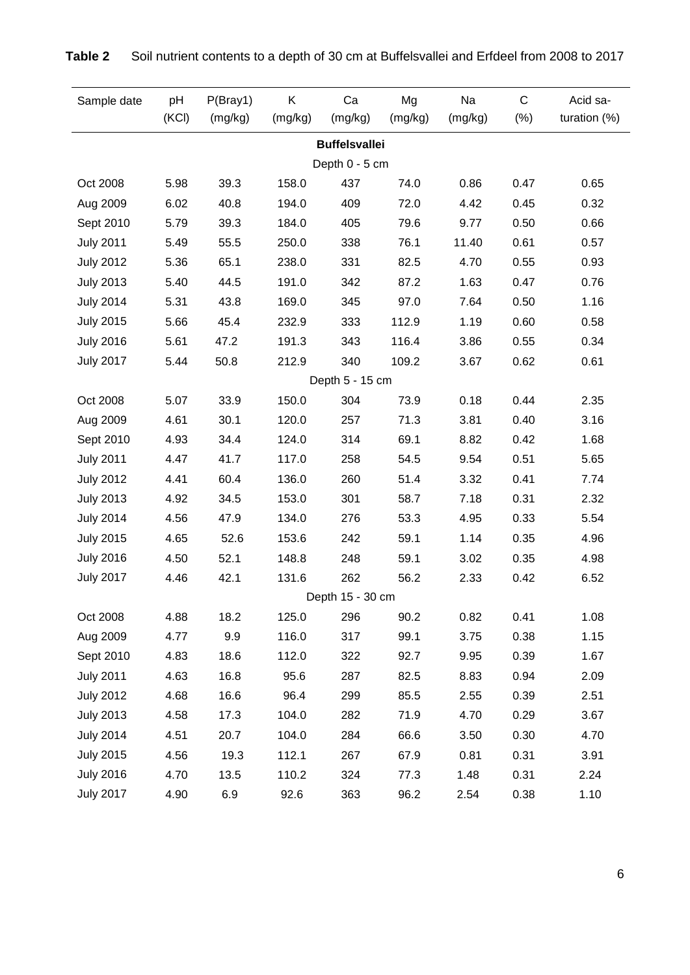| Sample date      | pH<br>(KCI) | P(Bray1)<br>(mg/kg) | K<br>(mg/kg) | Ca<br>(mg/kg)                          | Mg<br>(mg/kg) | Na<br>(mg/kg) | $\mathsf C$<br>$(\%)$ | Acid sa-<br>turation $(\%)$ |
|------------------|-------------|---------------------|--------------|----------------------------------------|---------------|---------------|-----------------------|-----------------------------|
|                  |             |                     |              |                                        |               |               |                       |                             |
|                  |             |                     |              | <b>Buffelsvallei</b><br>Depth 0 - 5 cm |               |               |                       |                             |
| Oct 2008         | 5.98        | 39.3                | 158.0        | 437                                    | 74.0          | 0.86          | 0.47                  | 0.65                        |
| Aug 2009         | 6.02        | 40.8                | 194.0        | 409                                    | 72.0          | 4.42          | 0.45                  | 0.32                        |
| Sept 2010        | 5.79        | 39.3                | 184.0        | 405                                    | 79.6          | 9.77          | 0.50                  | 0.66                        |
| <b>July 2011</b> | 5.49        | 55.5                | 250.0        | 338                                    | 76.1          | 11.40         | 0.61                  | 0.57                        |
| <b>July 2012</b> | 5.36        | 65.1                | 238.0        | 331                                    | 82.5          | 4.70          | 0.55                  | 0.93                        |
| <b>July 2013</b> | 5.40        | 44.5                | 191.0        | 342                                    | 87.2          | 1.63          | 0.47                  | 0.76                        |
| <b>July 2014</b> | 5.31        | 43.8                | 169.0        | 345                                    | 97.0          | 7.64          | 0.50                  | 1.16                        |
| <b>July 2015</b> | 5.66        | 45.4                | 232.9        | 333                                    | 112.9         | 1.19          | 0.60                  | 0.58                        |
| <b>July 2016</b> | 5.61        | 47.2                | 191.3        | 343                                    | 116.4         | 3.86          | 0.55                  | 0.34                        |
| <b>July 2017</b> | 5.44        | 50.8                | 212.9        | 340                                    | 109.2         | 3.67          | 0.62                  | 0.61                        |
|                  |             |                     |              | Depth 5 - 15 cm                        |               |               |                       |                             |
| Oct 2008         | 5.07        | 33.9                | 150.0        | 304                                    | 73.9          | 0.18          | 0.44                  | 2.35                        |
| Aug 2009         | 4.61        | 30.1                | 120.0        | 257                                    | 71.3          | 3.81          | 0.40                  | 3.16                        |
| Sept 2010        | 4.93        | 34.4                | 124.0        | 314                                    | 69.1          | 8.82          | 0.42                  | 1.68                        |
| <b>July 2011</b> | 4.47        | 41.7                | 117.0        | 258                                    | 54.5          | 9.54          | 0.51                  | 5.65                        |
| <b>July 2012</b> | 4.41        | 60.4                | 136.0        | 260                                    | 51.4          | 3.32          | 0.41                  | 7.74                        |
| <b>July 2013</b> | 4.92        | 34.5                | 153.0        | 301                                    | 58.7          | 7.18          | 0.31                  | 2.32                        |
| <b>July 2014</b> | 4.56        | 47.9                | 134.0        | 276                                    | 53.3          | 4.95          | 0.33                  | 5.54                        |
| <b>July 2015</b> | 4.65        | 52.6                | 153.6        | 242                                    | 59.1          | 1.14          | 0.35                  | 4.96                        |
| <b>July 2016</b> | 4.50        | 52.1                | 148.8        | 248                                    | 59.1          | 3.02          | 0.35                  | 4.98                        |
| <b>July 2017</b> | 4.46        | 42.1                | 131.6        | 262                                    | 56.2          | 2.33          | 0.42                  | 6.52                        |
|                  |             |                     |              | Depth 15 - 30 cm                       |               |               |                       |                             |
| Oct 2008         | 4.88        | 18.2                | 125.0        | 296                                    | 90.2          | 0.82          | 0.41                  | 1.08                        |
| Aug 2009         | 4.77        | 9.9                 | 116.0        | 317                                    | 99.1          | 3.75          | 0.38                  | 1.15                        |
| Sept 2010        | 4.83        | 18.6                | 112.0        | 322                                    | 92.7          | 9.95          | 0.39                  | 1.67                        |
| <b>July 2011</b> | 4.63        | 16.8                | 95.6         | 287                                    | 82.5          | 8.83          | 0.94                  | 2.09                        |
| <b>July 2012</b> | 4.68        | 16.6                | 96.4         | 299                                    | 85.5          | 2.55          | 0.39                  | 2.51                        |
| <b>July 2013</b> | 4.58        | 17.3                | 104.0        | 282                                    | 71.9          | 4.70          | 0.29                  | 3.67                        |
| <b>July 2014</b> | 4.51        | 20.7                | 104.0        | 284                                    | 66.6          | 3.50          | 0.30                  | 4.70                        |
| <b>July 2015</b> | 4.56        | 19.3                | 112.1        | 267                                    | 67.9          | 0.81          | 0.31                  | 3.91                        |
| <b>July 2016</b> | 4.70        | 13.5                | 110.2        | 324                                    | 77.3          | 1.48          | 0.31                  | 2.24                        |
| <b>July 2017</b> | 4.90        | 6.9                 | 92.6         | 363                                    | 96.2          | 2.54          | 0.38                  | 1.10                        |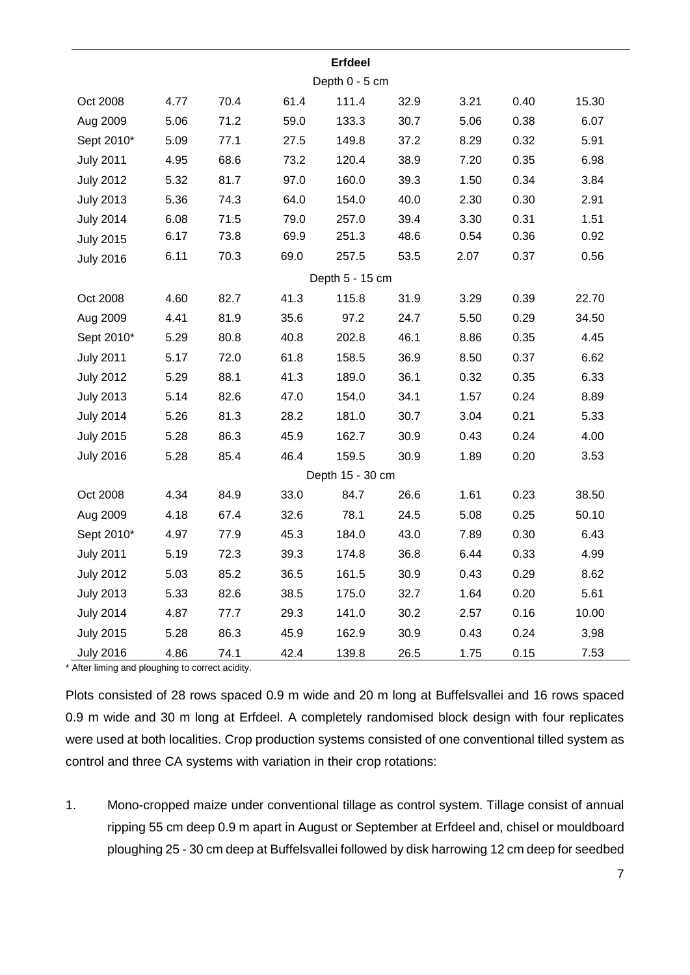|                  |      |      |      | <b>Erfdeel</b>   |      |      |      |       |
|------------------|------|------|------|------------------|------|------|------|-------|
|                  |      |      |      | Depth 0 - 5 cm   |      |      |      |       |
| Oct 2008         | 4.77 | 70.4 | 61.4 | 111.4            | 32.9 | 3.21 | 0.40 | 15.30 |
| Aug 2009         | 5.06 | 71.2 | 59.0 | 133.3            | 30.7 | 5.06 | 0.38 | 6.07  |
| Sept 2010*       | 5.09 | 77.1 | 27.5 | 149.8            | 37.2 | 8.29 | 0.32 | 5.91  |
| <b>July 2011</b> | 4.95 | 68.6 | 73.2 | 120.4            | 38.9 | 7.20 | 0.35 | 6.98  |
| <b>July 2012</b> | 5.32 | 81.7 | 97.0 | 160.0            | 39.3 | 1.50 | 0.34 | 3.84  |
| <b>July 2013</b> | 5.36 | 74.3 | 64.0 | 154.0            | 40.0 | 2.30 | 0.30 | 2.91  |
| <b>July 2014</b> | 6.08 | 71.5 | 79.0 | 257.0            | 39.4 | 3.30 | 0.31 | 1.51  |
| <b>July 2015</b> | 6.17 | 73.8 | 69.9 | 251.3            | 48.6 | 0.54 | 0.36 | 0.92  |
| <b>July 2016</b> | 6.11 | 70.3 | 69.0 | 257.5            | 53.5 | 2.07 | 0.37 | 0.56  |
|                  |      |      |      | Depth 5 - 15 cm  |      |      |      |       |
| Oct 2008         | 4.60 | 82.7 | 41.3 | 115.8            | 31.9 | 3.29 | 0.39 | 22.70 |
| Aug 2009         | 4.41 | 81.9 | 35.6 | 97.2             | 24.7 | 5.50 | 0.29 | 34.50 |
| Sept 2010*       | 5.29 | 80.8 | 40.8 | 202.8            | 46.1 | 8.86 | 0.35 | 4.45  |
| <b>July 2011</b> | 5.17 | 72.0 | 61.8 | 158.5            | 36.9 | 8.50 | 0.37 | 6.62  |
| <b>July 2012</b> | 5.29 | 88.1 | 41.3 | 189.0            | 36.1 | 0.32 | 0.35 | 6.33  |
| <b>July 2013</b> | 5.14 | 82.6 | 47.0 | 154.0            | 34.1 | 1.57 | 0.24 | 8.89  |
| <b>July 2014</b> | 5.26 | 81.3 | 28.2 | 181.0            | 30.7 | 3.04 | 0.21 | 5.33  |
| <b>July 2015</b> | 5.28 | 86.3 | 45.9 | 162.7            | 30.9 | 0.43 | 0.24 | 4.00  |
| <b>July 2016</b> | 5.28 | 85.4 | 46.4 | 159.5            | 30.9 | 1.89 | 0.20 | 3.53  |
|                  |      |      |      | Depth 15 - 30 cm |      |      |      |       |
| Oct 2008         | 4.34 | 84.9 | 33.0 | 84.7             | 26.6 | 1.61 | 0.23 | 38.50 |
| Aug 2009         | 4.18 | 67.4 | 32.6 | 78.1             | 24.5 | 5.08 | 0.25 | 50.10 |
| Sept 2010*       | 4.97 | 77.9 | 45.3 | 184.0            | 43.0 | 7.89 | 0.30 | 6.43  |
| <b>July 2011</b> | 5.19 | 72.3 | 39.3 | 174.8            | 36.8 | 6.44 | 0.33 | 4.99  |
| <b>July 2012</b> | 5.03 | 85.2 | 36.5 | 161.5            | 30.9 | 0.43 | 0.29 | 8.62  |
| <b>July 2013</b> | 5.33 | 82.6 | 38.5 | 175.0            | 32.7 | 1.64 | 0.20 | 5.61  |
| <b>July 2014</b> | 4.87 | 77.7 | 29.3 | 141.0            | 30.2 | 2.57 | 0.16 | 10.00 |
| <b>July 2015</b> | 5.28 | 86.3 | 45.9 | 162.9            | 30.9 | 0.43 | 0.24 | 3.98  |
| <b>July 2016</b> | 4.86 | 74.1 | 42.4 | 139.8            | 26.5 | 1.75 | 0.15 | 7.53  |

\* After liming and ploughing to correct acidity.

Plots consisted of 28 rows spaced 0.9 m wide and 20 m long at Buffelsvallei and 16 rows spaced 0.9 m wide and 30 m long at Erfdeel. A completely randomised block design with four replicates were used at both localities. Crop production systems consisted of one conventional tilled system as control and three CA systems with variation in their crop rotations:

1. Mono-cropped maize under conventional tillage as control system. Tillage consist of annual ripping 55 cm deep 0.9 m apart in August or September at Erfdeel and, chisel or mouldboard ploughing 25 - 30 cm deep at Buffelsvallei followed by disk harrowing 12 cm deep for seedbed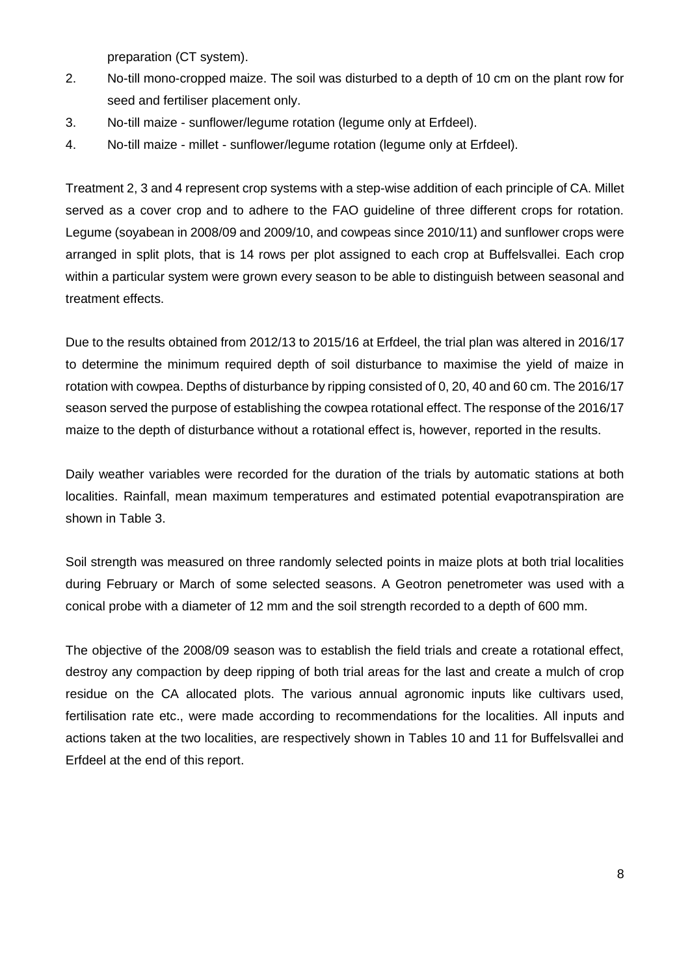preparation (CT system).

- 2. No-till mono-cropped maize. The soil was disturbed to a depth of 10 cm on the plant row for seed and fertiliser placement only.
- 3. No-till maize sunflower/legume rotation (legume only at Erfdeel).
- 4. No-till maize millet sunflower/legume rotation (legume only at Erfdeel).

Treatment 2, 3 and 4 represent crop systems with a step-wise addition of each principle of CA. Millet served as a cover crop and to adhere to the FAO guideline of three different crops for rotation. Legume (soyabean in 2008/09 and 2009/10, and cowpeas since 2010/11) and sunflower crops were arranged in split plots, that is 14 rows per plot assigned to each crop at Buffelsvallei. Each crop within a particular system were grown every season to be able to distinguish between seasonal and treatment effects.

Due to the results obtained from 2012/13 to 2015/16 at Erfdeel, the trial plan was altered in 2016/17 to determine the minimum required depth of soil disturbance to maximise the yield of maize in rotation with cowpea. Depths of disturbance by ripping consisted of 0, 20, 40 and 60 cm. The 2016/17 season served the purpose of establishing the cowpea rotational effect. The response of the 2016/17 maize to the depth of disturbance without a rotational effect is, however, reported in the results.

Daily weather variables were recorded for the duration of the trials by automatic stations at both localities. Rainfall, mean maximum temperatures and estimated potential evapotranspiration are shown in Table 3.

Soil strength was measured on three randomly selected points in maize plots at both trial localities during February or March of some selected seasons. A Geotron penetrometer was used with a conical probe with a diameter of 12 mm and the soil strength recorded to a depth of 600 mm.

The objective of the 2008/09 season was to establish the field trials and create a rotational effect, destroy any compaction by deep ripping of both trial areas for the last and create a mulch of crop residue on the CA allocated plots. The various annual agronomic inputs like cultivars used, fertilisation rate etc., were made according to recommendations for the localities. All inputs and actions taken at the two localities, are respectively shown in Tables 10 and 11 for Buffelsvallei and Erfdeel at the end of this report.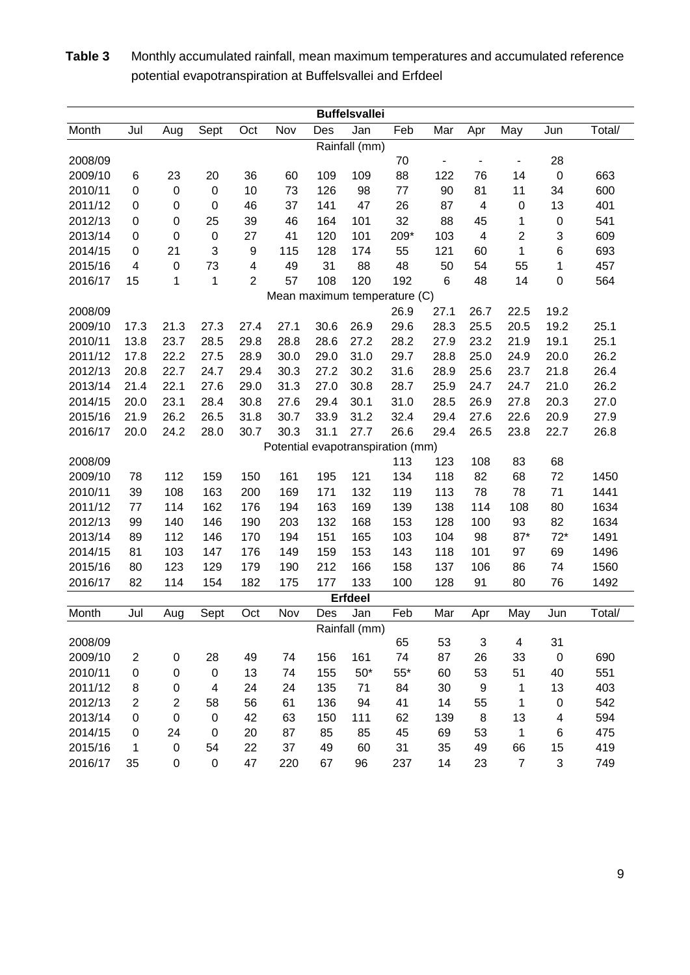| <b>Buffelsvallei</b><br>Jan<br>Feb<br>Jul<br>Sept<br>Nov<br>Mar<br>May<br>Total/<br>Month<br>Aug<br>Oct<br>Des<br>Apr<br>Jun<br>Rainfall (mm)<br>28<br>2008/09<br>70<br>$\blacksquare$<br>$\overline{a}$<br>$\overline{a}$<br>23<br>20<br>36<br>60<br>109<br>109<br>88<br>122<br>76<br>14<br>$\boldsymbol{0}$<br>2009/10<br>6<br>663<br>0<br>$\boldsymbol{0}$<br>10<br>73<br>126<br>98<br>90<br>81<br>11<br>34<br>600<br>2010/11<br>$\pmb{0}$<br>77<br>$\boldsymbol{0}$<br>$\mathbf 0$<br>46<br>37<br>141<br>47<br>26<br>87<br>$\overline{\mathbf{4}}$<br>$\boldsymbol{0}$<br>13<br>401<br>2011/12<br>0<br>25<br>39<br>46<br>32<br>88<br>1<br>2012/13<br>0<br>164<br>101<br>45<br>$\mathbf 0$<br>541<br>0<br>41<br>$\overline{c}$<br>$\mathbf 0$<br>209*<br>103<br>609<br>2013/14<br>0<br>$\mathbf 0$<br>27<br>120<br>101<br>4<br>3<br>3<br>115<br>1<br>693<br>2014/15<br>0<br>21<br>9<br>128<br>174<br>55<br>121<br>60<br>6<br>73<br>49<br>31<br>88<br>48<br>50<br>54<br>55<br>457<br>2015/16<br>4<br>$\mathbf 0$<br>4<br>1<br>$\overline{2}$<br>57<br>15<br>$\mathbf 1$<br>108<br>120<br>192<br>$\,6$<br>48<br>14<br>0<br>564<br>2016/17<br>1<br>Mean maximum temperature (C)<br>19.2<br>2008/09<br>26.9<br>27.1<br>26.7<br>22.5<br>26.9<br>29.6<br>28.3<br>19.2<br>2009/10<br>17.3<br>21.3<br>27.3<br>27.4<br>27.1<br>30.6<br>25.5<br>20.5<br>25.1<br>23.7<br>28.5<br>28.8<br>28.6<br>27.2<br>28.2<br>27.9<br>23.2<br>19.1<br>25.1<br>2010/11<br>13.8<br>29.8<br>21.9<br>17.8<br>22.2<br>27.5<br>28.9<br>30.0<br>29.0<br>31.0<br>29.7<br>28.8<br>25.0<br>24.9<br>20.0<br>26.2<br>2011/12<br>31.6<br>2012/13<br>20.8<br>22.7<br>24.7<br>29.4<br>30.3<br>27.2<br>30.2<br>28.9<br>25.6<br>23.7<br>21.8<br>26.4<br>21.4<br>22.1<br>27.6<br>29.0<br>31.3<br>30.8<br>28.7<br>25.9<br>24.7<br>24.7<br>21.0<br>26.2<br>2013/14<br>27.0<br>30.1<br>31.0<br>28.5<br>20.3<br>27.0<br>2014/15<br>20.0<br>23.1<br>28.4<br>30.8<br>27.6<br>29.4<br>26.9<br>27.8<br>31.2<br>29.4<br>20.9<br>2015/16<br>21.9<br>26.2<br>26.5<br>31.8<br>30.7<br>33.9<br>32.4<br>27.6<br>22.6<br>27.9<br>20.0<br>24.2<br>28.0<br>30.7<br>30.3<br>31.1<br>27.7<br>26.6<br>29.4<br>26.5<br>23.8<br>22.7<br>26.8<br>2016/17<br>Potential evapotranspiration (mm)<br>123<br>83<br>68<br>2008/09<br>113<br>108<br>112<br>161<br>121<br>118<br>82<br>68<br>72<br>1450<br>2009/10<br>78<br>159<br>150<br>195<br>134<br>78<br>39<br>163<br>169<br>171<br>132<br>113<br>78<br>71<br>1441<br>2010/11<br>108<br>200<br>119<br>162<br>176<br>194<br>163<br>138<br>114<br>108<br>2011/12<br>77<br>114<br>169<br>139<br>80<br>1634<br>93<br>2012/13<br>99<br>140<br>146<br>203<br>132<br>168<br>153<br>128<br>82<br>1634<br>190<br>100 |
|--------------------------------------------------------------------------------------------------------------------------------------------------------------------------------------------------------------------------------------------------------------------------------------------------------------------------------------------------------------------------------------------------------------------------------------------------------------------------------------------------------------------------------------------------------------------------------------------------------------------------------------------------------------------------------------------------------------------------------------------------------------------------------------------------------------------------------------------------------------------------------------------------------------------------------------------------------------------------------------------------------------------------------------------------------------------------------------------------------------------------------------------------------------------------------------------------------------------------------------------------------------------------------------------------------------------------------------------------------------------------------------------------------------------------------------------------------------------------------------------------------------------------------------------------------------------------------------------------------------------------------------------------------------------------------------------------------------------------------------------------------------------------------------------------------------------------------------------------------------------------------------------------------------------------------------------------------------------------------------------------------------------------------------------------------------------------------------------------------------------------------------------------------------------------------------------------------------------------------------------------------------------------------------------------------------------------------------------------------------------------------------------------------------------------------------------------------------------------------------------------------------------------------------------------------------------------------------------------------------------------------------------------------------------------------------------|
|                                                                                                                                                                                                                                                                                                                                                                                                                                                                                                                                                                                                                                                                                                                                                                                                                                                                                                                                                                                                                                                                                                                                                                                                                                                                                                                                                                                                                                                                                                                                                                                                                                                                                                                                                                                                                                                                                                                                                                                                                                                                                                                                                                                                                                                                                                                                                                                                                                                                                                                                                                                                                                                                                            |
|                                                                                                                                                                                                                                                                                                                                                                                                                                                                                                                                                                                                                                                                                                                                                                                                                                                                                                                                                                                                                                                                                                                                                                                                                                                                                                                                                                                                                                                                                                                                                                                                                                                                                                                                                                                                                                                                                                                                                                                                                                                                                                                                                                                                                                                                                                                                                                                                                                                                                                                                                                                                                                                                                            |
|                                                                                                                                                                                                                                                                                                                                                                                                                                                                                                                                                                                                                                                                                                                                                                                                                                                                                                                                                                                                                                                                                                                                                                                                                                                                                                                                                                                                                                                                                                                                                                                                                                                                                                                                                                                                                                                                                                                                                                                                                                                                                                                                                                                                                                                                                                                                                                                                                                                                                                                                                                                                                                                                                            |
|                                                                                                                                                                                                                                                                                                                                                                                                                                                                                                                                                                                                                                                                                                                                                                                                                                                                                                                                                                                                                                                                                                                                                                                                                                                                                                                                                                                                                                                                                                                                                                                                                                                                                                                                                                                                                                                                                                                                                                                                                                                                                                                                                                                                                                                                                                                                                                                                                                                                                                                                                                                                                                                                                            |
|                                                                                                                                                                                                                                                                                                                                                                                                                                                                                                                                                                                                                                                                                                                                                                                                                                                                                                                                                                                                                                                                                                                                                                                                                                                                                                                                                                                                                                                                                                                                                                                                                                                                                                                                                                                                                                                                                                                                                                                                                                                                                                                                                                                                                                                                                                                                                                                                                                                                                                                                                                                                                                                                                            |
|                                                                                                                                                                                                                                                                                                                                                                                                                                                                                                                                                                                                                                                                                                                                                                                                                                                                                                                                                                                                                                                                                                                                                                                                                                                                                                                                                                                                                                                                                                                                                                                                                                                                                                                                                                                                                                                                                                                                                                                                                                                                                                                                                                                                                                                                                                                                                                                                                                                                                                                                                                                                                                                                                            |
|                                                                                                                                                                                                                                                                                                                                                                                                                                                                                                                                                                                                                                                                                                                                                                                                                                                                                                                                                                                                                                                                                                                                                                                                                                                                                                                                                                                                                                                                                                                                                                                                                                                                                                                                                                                                                                                                                                                                                                                                                                                                                                                                                                                                                                                                                                                                                                                                                                                                                                                                                                                                                                                                                            |
|                                                                                                                                                                                                                                                                                                                                                                                                                                                                                                                                                                                                                                                                                                                                                                                                                                                                                                                                                                                                                                                                                                                                                                                                                                                                                                                                                                                                                                                                                                                                                                                                                                                                                                                                                                                                                                                                                                                                                                                                                                                                                                                                                                                                                                                                                                                                                                                                                                                                                                                                                                                                                                                                                            |
|                                                                                                                                                                                                                                                                                                                                                                                                                                                                                                                                                                                                                                                                                                                                                                                                                                                                                                                                                                                                                                                                                                                                                                                                                                                                                                                                                                                                                                                                                                                                                                                                                                                                                                                                                                                                                                                                                                                                                                                                                                                                                                                                                                                                                                                                                                                                                                                                                                                                                                                                                                                                                                                                                            |
|                                                                                                                                                                                                                                                                                                                                                                                                                                                                                                                                                                                                                                                                                                                                                                                                                                                                                                                                                                                                                                                                                                                                                                                                                                                                                                                                                                                                                                                                                                                                                                                                                                                                                                                                                                                                                                                                                                                                                                                                                                                                                                                                                                                                                                                                                                                                                                                                                                                                                                                                                                                                                                                                                            |
|                                                                                                                                                                                                                                                                                                                                                                                                                                                                                                                                                                                                                                                                                                                                                                                                                                                                                                                                                                                                                                                                                                                                                                                                                                                                                                                                                                                                                                                                                                                                                                                                                                                                                                                                                                                                                                                                                                                                                                                                                                                                                                                                                                                                                                                                                                                                                                                                                                                                                                                                                                                                                                                                                            |
|                                                                                                                                                                                                                                                                                                                                                                                                                                                                                                                                                                                                                                                                                                                                                                                                                                                                                                                                                                                                                                                                                                                                                                                                                                                                                                                                                                                                                                                                                                                                                                                                                                                                                                                                                                                                                                                                                                                                                                                                                                                                                                                                                                                                                                                                                                                                                                                                                                                                                                                                                                                                                                                                                            |
|                                                                                                                                                                                                                                                                                                                                                                                                                                                                                                                                                                                                                                                                                                                                                                                                                                                                                                                                                                                                                                                                                                                                                                                                                                                                                                                                                                                                                                                                                                                                                                                                                                                                                                                                                                                                                                                                                                                                                                                                                                                                                                                                                                                                                                                                                                                                                                                                                                                                                                                                                                                                                                                                                            |
|                                                                                                                                                                                                                                                                                                                                                                                                                                                                                                                                                                                                                                                                                                                                                                                                                                                                                                                                                                                                                                                                                                                                                                                                                                                                                                                                                                                                                                                                                                                                                                                                                                                                                                                                                                                                                                                                                                                                                                                                                                                                                                                                                                                                                                                                                                                                                                                                                                                                                                                                                                                                                                                                                            |
|                                                                                                                                                                                                                                                                                                                                                                                                                                                                                                                                                                                                                                                                                                                                                                                                                                                                                                                                                                                                                                                                                                                                                                                                                                                                                                                                                                                                                                                                                                                                                                                                                                                                                                                                                                                                                                                                                                                                                                                                                                                                                                                                                                                                                                                                                                                                                                                                                                                                                                                                                                                                                                                                                            |
|                                                                                                                                                                                                                                                                                                                                                                                                                                                                                                                                                                                                                                                                                                                                                                                                                                                                                                                                                                                                                                                                                                                                                                                                                                                                                                                                                                                                                                                                                                                                                                                                                                                                                                                                                                                                                                                                                                                                                                                                                                                                                                                                                                                                                                                                                                                                                                                                                                                                                                                                                                                                                                                                                            |
|                                                                                                                                                                                                                                                                                                                                                                                                                                                                                                                                                                                                                                                                                                                                                                                                                                                                                                                                                                                                                                                                                                                                                                                                                                                                                                                                                                                                                                                                                                                                                                                                                                                                                                                                                                                                                                                                                                                                                                                                                                                                                                                                                                                                                                                                                                                                                                                                                                                                                                                                                                                                                                                                                            |
|                                                                                                                                                                                                                                                                                                                                                                                                                                                                                                                                                                                                                                                                                                                                                                                                                                                                                                                                                                                                                                                                                                                                                                                                                                                                                                                                                                                                                                                                                                                                                                                                                                                                                                                                                                                                                                                                                                                                                                                                                                                                                                                                                                                                                                                                                                                                                                                                                                                                                                                                                                                                                                                                                            |
|                                                                                                                                                                                                                                                                                                                                                                                                                                                                                                                                                                                                                                                                                                                                                                                                                                                                                                                                                                                                                                                                                                                                                                                                                                                                                                                                                                                                                                                                                                                                                                                                                                                                                                                                                                                                                                                                                                                                                                                                                                                                                                                                                                                                                                                                                                                                                                                                                                                                                                                                                                                                                                                                                            |
|                                                                                                                                                                                                                                                                                                                                                                                                                                                                                                                                                                                                                                                                                                                                                                                                                                                                                                                                                                                                                                                                                                                                                                                                                                                                                                                                                                                                                                                                                                                                                                                                                                                                                                                                                                                                                                                                                                                                                                                                                                                                                                                                                                                                                                                                                                                                                                                                                                                                                                                                                                                                                                                                                            |
|                                                                                                                                                                                                                                                                                                                                                                                                                                                                                                                                                                                                                                                                                                                                                                                                                                                                                                                                                                                                                                                                                                                                                                                                                                                                                                                                                                                                                                                                                                                                                                                                                                                                                                                                                                                                                                                                                                                                                                                                                                                                                                                                                                                                                                                                                                                                                                                                                                                                                                                                                                                                                                                                                            |
|                                                                                                                                                                                                                                                                                                                                                                                                                                                                                                                                                                                                                                                                                                                                                                                                                                                                                                                                                                                                                                                                                                                                                                                                                                                                                                                                                                                                                                                                                                                                                                                                                                                                                                                                                                                                                                                                                                                                                                                                                                                                                                                                                                                                                                                                                                                                                                                                                                                                                                                                                                                                                                                                                            |
|                                                                                                                                                                                                                                                                                                                                                                                                                                                                                                                                                                                                                                                                                                                                                                                                                                                                                                                                                                                                                                                                                                                                                                                                                                                                                                                                                                                                                                                                                                                                                                                                                                                                                                                                                                                                                                                                                                                                                                                                                                                                                                                                                                                                                                                                                                                                                                                                                                                                                                                                                                                                                                                                                            |
|                                                                                                                                                                                                                                                                                                                                                                                                                                                                                                                                                                                                                                                                                                                                                                                                                                                                                                                                                                                                                                                                                                                                                                                                                                                                                                                                                                                                                                                                                                                                                                                                                                                                                                                                                                                                                                                                                                                                                                                                                                                                                                                                                                                                                                                                                                                                                                                                                                                                                                                                                                                                                                                                                            |
|                                                                                                                                                                                                                                                                                                                                                                                                                                                                                                                                                                                                                                                                                                                                                                                                                                                                                                                                                                                                                                                                                                                                                                                                                                                                                                                                                                                                                                                                                                                                                                                                                                                                                                                                                                                                                                                                                                                                                                                                                                                                                                                                                                                                                                                                                                                                                                                                                                                                                                                                                                                                                                                                                            |
|                                                                                                                                                                                                                                                                                                                                                                                                                                                                                                                                                                                                                                                                                                                                                                                                                                                                                                                                                                                                                                                                                                                                                                                                                                                                                                                                                                                                                                                                                                                                                                                                                                                                                                                                                                                                                                                                                                                                                                                                                                                                                                                                                                                                                                                                                                                                                                                                                                                                                                                                                                                                                                                                                            |
|                                                                                                                                                                                                                                                                                                                                                                                                                                                                                                                                                                                                                                                                                                                                                                                                                                                                                                                                                                                                                                                                                                                                                                                                                                                                                                                                                                                                                                                                                                                                                                                                                                                                                                                                                                                                                                                                                                                                                                                                                                                                                                                                                                                                                                                                                                                                                                                                                                                                                                                                                                                                                                                                                            |
| $87*$<br>$72*$<br>2013/14<br>89<br>112<br>146<br>194<br>151<br>165<br>103<br>104<br>98<br>1491<br>170                                                                                                                                                                                                                                                                                                                                                                                                                                                                                                                                                                                                                                                                                                                                                                                                                                                                                                                                                                                                                                                                                                                                                                                                                                                                                                                                                                                                                                                                                                                                                                                                                                                                                                                                                                                                                                                                                                                                                                                                                                                                                                                                                                                                                                                                                                                                                                                                                                                                                                                                                                                      |
| 81<br>103<br>147<br>149<br>153<br>118<br>101<br>97<br>69<br>2014/15<br>176<br>159<br>143<br>1496                                                                                                                                                                                                                                                                                                                                                                                                                                                                                                                                                                                                                                                                                                                                                                                                                                                                                                                                                                                                                                                                                                                                                                                                                                                                                                                                                                                                                                                                                                                                                                                                                                                                                                                                                                                                                                                                                                                                                                                                                                                                                                                                                                                                                                                                                                                                                                                                                                                                                                                                                                                           |
| 80<br>123<br>129<br>190<br>212<br>166<br>137<br>86<br>2015/16<br>179<br>158<br>106<br>74<br>1560                                                                                                                                                                                                                                                                                                                                                                                                                                                                                                                                                                                                                                                                                                                                                                                                                                                                                                                                                                                                                                                                                                                                                                                                                                                                                                                                                                                                                                                                                                                                                                                                                                                                                                                                                                                                                                                                                                                                                                                                                                                                                                                                                                                                                                                                                                                                                                                                                                                                                                                                                                                           |
| 82<br>154<br>175<br>177<br>133<br>128<br>91<br>80<br>2016/17<br>114<br>182<br>100<br>76<br>1492                                                                                                                                                                                                                                                                                                                                                                                                                                                                                                                                                                                                                                                                                                                                                                                                                                                                                                                                                                                                                                                                                                                                                                                                                                                                                                                                                                                                                                                                                                                                                                                                                                                                                                                                                                                                                                                                                                                                                                                                                                                                                                                                                                                                                                                                                                                                                                                                                                                                                                                                                                                            |
| <b>Erfdeel</b>                                                                                                                                                                                                                                                                                                                                                                                                                                                                                                                                                                                                                                                                                                                                                                                                                                                                                                                                                                                                                                                                                                                                                                                                                                                                                                                                                                                                                                                                                                                                                                                                                                                                                                                                                                                                                                                                                                                                                                                                                                                                                                                                                                                                                                                                                                                                                                                                                                                                                                                                                                                                                                                                             |
| Jul<br>Mar<br>Sept<br>Oct<br>Des<br>Jan<br>Feb<br>Jun<br>Total/<br>Month<br>Aug<br>Nov<br>May<br>Apr                                                                                                                                                                                                                                                                                                                                                                                                                                                                                                                                                                                                                                                                                                                                                                                                                                                                                                                                                                                                                                                                                                                                                                                                                                                                                                                                                                                                                                                                                                                                                                                                                                                                                                                                                                                                                                                                                                                                                                                                                                                                                                                                                                                                                                                                                                                                                                                                                                                                                                                                                                                       |
| Rainfall (mm)                                                                                                                                                                                                                                                                                                                                                                                                                                                                                                                                                                                                                                                                                                                                                                                                                                                                                                                                                                                                                                                                                                                                                                                                                                                                                                                                                                                                                                                                                                                                                                                                                                                                                                                                                                                                                                                                                                                                                                                                                                                                                                                                                                                                                                                                                                                                                                                                                                                                                                                                                                                                                                                                              |
| 31<br>53<br>3<br>2008/09<br>65<br>4                                                                                                                                                                                                                                                                                                                                                                                                                                                                                                                                                                                                                                                                                                                                                                                                                                                                                                                                                                                                                                                                                                                                                                                                                                                                                                                                                                                                                                                                                                                                                                                                                                                                                                                                                                                                                                                                                                                                                                                                                                                                                                                                                                                                                                                                                                                                                                                                                                                                                                                                                                                                                                                        |
| 2009/10<br>$\overline{c}$<br>28<br>161<br>74<br>87<br>33<br>$\pmb{0}$<br>690<br>$\pmb{0}$<br>49<br>74<br>156<br>26                                                                                                                                                                                                                                                                                                                                                                                                                                                                                                                                                                                                                                                                                                                                                                                                                                                                                                                                                                                                                                                                                                                                                                                                                                                                                                                                                                                                                                                                                                                                                                                                                                                                                                                                                                                                                                                                                                                                                                                                                                                                                                                                                                                                                                                                                                                                                                                                                                                                                                                                                                         |
| 2010/11<br>$50*$<br>53<br>51<br>551<br>0<br>$\mathbf 0$<br>$\mathbf 0$<br>13<br>74<br>155<br>$55*$<br>60<br>40                                                                                                                                                                                                                                                                                                                                                                                                                                                                                                                                                                                                                                                                                                                                                                                                                                                                                                                                                                                                                                                                                                                                                                                                                                                                                                                                                                                                                                                                                                                                                                                                                                                                                                                                                                                                                                                                                                                                                                                                                                                                                                                                                                                                                                                                                                                                                                                                                                                                                                                                                                             |
| 2011/12<br>9<br>403<br>8<br>0<br>4<br>24<br>24<br>135<br>71<br>84<br>30<br>13<br>1                                                                                                                                                                                                                                                                                                                                                                                                                                                                                                                                                                                                                                                                                                                                                                                                                                                                                                                                                                                                                                                                                                                                                                                                                                                                                                                                                                                                                                                                                                                                                                                                                                                                                                                                                                                                                                                                                                                                                                                                                                                                                                                                                                                                                                                                                                                                                                                                                                                                                                                                                                                                         |
| 2012/13<br>$\overline{2}$<br>$\overline{c}$<br>56<br>61<br>136<br>94<br>41<br>14<br>542<br>58<br>55<br>$\mathbf 0$<br>1                                                                                                                                                                                                                                                                                                                                                                                                                                                                                                                                                                                                                                                                                                                                                                                                                                                                                                                                                                                                                                                                                                                                                                                                                                                                                                                                                                                                                                                                                                                                                                                                                                                                                                                                                                                                                                                                                                                                                                                                                                                                                                                                                                                                                                                                                                                                                                                                                                                                                                                                                                    |
| 2013/14<br>$\boldsymbol{0}$<br>42<br>63<br>62<br>139<br>8<br>13<br>594<br>0<br>$\mathbf 0$<br>150<br>111<br>4                                                                                                                                                                                                                                                                                                                                                                                                                                                                                                                                                                                                                                                                                                                                                                                                                                                                                                                                                                                                                                                                                                                                                                                                                                                                                                                                                                                                                                                                                                                                                                                                                                                                                                                                                                                                                                                                                                                                                                                                                                                                                                                                                                                                                                                                                                                                                                                                                                                                                                                                                                              |
| 85<br>$\,6$<br>2014/15<br>$\pmb{0}$<br>24<br>$\mathbf 0$<br>20<br>87<br>85<br>45<br>69<br>53<br>1<br>475                                                                                                                                                                                                                                                                                                                                                                                                                                                                                                                                                                                                                                                                                                                                                                                                                                                                                                                                                                                                                                                                                                                                                                                                                                                                                                                                                                                                                                                                                                                                                                                                                                                                                                                                                                                                                                                                                                                                                                                                                                                                                                                                                                                                                                                                                                                                                                                                                                                                                                                                                                                   |
| 2015/16<br>54<br>22<br>37<br>49<br>60<br>31<br>35<br>66<br>15<br>419<br>1<br>$\pmb{0}$<br>49                                                                                                                                                                                                                                                                                                                                                                                                                                                                                                                                                                                                                                                                                                                                                                                                                                                                                                                                                                                                                                                                                                                                                                                                                                                                                                                                                                                                                                                                                                                                                                                                                                                                                                                                                                                                                                                                                                                                                                                                                                                                                                                                                                                                                                                                                                                                                                                                                                                                                                                                                                                               |
| $\overline{7}$<br>3<br>2016/17<br>35<br>$\mathbf 0$<br>47<br>220<br>67<br>96<br>237<br>14<br>23<br>749<br>$\pmb{0}$                                                                                                                                                                                                                                                                                                                                                                                                                                                                                                                                                                                                                                                                                                                                                                                                                                                                                                                                                                                                                                                                                                                                                                                                                                                                                                                                                                                                                                                                                                                                                                                                                                                                                                                                                                                                                                                                                                                                                                                                                                                                                                                                                                                                                                                                                                                                                                                                                                                                                                                                                                        |

**Table 3** Monthly accumulated rainfall, mean maximum temperatures and accumulated reference potential evapotranspiration at Buffelsvallei and Erfdeel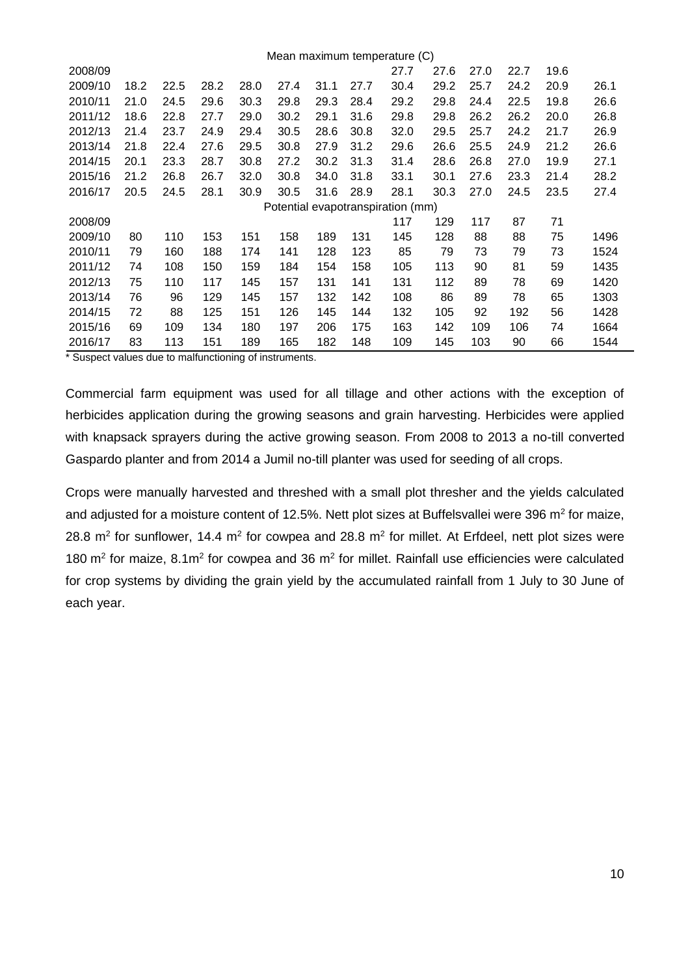|         |      |      |      |      |      |      |      | Mean maximum temperature (C)      |      |      |      |      |      |
|---------|------|------|------|------|------|------|------|-----------------------------------|------|------|------|------|------|
| 2008/09 |      |      |      |      |      |      |      | 27.7                              | 27.6 | 27.0 | 22.7 | 19.6 |      |
| 2009/10 | 18.2 | 22.5 | 28.2 | 28.0 | 27.4 | 31.1 | 27.7 | 30.4                              | 29.2 | 25.7 | 24.2 | 20.9 | 26.1 |
| 2010/11 | 21.0 | 24.5 | 29.6 | 30.3 | 29.8 | 29.3 | 28.4 | 29.2                              | 29.8 | 24.4 | 22.5 | 19.8 | 26.6 |
| 2011/12 | 18.6 | 22.8 | 27.7 | 29.0 | 30.2 | 29.1 | 31.6 | 29.8                              | 29.8 | 26.2 | 26.2 | 20.0 | 26.8 |
| 2012/13 | 21.4 | 23.7 | 24.9 | 29.4 | 30.5 | 28.6 | 30.8 | 32.0                              | 29.5 | 25.7 | 24.2 | 21.7 | 26.9 |
| 2013/14 | 21.8 | 22.4 | 27.6 | 29.5 | 30.8 | 27.9 | 31.2 | 29.6                              | 26.6 | 25.5 | 24.9 | 21.2 | 26.6 |
| 2014/15 | 20.1 | 23.3 | 28.7 | 30.8 | 27.2 | 30.2 | 31.3 | 31.4                              | 28.6 | 26.8 | 27.0 | 19.9 | 27.1 |
| 2015/16 | 21.2 | 26.8 | 26.7 | 32.0 | 30.8 | 34.0 | 31.8 | 33.1                              | 30.1 | 27.6 | 23.3 | 21.4 | 28.2 |
| 2016/17 | 20.5 | 24.5 | 28.1 | 30.9 | 30.5 | 31.6 | 28.9 | 28.1                              | 30.3 | 27.0 | 24.5 | 23.5 | 27.4 |
|         |      |      |      |      |      |      |      | Potential evapotranspiration (mm) |      |      |      |      |      |
| 2008/09 |      |      |      |      |      |      |      | 117                               | 129  | 117  | 87   | 71   |      |
| 2009/10 | 80   | 110  | 153  | 151  | 158  | 189  | 131  | 145                               | 128  | 88   | 88   | 75   | 1496 |
| 2010/11 | 79   | 160  | 188  | 174  | 141  | 128  | 123  | 85                                | 79   | 73   | 79   | 73   | 1524 |
| 2011/12 | 74   | 108  | 150  | 159  | 184  | 154  | 158  | 105                               | 113  | 90   | 81   | 59   | 1435 |
| 2012/13 | 75   | 110  | 117  | 145  | 157  | 131  | 141  | 131                               | 112  | 89   | 78   | 69   | 1420 |
| 2013/14 | 76   | 96   | 129  | 145  | 157  | 132  | 142  | 108                               | 86   | 89   | 78   | 65   | 1303 |
| 2014/15 | 72   | 88   | 125  | 151  | 126  | 145  | 144  | 132                               | 105  | 92   | 192  | 56   | 1428 |
| 2015/16 |      |      |      |      |      |      |      |                                   |      |      |      |      |      |
|         | 69   | 109  | 134  | 180  | 197  | 206  | 175  | 163                               | 142  | 109  | 106  | 74   | 1664 |

\* Suspect values due to malfunctioning of instruments.

Commercial farm equipment was used for all tillage and other actions with the exception of herbicides application during the growing seasons and grain harvesting. Herbicides were applied with knapsack sprayers during the active growing season. From 2008 to 2013 a no-till converted Gaspardo planter and from 2014 a Jumil no-till planter was used for seeding of all crops.

Crops were manually harvested and threshed with a small plot thresher and the yields calculated and adjusted for a moisture content of 12.5%. Nett plot sizes at Buffelsvallei were 396  $m^2$  for maize, 28.8  $m^2$  for sunflower, 14.4  $m^2$  for cowpea and 28.8  $m^2$  for millet. At Erfdeel, nett plot sizes were 180  $\mathrm{m}^2$  for maize, 8.1 $\mathrm{m}^2$  for cowpea and 36  $\mathrm{m}^2$  for millet. Rainfall use efficiencies were calculated for crop systems by dividing the grain yield by the accumulated rainfall from 1 July to 30 June of each year.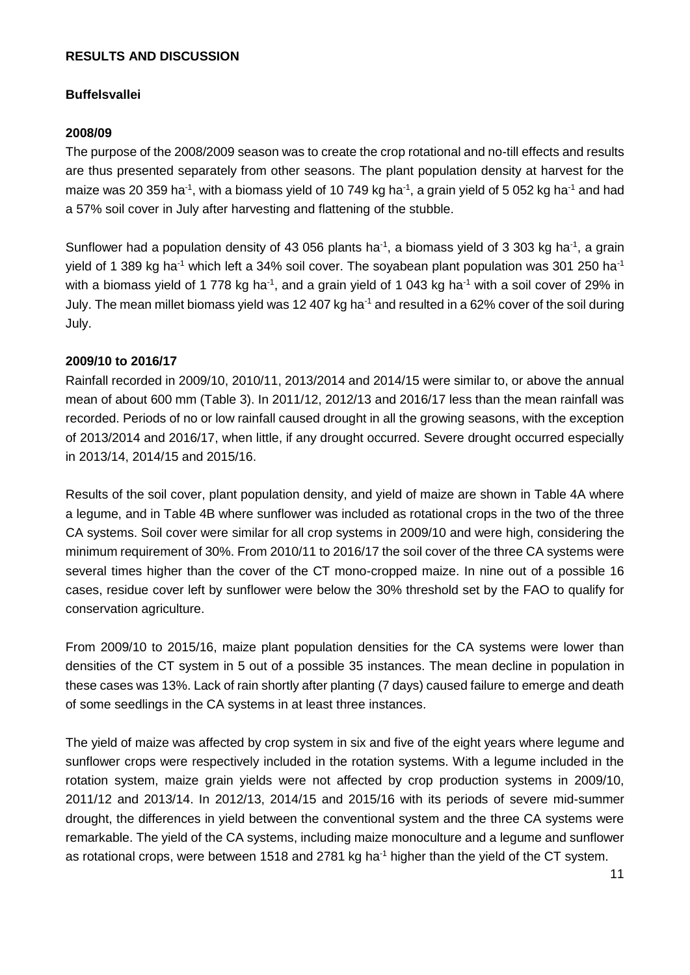# **RESULTS AND DISCUSSION**

# **Buffelsvallei**

### **2008/09**

The purpose of the 2008/2009 season was to create the crop rotational and no-till effects and results are thus presented separately from other seasons. The plant population density at harvest for the maize was 20 359 ha<sup>-1</sup>, with a biomass yield of 10 749 kg ha<sup>-1</sup>, a grain yield of 5 052 kg ha<sup>-1</sup> and had a 57% soil cover in July after harvesting and flattening of the stubble.

Sunflower had a population density of 43 056 plants ha<sup>-1</sup>, a biomass yield of 3 303 kg ha<sup>-1</sup>, a grain yield of 1 389 kg ha<sup>-1</sup> which left a 34% soil cover. The soyabean plant population was 301 250 ha<sup>-1</sup> with a biomass yield of 1 778 kg ha<sup>-1</sup>, and a grain yield of 1 043 kg ha<sup>-1</sup> with a soil cover of 29% in July. The mean millet biomass yield was 12 407 kg ha<sup>-1</sup> and resulted in a 62% cover of the soil during July.

#### **2009/10 to 2016/17**

Rainfall recorded in 2009/10, 2010/11, 2013/2014 and 2014/15 were similar to, or above the annual mean of about 600 mm (Table 3). In 2011/12, 2012/13 and 2016/17 less than the mean rainfall was recorded. Periods of no or low rainfall caused drought in all the growing seasons, with the exception of 2013/2014 and 2016/17, when little, if any drought occurred. Severe drought occurred especially in 2013/14, 2014/15 and 2015/16.

Results of the soil cover, plant population density, and yield of maize are shown in Table 4A where a legume, and in Table 4B where sunflower was included as rotational crops in the two of the three CA systems. Soil cover were similar for all crop systems in 2009/10 and were high, considering the minimum requirement of 30%. From 2010/11 to 2016/17 the soil cover of the three CA systems were several times higher than the cover of the CT mono-cropped maize. In nine out of a possible 16 cases, residue cover left by sunflower were below the 30% threshold set by the FAO to qualify for conservation agriculture.

From 2009/10 to 2015/16, maize plant population densities for the CA systems were lower than densities of the CT system in 5 out of a possible 35 instances. The mean decline in population in these cases was 13%. Lack of rain shortly after planting (7 days) caused failure to emerge and death of some seedlings in the CA systems in at least three instances.

The yield of maize was affected by crop system in six and five of the eight years where legume and sunflower crops were respectively included in the rotation systems. With a legume included in the rotation system, maize grain yields were not affected by crop production systems in 2009/10, 2011/12 and 2013/14. In 2012/13, 2014/15 and 2015/16 with its periods of severe mid-summer drought, the differences in yield between the conventional system and the three CA systems were remarkable. The yield of the CA systems, including maize monoculture and a legume and sunflower as rotational crops, were between 1518 and 2781 kg ha<sup>-1</sup> higher than the yield of the CT system.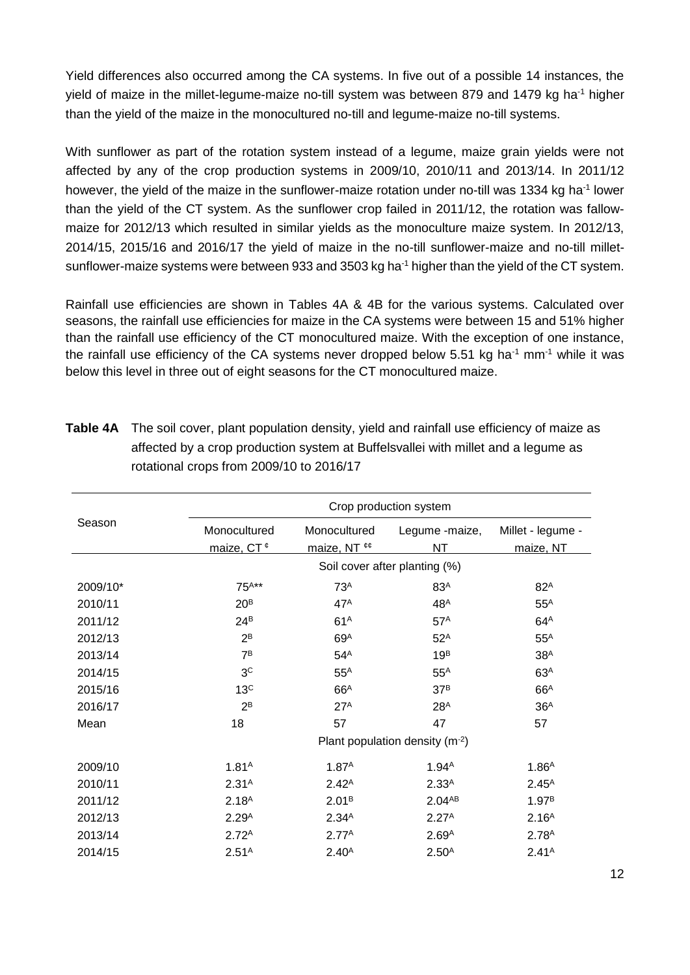Yield differences also occurred among the CA systems. In five out of a possible 14 instances, the yield of maize in the millet-legume-maize no-till system was between 879 and 1479 kg ha<sup>-1</sup> higher than the yield of the maize in the monocultured no-till and legume-maize no-till systems.

With sunflower as part of the rotation system instead of a legume, maize grain yields were not affected by any of the crop production systems in 2009/10, 2010/11 and 2013/14. In 2011/12 however, the yield of the maize in the sunflower-maize rotation under no-till was 1334 kg ha<sup>-1</sup> lower than the yield of the CT system. As the sunflower crop failed in 2011/12, the rotation was fallowmaize for 2012/13 which resulted in similar yields as the monoculture maize system. In 2012/13, 2014/15, 2015/16 and 2016/17 the yield of maize in the no-till sunflower-maize and no-till milletsunflower-maize systems were between 933 and 3503 kg ha<sup>-1</sup> higher than the yield of the CT system.

Rainfall use efficiencies are shown in Tables 4A & 4B for the various systems. Calculated over seasons, the rainfall use efficiencies for maize in the CA systems were between 15 and 51% higher than the rainfall use efficiency of the CT monocultured maize. With the exception of one instance, the rainfall use efficiency of the CA systems never dropped below 5.51 kg ha<sup>-1</sup> mm<sup>-1</sup> while it was below this level in three out of eight seasons for the CT monocultured maize.

|          | Crop production system                 |                              |                                |                                |  |  |  |  |  |
|----------|----------------------------------------|------------------------------|--------------------------------|--------------------------------|--|--|--|--|--|
| Season   | Monocultured<br>maize, CT <sup>¢</sup> | Monocultured<br>maize, NT ¢¢ | Legume -maize,<br>NΤ           | Millet - legume -<br>maize, NT |  |  |  |  |  |
|          |                                        |                              | Soil cover after planting (%)  |                                |  |  |  |  |  |
| 2009/10* | $75^{A**}$                             | 73 <sup>A</sup>              | 83 <sup>A</sup>                | $82^A$                         |  |  |  |  |  |
| 2010/11  | 20 <sup>B</sup>                        | $47^A$                       | 48 <sup>A</sup>                | $55^A$                         |  |  |  |  |  |
| 2011/12  | $24^B$                                 | 61 <sup>A</sup>              | 57 <sup>A</sup>                | 64 <sup>A</sup>                |  |  |  |  |  |
| 2012/13  | $2^B$                                  | 69 <sup>A</sup>              | $52^A$                         | $55^A$                         |  |  |  |  |  |
| 2013/14  | 7 <sup>B</sup>                         | $54^A$                       | 19 <sup>B</sup>                | 38 <sup>A</sup>                |  |  |  |  |  |
| 2014/15  | 3 <sup>c</sup>                         | $55^A$                       | $55^A$                         | 63 <sup>A</sup>                |  |  |  |  |  |
| 2015/16  | 13 <sup>C</sup>                        | 66 <sup>A</sup>              | 37 <sup>B</sup>                | 66 <sup>A</sup>                |  |  |  |  |  |
| 2016/17  | $2^B$                                  | 27 <sup>A</sup>              | 28 <sup>A</sup>                | 36 <sup>A</sup>                |  |  |  |  |  |
| Mean     | 18                                     | 57                           | 47                             | 57                             |  |  |  |  |  |
|          |                                        |                              | Plant population density (m-2) |                                |  |  |  |  |  |
| 2009/10  | 1.81 <sup>A</sup>                      | 1.87 <sup>A</sup>            | 1.94 <sup>A</sup>              | 1.86 <sup>A</sup>              |  |  |  |  |  |
| 2010/11  | 2.31 <sup>A</sup>                      | 2.42 <sup>A</sup>            | 2.33 <sup>A</sup>              | $2.45^{A}$                     |  |  |  |  |  |
| 2011/12  | 2.18 <sup>A</sup>                      | 2.01 <sup>B</sup>            | 2.04AB                         | 1.97 <sup>B</sup>              |  |  |  |  |  |
| 2012/13  | 2.29 <sup>A</sup>                      | 2.34 <sup>A</sup>            | 2.27 <sup>A</sup>              | 2.16 <sup>A</sup>              |  |  |  |  |  |
| 2013/14  | 2.72 <sup>A</sup>                      | 2.77 <sup>A</sup>            | 2.69 <sup>A</sup>              | 2.78 <sup>A</sup>              |  |  |  |  |  |
| 2014/15  | 2.51 <sup>A</sup>                      | 2.40 <sup>A</sup>            | $2.50^{A}$                     | 2.41 <sup>A</sup>              |  |  |  |  |  |

**Table 4A** The soil cover, plant population density, yield and rainfall use efficiency of maize as affected by a crop production system at Buffelsvallei with millet and a legume as rotational crops from 2009/10 to 2016/17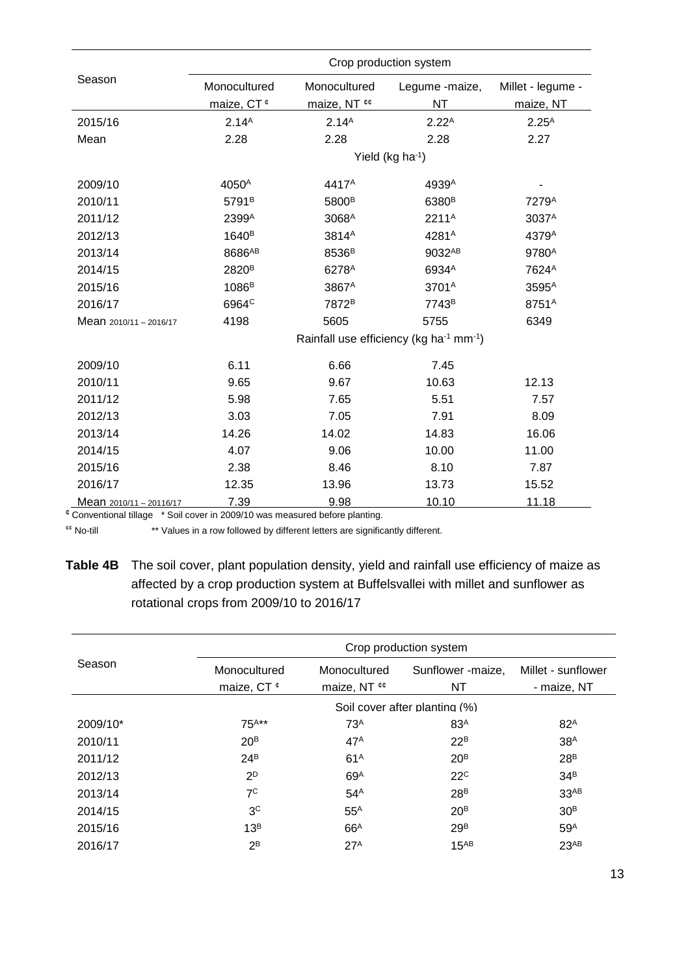|                         | Crop production system |                   |                                                                 |                   |  |  |  |  |
|-------------------------|------------------------|-------------------|-----------------------------------------------------------------|-------------------|--|--|--|--|
| Season                  | Monocultured           | Monocultured      | Legume -maize,                                                  | Millet - legume - |  |  |  |  |
|                         | maize, CT <sup>¢</sup> | maize, NT ¢¢      | <b>NT</b>                                                       | maize, NT         |  |  |  |  |
| 2015/16                 | 2.14 <sup>A</sup>      | 2.14 <sup>A</sup> | $2.22^{A}$                                                      | $2.25^{A}$        |  |  |  |  |
| Mean                    | 2.28                   | 2.28              | 2.28                                                            | 2.27              |  |  |  |  |
|                         |                        |                   | Yield (kg ha-1)                                                 |                   |  |  |  |  |
| 2009/10                 | 4050 <sup>A</sup>      | 4417 <sup>A</sup> | 4939A                                                           |                   |  |  |  |  |
| 2010/11                 | 5791 <sup>B</sup>      | 5800 <sup>B</sup> | 6380 <sup>B</sup>                                               | 7279 <sup>A</sup> |  |  |  |  |
| 2011/12                 | 2399A                  | 3068A             | 2211 <sup>A</sup>                                               | 3037 <sup>A</sup> |  |  |  |  |
| 2012/13                 | 1640 <sup>B</sup>      | 3814 <sup>A</sup> | 4281 <sup>A</sup>                                               | 4379A             |  |  |  |  |
| 2013/14                 | 8686AB                 | 8536 <sup>B</sup> | 9032AB                                                          | 9780 <sup>A</sup> |  |  |  |  |
| 2014/15                 | 2820 <sup>B</sup>      | 6278 <sup>A</sup> | 6934A                                                           | 7624 <sup>A</sup> |  |  |  |  |
| 2015/16                 | 1086 <sup>B</sup>      | 3867 <sup>A</sup> | 3701 <sup>A</sup>                                               | 3595 <sup>A</sup> |  |  |  |  |
| 2016/17                 | 6964 <sup>c</sup>      | 7872 <sup>B</sup> | 7743 <sup>B</sup>                                               | 8751 <sup>A</sup> |  |  |  |  |
| Mean 2010/11 - 2016/17  | 4198                   | 5605              | 5755                                                            | 6349              |  |  |  |  |
|                         |                        |                   | Rainfall use efficiency (kg ha <sup>-1</sup> mm <sup>-1</sup> ) |                   |  |  |  |  |
| 2009/10                 | 6.11                   | 6.66              | 7.45                                                            |                   |  |  |  |  |
| 2010/11                 | 9.65                   | 9.67              | 10.63                                                           | 12.13             |  |  |  |  |
| 2011/12                 | 5.98                   | 7.65              | 5.51                                                            | 7.57              |  |  |  |  |
| 2012/13                 | 3.03                   | 7.05              | 7.91                                                            | 8.09              |  |  |  |  |
| 2013/14                 | 14.26                  | 14.02             | 14.83                                                           | 16.06             |  |  |  |  |
| 2014/15                 | 4.07                   | 9.06              | 10.00                                                           | 11.00             |  |  |  |  |
| 2015/16                 | 2.38                   | 8.46              | 8.10                                                            | 7.87              |  |  |  |  |
| 2016/17                 | 12.35                  | 13.96             | 13.73                                                           | 15.52             |  |  |  |  |
| Mean 2010/11 - 20116/17 | 7.39                   | 9.98              | 10.10                                                           | 11.18             |  |  |  |  |

¢ Conventional tillage \* Soil cover in 2009/10 was measured before planting.

¢¢ No-till \*\* Values in a row followed by different letters are significantly different.

**Table 4B** The soil cover, plant population density, yield and rainfall use efficiency of maize as affected by a crop production system at Buffelsvallei with millet and sunflower as rotational crops from 2009/10 to 2016/17

|          | Crop production system |                                   |                               |                    |  |  |  |  |
|----------|------------------------|-----------------------------------|-------------------------------|--------------------|--|--|--|--|
| Season   | Monocultured           | Monocultured                      | Sunflower -maize,             | Millet - sunflower |  |  |  |  |
|          | maize, CT $\ell$       | maize, NT $\epsilon$ <sup>¢</sup> | NT                            | - maize, NT        |  |  |  |  |
|          |                        |                                   | Soil cover after planting (%) |                    |  |  |  |  |
| 2009/10* | $75^{A**}$             | 73 <sup>A</sup>                   | 83 <sup>A</sup>               | 82 <sup>A</sup>    |  |  |  |  |
| 2010/11  | 20 <sup>B</sup>        | $47^A$                            | $22^B$                        | 38 <sup>A</sup>    |  |  |  |  |
| 2011/12  | $24^B$                 | 61 <sup>A</sup>                   | 20 <sup>B</sup>               | 28 <sup>B</sup>    |  |  |  |  |
| 2012/13  | $2^D$                  | 69 <sup>A</sup>                   | 22 <sup>c</sup>               | 34 <sup>B</sup>    |  |  |  |  |
| 2013/14  | $7^{\circ}$            | $54^A$                            | 28 <sup>B</sup>               | 33 <sup>AB</sup>   |  |  |  |  |
| 2014/15  | 3 <sup>c</sup>         | $55^A$                            | 20 <sup>B</sup>               | 30 <sup>B</sup>    |  |  |  |  |
| 2015/16  | 13 <sup>B</sup>        | 66 <sup>A</sup>                   | 29 <sup>B</sup>               | 59 <sup>A</sup>    |  |  |  |  |
| 2016/17  | $2^B$                  | 27 <sup>A</sup>                   | $15^{AB}$                     | 23AB               |  |  |  |  |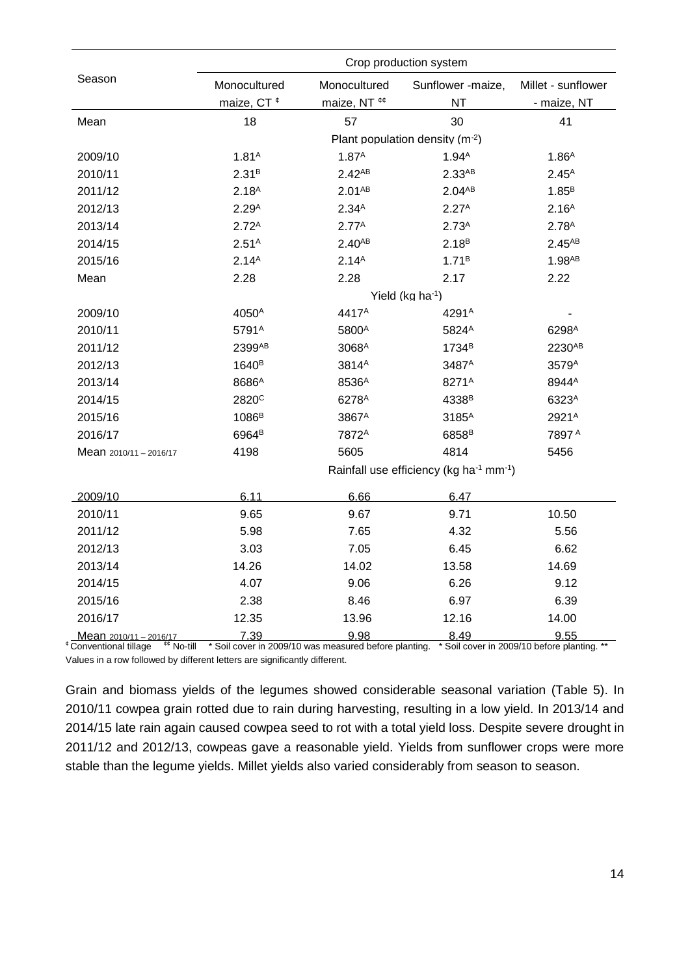|                                                                       | Crop production system |                                                              |                                                                 |                                                           |  |  |  |
|-----------------------------------------------------------------------|------------------------|--------------------------------------------------------------|-----------------------------------------------------------------|-----------------------------------------------------------|--|--|--|
| Season                                                                | Monocultured           | Monocultured                                                 | Sunflower -maize,                                               | Millet - sunflower                                        |  |  |  |
|                                                                       | maize, CT <sup>¢</sup> | maize, NT ¢¢                                                 | <b>NT</b>                                                       | - maize, NT                                               |  |  |  |
| Mean                                                                  | 18                     | 57                                                           | 30                                                              | 41                                                        |  |  |  |
|                                                                       |                        |                                                              | Plant population density (m-2)                                  |                                                           |  |  |  |
| 2009/10                                                               | 1.81 <sup>A</sup>      | 1.87 <sup>A</sup>                                            | 1.94 <sup>A</sup>                                               | 1.86 <sup>A</sup>                                         |  |  |  |
| 2010/11                                                               | 2.31 <sup>B</sup>      | 2.42 <sub>AB</sub>                                           | 2.33 <sup>AB</sup>                                              | $2.45^{A}$                                                |  |  |  |
| 2011/12                                                               | 2.18 <sup>A</sup>      | 2.01 <sub>AB</sub>                                           | $2.04^{AB}$                                                     | 1.85 <sup>B</sup>                                         |  |  |  |
| 2012/13                                                               | 2.29 <sup>A</sup>      | 2.34 <sup>A</sup>                                            | 2.27 <sup>A</sup>                                               | 2.16 <sup>A</sup>                                         |  |  |  |
| 2013/14                                                               | 2.72 <sup>A</sup>      | 2.77 <sup>A</sup>                                            | 2.73 <sup>A</sup>                                               | 2.78 <sup>A</sup>                                         |  |  |  |
| 2014/15                                                               | 2.51 <sup>A</sup>      | $2.40^{AB}$                                                  | 2.18 <sup>B</sup>                                               | $2.45^{AB}$                                               |  |  |  |
| 2015/16                                                               | 2.14 <sup>A</sup>      | 2.14 <sup>A</sup>                                            | 1.71 <sup>B</sup>                                               | $1.98$ <sup>AB</sup>                                      |  |  |  |
| Mean                                                                  | 2.28                   | 2.28                                                         | 2.17                                                            | 2.22                                                      |  |  |  |
|                                                                       |                        |                                                              | Yield (kg ha-1)                                                 |                                                           |  |  |  |
| 2009/10                                                               | 4050 <sup>A</sup>      | 4417 <sup>A</sup>                                            | 4291 <sup>A</sup>                                               |                                                           |  |  |  |
| 2010/11                                                               | 5791 <sup>A</sup>      | 5800 <sup>A</sup>                                            | 5824 <sup>A</sup>                                               | 6298 <sup>A</sup>                                         |  |  |  |
| 2011/12                                                               | 2399AB                 | 3068 <sup>A</sup>                                            | 1734 <sup>B</sup>                                               | 2230AB                                                    |  |  |  |
| 2012/13                                                               | 1640 <sup>B</sup>      | 3814 <sup>A</sup>                                            | 3487 <sup>A</sup>                                               | 3579 <sup>A</sup>                                         |  |  |  |
| 2013/14                                                               | 8686 <sup>A</sup>      | 8536 <sup>A</sup>                                            | 8271 <sup>A</sup>                                               | 8944A                                                     |  |  |  |
| 2014/15                                                               | 2820 <sup>c</sup>      | 6278 <sup>A</sup>                                            | 4338 <sup>B</sup>                                               | 6323A                                                     |  |  |  |
| 2015/16                                                               | 1086 <sup>B</sup>      | 3867 <sup>A</sup>                                            | 3185 <sup>A</sup>                                               | 2921 <sup>A</sup>                                         |  |  |  |
| 2016/17                                                               | 6964 <sup>B</sup>      | 7872 <sup>A</sup>                                            | 6858 <sup>B</sup>                                               | 7897 A                                                    |  |  |  |
| Mean 2010/11 - 2016/17                                                | 4198                   | 5605                                                         | 4814                                                            | 5456                                                      |  |  |  |
|                                                                       |                        |                                                              | Rainfall use efficiency (kg ha <sup>-1</sup> mm <sup>-1</sup> ) |                                                           |  |  |  |
| 2009/10                                                               | 6.11                   | 6.66                                                         | 6.47                                                            |                                                           |  |  |  |
| 2010/11                                                               | 9.65                   | 9.67                                                         | 9.71                                                            | 10.50                                                     |  |  |  |
| 2011/12                                                               | 5.98                   | 7.65                                                         | 4.32                                                            | 5.56                                                      |  |  |  |
| 2012/13                                                               | 3.03                   | 7.05                                                         | 6.45                                                            | 6.62                                                      |  |  |  |
| 2013/14                                                               | 14.26                  | 14.02                                                        | 13.58                                                           | 14.69                                                     |  |  |  |
| 2014/15                                                               | 4.07                   | 9.06                                                         | 6.26                                                            | 9.12                                                      |  |  |  |
| 2015/16                                                               | 2.38                   | 8.46                                                         | 6.97                                                            | 6.39                                                      |  |  |  |
| 2016/17                                                               | 12.35                  | 13.96                                                        | 12.16                                                           | 14.00                                                     |  |  |  |
| Mean 2010/11 - 2016/17<br>¢¢ N<br>$\sim$ +ill<br>Conventional tillage | 7.39                   | 9.98<br>* Soil cover in 2000/10 was moasured before planting | 8.49                                                            | <u>9.55</u><br>* Soil cover in 2000/10 hefere planting ** |  |  |  |

<sup>¢</sup> Conventional tillage <sup>¢¢</sup> No-till \* Soil cover in 2009/10 was measured before planting. \* Soil cover in 2009/10 before planting. Values in a row followed by different letters are significantly different.

Grain and biomass yields of the legumes showed considerable seasonal variation (Table 5). In 2010/11 cowpea grain rotted due to rain during harvesting, resulting in a low yield. In 2013/14 and 2014/15 late rain again caused cowpea seed to rot with a total yield loss. Despite severe drought in 2011/12 and 2012/13, cowpeas gave a reasonable yield. Yields from sunflower crops were more stable than the legume yields. Millet yields also varied considerably from season to season.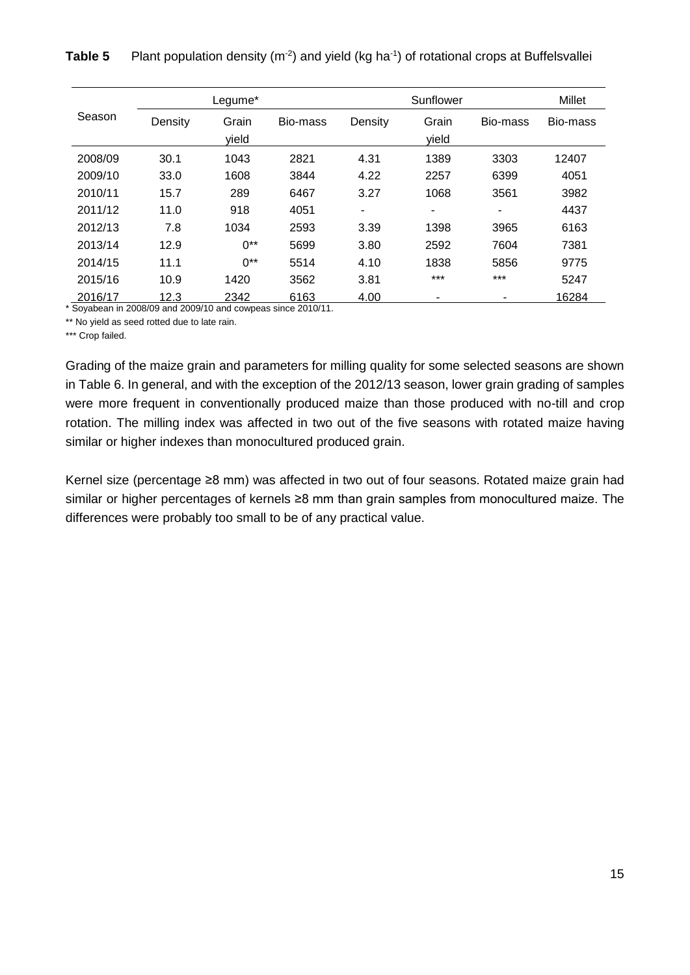|         |         | Legume*  |          |         | Sunflower |          | Millet   |
|---------|---------|----------|----------|---------|-----------|----------|----------|
| Season  | Density | Grain    | Bio-mass | Density | Grain     | Bio-mass | Bio-mass |
|         |         | yield    |          |         | yield     |          |          |
| 2008/09 | 30.1    | 1043     | 2821     | 4.31    | 1389      | 3303     | 12407    |
| 2009/10 | 33.0    | 1608     | 3844     | 4.22    | 2257      | 6399     | 4051     |
| 2010/11 | 15.7    | 289      | 6467     | 3.27    | 1068      | 3561     | 3982     |
| 2011/12 | 11.0    | 918      | 4051     | ۰       | -         | ۰        | 4437     |
| 2012/13 | 7.8     | 1034     | 2593     | 3.39    | 1398      | 3965     | 6163     |
| 2013/14 | 12.9    | $0^{**}$ | 5699     | 3.80    | 2592      | 7604     | 7381     |
| 2014/15 | 11.1    | $0^{**}$ | 5514     | 4.10    | 1838      | 5856     | 9775     |
| 2015/16 | 10.9    | 1420     | 3562     | 3.81    | $***$     | $***$    | 5247     |
| 2016/17 | 12.3    | 2342     | 6163     | 4.00    | -         | ۰        | 16284    |

Table 5 Plant population density (m<sup>-2</sup>) and yield (kg ha<sup>-1</sup>) of rotational crops at Buffelsvallei

\* Soyabean in 2008/09 and 2009/10 and cowpeas since 2010/11.

\*\* No yield as seed rotted due to late rain.

\*\*\* Crop failed.

Grading of the maize grain and parameters for milling quality for some selected seasons are shown in Table 6. In general, and with the exception of the 2012/13 season, lower grain grading of samples were more frequent in conventionally produced maize than those produced with no-till and crop rotation. The milling index was affected in two out of the five seasons with rotated maize having similar or higher indexes than monocultured produced grain.

Kernel size (percentage ≥8 mm) was affected in two out of four seasons. Rotated maize grain had similar or higher percentages of kernels ≥8 mm than grain samples from monocultured maize. The differences were probably too small to be of any practical value.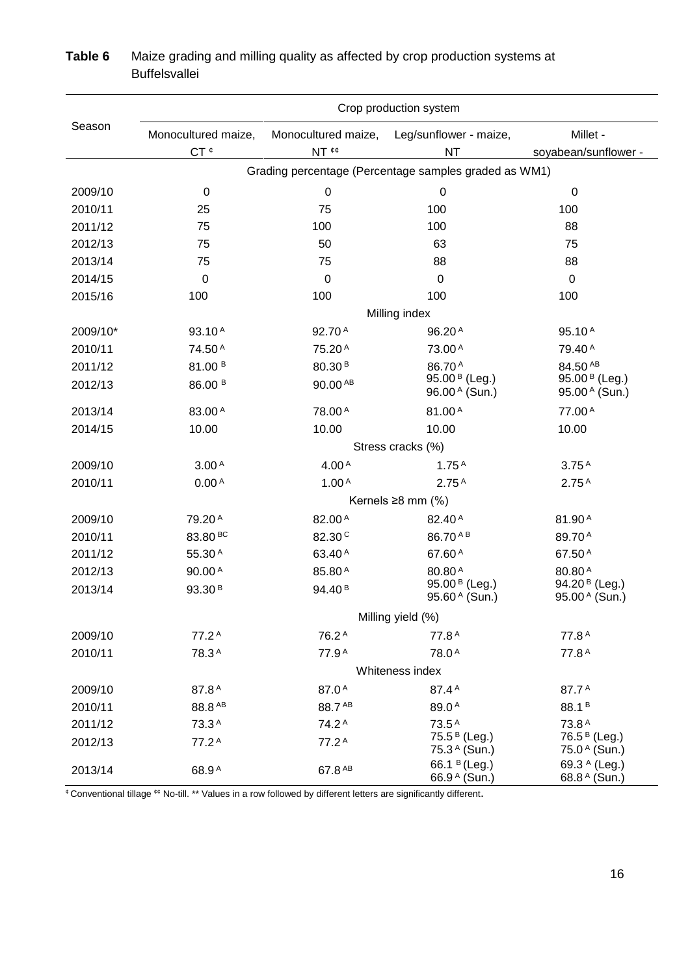|          | Crop production system |                                                       |                                             |                                             |  |  |  |  |  |  |
|----------|------------------------|-------------------------------------------------------|---------------------------------------------|---------------------------------------------|--|--|--|--|--|--|
| Season   | Monocultured maize,    | Monocultured maize,                                   | Leg/sunflower - maize,                      | Millet -                                    |  |  |  |  |  |  |
|          | CT <sup>¢</sup>        | NT <sup>¢¢</sup>                                      | <b>NT</b>                                   | soyabean/sunflower -                        |  |  |  |  |  |  |
|          |                        | Grading percentage (Percentage samples graded as WM1) |                                             |                                             |  |  |  |  |  |  |
| 2009/10  | $\boldsymbol{0}$       | $\pmb{0}$                                             | $\mathbf 0$                                 | $\boldsymbol{0}$                            |  |  |  |  |  |  |
| 2010/11  | 25                     | 75                                                    | 100                                         | 100                                         |  |  |  |  |  |  |
| 2011/12  | 75                     | 100                                                   | 100                                         | 88                                          |  |  |  |  |  |  |
| 2012/13  | 75                     | 50                                                    | 63                                          | 75                                          |  |  |  |  |  |  |
| 2013/14  | 75                     | 75                                                    | 88                                          | 88                                          |  |  |  |  |  |  |
| 2014/15  | 0                      | 0                                                     | $\mathbf 0$                                 | $\pmb{0}$                                   |  |  |  |  |  |  |
| 2015/16  | 100                    | 100                                                   | 100                                         | 100                                         |  |  |  |  |  |  |
|          |                        |                                                       | Milling index                               |                                             |  |  |  |  |  |  |
| 2009/10* | 93.10A                 | 92.70A                                                | 96.20 <sup>A</sup>                          | 95.10 <sup>A</sup>                          |  |  |  |  |  |  |
| 2010/11  | 74.50 A                | 75.20 <sup>A</sup>                                    | 73.00A                                      | 79.40 <sup>A</sup>                          |  |  |  |  |  |  |
| 2011/12  | 81.00 <sup>B</sup>     | 80.30 <sup>B</sup>                                    | 86.70A                                      | 84.50 AB                                    |  |  |  |  |  |  |
| 2012/13  | 86.00 <sup>B</sup>     | 90.00 AB                                              | 95.00 <sup>B</sup> (Leg.)<br>96.00 A (Sun.) | 95.00 <sup>B</sup> (Leg.)<br>95.00 A (Sun.) |  |  |  |  |  |  |
| 2013/14  | 83.00A                 | 78.00 A                                               | 81.00A                                      | 77.00 A                                     |  |  |  |  |  |  |
| 2014/15  | 10.00                  | 10.00                                                 | 10.00                                       | 10.00                                       |  |  |  |  |  |  |
|          |                        |                                                       | Stress cracks (%)                           |                                             |  |  |  |  |  |  |
| 2009/10  | 3.00 <sup>A</sup>      | 4.00 <sup>A</sup>                                     | 1.75 <sup>A</sup>                           | 3.75 <sup>A</sup>                           |  |  |  |  |  |  |
| 2010/11  | 0.00 <sup>A</sup>      | 1.00 <sup>A</sup>                                     | 2.75 <sup>A</sup>                           | 2.75 <sup>A</sup>                           |  |  |  |  |  |  |
|          |                        |                                                       | Kernels $\geq 8$ mm (%)                     |                                             |  |  |  |  |  |  |
| 2009/10  | 79.20 <sup>A</sup>     | 82.00 <sup>A</sup>                                    | 82.40 <sup>A</sup>                          | 81.90 <sup>A</sup>                          |  |  |  |  |  |  |
| 2010/11  | 83.80 <sup>BC</sup>    | 82.30 <sup>c</sup>                                    | 86.70 AB                                    | 89.70A                                      |  |  |  |  |  |  |
| 2011/12  | 55.30A                 | 63.40 <sup>A</sup>                                    | 67.60 <sup>A</sup>                          | 67.50 <sup>A</sup>                          |  |  |  |  |  |  |
| 2012/13  | 90.00A                 | 85.80A                                                | 80.80A                                      | 80.80A                                      |  |  |  |  |  |  |
| 2013/14  | 93.30 <sup>B</sup>     | 94.40 <sup>B</sup>                                    | 95.00 <sup>B</sup> (Leg.)<br>95.60 A (Sun.) | 94.20 <sup>B</sup> (Leg.)<br>95.00 A (Sun.) |  |  |  |  |  |  |
|          |                        |                                                       | Milling yield (%)                           |                                             |  |  |  |  |  |  |
| 2009/10  | 77.2 <sup>A</sup>      | 76.2 <sup>A</sup>                                     | 77.8 <sup>A</sup>                           | 77.8 <sup>A</sup>                           |  |  |  |  |  |  |
| 2010/11  | 78.3 <sup>A</sup>      | 77.9 <sup>A</sup>                                     | 78.0 <sup>A</sup>                           | 77.8 <sup>A</sup>                           |  |  |  |  |  |  |
|          |                        |                                                       | Whiteness index                             |                                             |  |  |  |  |  |  |
| 2009/10  | 87.8A                  | 87.0A                                                 | 87.4 <sup>A</sup>                           | 87.7A                                       |  |  |  |  |  |  |
| 2010/11  | 88.8 AB                | 88.7 AB                                               | 89.0A                                       | 88.1 <sup>B</sup>                           |  |  |  |  |  |  |
| 2011/12  | 73.3A                  | 74.2 <sup>A</sup>                                     | 73.5 <sup>A</sup>                           | 73.8A                                       |  |  |  |  |  |  |
| 2012/13  | 77.2 <sup>A</sup>      | 77.2 <sup>A</sup>                                     | 75.5 <sup>B</sup> (Leg.)<br>75.3 A (Sun.)   | 76.5 <sup>B</sup> (Leg.)<br>75.0 A (Sun.)   |  |  |  |  |  |  |
| 2013/14  | 68.9 <sup>A</sup>      | 67.8 AB                                               | 66.1 <sup>B</sup> (Leg.)<br>66.9 A (Sun.)   | 69.3 A (Leg.)<br>68.8 A (Sun.)              |  |  |  |  |  |  |

# **Table 6** Maize grading and milling quality as affected by crop production systems at **Buffelsvallei**

¢ Conventional tillage ¢¢ No-till. \*\* Values in a row followed by different letters are significantly different.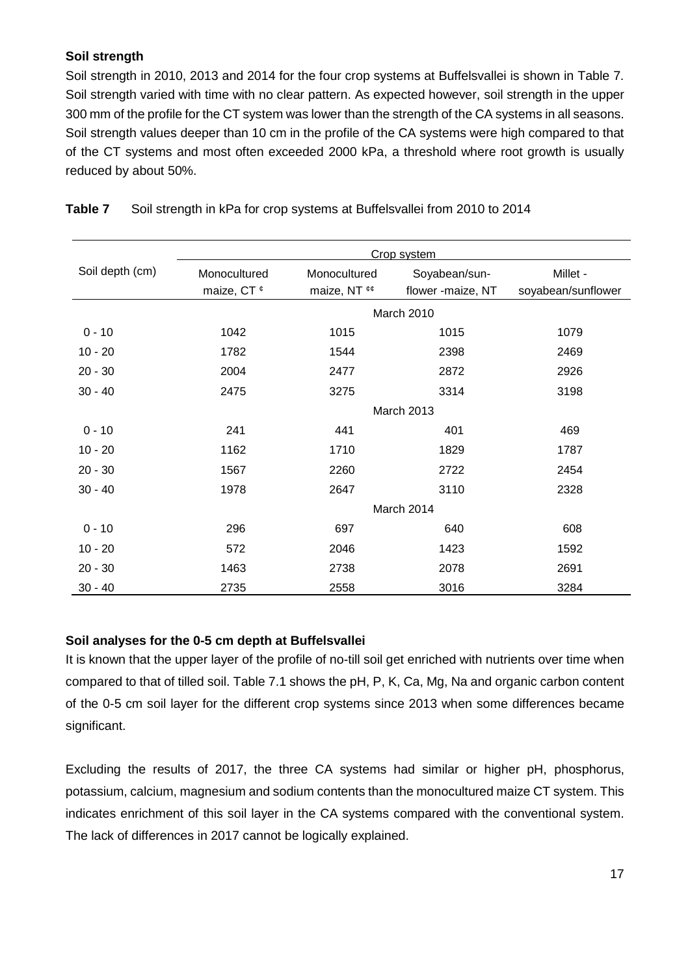# **Soil strength**

Soil strength in 2010, 2013 and 2014 for the four crop systems at Buffelsvallei is shown in Table 7. Soil strength varied with time with no clear pattern. As expected however, soil strength in the upper 300 mm of the profile for the CT system was lower than the strength of the CA systems in all seasons. Soil strength values deeper than 10 cm in the profile of the CA systems were high compared to that of the CT systems and most often exceeded 2000 kPa, a threshold where root growth is usually reduced by about 50%.

|                 | Crop system            |                         |                   |                    |  |  |  |  |  |  |
|-----------------|------------------------|-------------------------|-------------------|--------------------|--|--|--|--|--|--|
| Soil depth (cm) | Monocultured           | Monocultured            | Soyabean/sun-     | Millet -           |  |  |  |  |  |  |
|                 | maize, CT <sup>¢</sup> | maize, NT <sup>ee</sup> | flower -maize, NT | soyabean/sunflower |  |  |  |  |  |  |
|                 |                        |                         | March 2010        |                    |  |  |  |  |  |  |
| $0 - 10$        | 1042                   | 1015                    | 1015              | 1079               |  |  |  |  |  |  |
| $10 - 20$       | 1782                   | 1544                    | 2398              | 2469               |  |  |  |  |  |  |
| $20 - 30$       | 2004                   | 2477                    | 2872              | 2926               |  |  |  |  |  |  |
| $30 - 40$       | 2475                   |                         | 3314              | 3198               |  |  |  |  |  |  |
|                 |                        |                         | March 2013        |                    |  |  |  |  |  |  |
| $0 - 10$        | 241                    | 441                     | 401               | 469                |  |  |  |  |  |  |
| $10 - 20$       | 1162                   | 1710                    | 1829              | 1787               |  |  |  |  |  |  |
| $20 - 30$       | 1567                   | 2260                    | 2722              | 2454               |  |  |  |  |  |  |
| $30 - 40$       | 1978                   | 2647                    | 3110              | 2328               |  |  |  |  |  |  |
|                 |                        |                         | March 2014        |                    |  |  |  |  |  |  |
| $0 - 10$        | 296                    | 697                     | 640               | 608                |  |  |  |  |  |  |
| $10 - 20$       | 572                    | 2046                    | 1423              | 1592               |  |  |  |  |  |  |
| $20 - 30$       | 1463                   | 2738                    | 2078              | 2691               |  |  |  |  |  |  |
| $30 - 40$       | 2735                   | 2558                    | 3016              | 3284               |  |  |  |  |  |  |

**Table 7** Soil strength in kPa for crop systems at Buffelsvallei from 2010 to 2014

### **Soil analyses for the 0-5 cm depth at Buffelsvallei**

It is known that the upper layer of the profile of no-till soil get enriched with nutrients over time when compared to that of tilled soil. Table 7.1 shows the pH, P, K, Ca, Mg, Na and organic carbon content of the 0-5 cm soil layer for the different crop systems since 2013 when some differences became significant.

Excluding the results of 2017, the three CA systems had similar or higher pH, phosphorus, potassium, calcium, magnesium and sodium contents than the monocultured maize CT system. This indicates enrichment of this soil layer in the CA systems compared with the conventional system. The lack of differences in 2017 cannot be logically explained.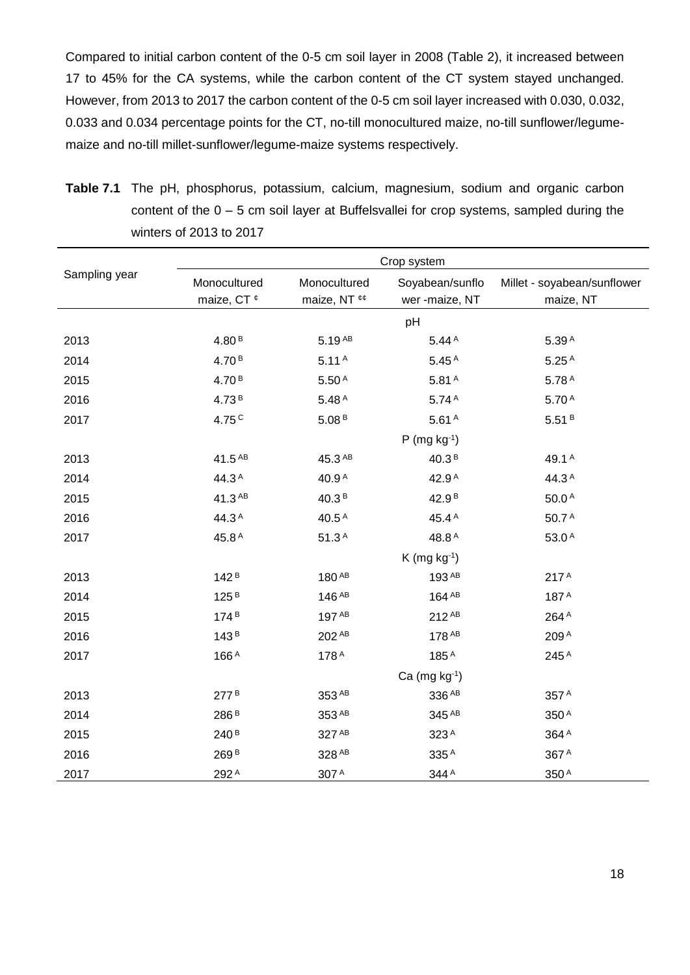Compared to initial carbon content of the 0-5 cm soil layer in 2008 (Table 2), it increased between 17 to 45% for the CA systems, while the carbon content of the CT system stayed unchanged. However, from 2013 to 2017 the carbon content of the 0-5 cm soil layer increased with 0.030, 0.032, 0.033 and 0.034 percentage points for the CT, no-till monocultured maize, no-till sunflower/legumemaize and no-till millet-sunflower/legume-maize systems respectively.

| <b>Table 7.1</b> The pH, phosphorus, potassium, calcium, magnesium, sodium and organic carbon |
|-----------------------------------------------------------------------------------------------|
| content of the $0 - 5$ cm soil layer at Buffelsvallei for crop systems, sampled during the    |
| winters of 2013 to 2017                                                                       |
| Cron evetam                                                                                   |

|               | Crop system            |                   |                      |                             |  |  |  |  |  |  |  |
|---------------|------------------------|-------------------|----------------------|-----------------------------|--|--|--|--|--|--|--|
| Sampling year | Monocultured           | Monocultured      | Soyabean/sunflo      | Millet - soyabean/sunflower |  |  |  |  |  |  |  |
|               | maize, CT <sup>¢</sup> | maize, NT ¢¢      | wer -maize, NT       | maize, NT                   |  |  |  |  |  |  |  |
|               |                        |                   | pH                   |                             |  |  |  |  |  |  |  |
| 2013          | 4.80 <sup>B</sup>      | $5.19^{AB}$       | 5.44 <sup>A</sup>    | 5.39 <sup>A</sup>           |  |  |  |  |  |  |  |
| 2014          | 4.70 <sup>B</sup>      | 5.11 <sup>A</sup> | 5.45 <sup>A</sup>    | 5.25 <sup>A</sup>           |  |  |  |  |  |  |  |
| 2015          | 4.70 <sup>B</sup>      | $5.50A$           | 5.81 <sup>A</sup>    | 5.78A                       |  |  |  |  |  |  |  |
| 2016          | 4.73 <sup>B</sup>      | 5.48 <sup>A</sup> | 5.74 <sup>A</sup>    | 5.70 <sup>A</sup>           |  |  |  |  |  |  |  |
| 2017          | 4.75C                  | 5.08B             | 5.61 <sup>A</sup>    | 5.51B                       |  |  |  |  |  |  |  |
|               |                        |                   | $P$ (mg kg $^{-1}$ ) |                             |  |  |  |  |  |  |  |
| 2013          | 41.5 AB                | 45.3 AB           | 40.3 <sup>B</sup>    | 49.1 <sup>A</sup>           |  |  |  |  |  |  |  |
| 2014          | 44.3A                  | 40.9 <sup>A</sup> | 42.9 <sup>A</sup>    | 44.3A                       |  |  |  |  |  |  |  |
| 2015          | 41.3 AB                | 40.3 <sup>B</sup> | 42.9 <sup>B</sup>    | 50.0 <sup>A</sup>           |  |  |  |  |  |  |  |
| 2016          | 44.3A                  | 40.5 <sup>A</sup> | 45.4 <sup>A</sup>    | 50.7A                       |  |  |  |  |  |  |  |
| 2017          | 45.8 <sup>A</sup>      | 51.3 <sup>A</sup> | 48.8 <sup>A</sup>    | 53.0A                       |  |  |  |  |  |  |  |
|               |                        |                   | $K$ (mg kg $^{-1}$ ) |                             |  |  |  |  |  |  |  |
| 2013          | 142 <sup>B</sup>       | 180 AB            | 193 AB               | 217 <sup>A</sup>            |  |  |  |  |  |  |  |
| 2014          | 125 <sup>B</sup>       | 146 AB            | 164 AB               | 187A                        |  |  |  |  |  |  |  |
| 2015          | 174 <sup>B</sup>       | 197 AB            | 212 AB               | 264 A                       |  |  |  |  |  |  |  |
| 2016          | 143 <sup>B</sup>       | 202 AB            | 178 AB               | 209A                        |  |  |  |  |  |  |  |
| 2017          | 166A                   | 178A              | 185A                 | 245A                        |  |  |  |  |  |  |  |
|               |                        |                   | Ca $(mg kg-1)$       |                             |  |  |  |  |  |  |  |
| 2013          | 277 <sup>B</sup>       | 353 AB            | 336 AB               | 357 A                       |  |  |  |  |  |  |  |
| 2014          | 286 <sup>B</sup>       | 353 AB            | 345 AB               | 350A                        |  |  |  |  |  |  |  |
| 2015          | 240 <sup>B</sup>       | 327 AB            | 323A                 | 364A                        |  |  |  |  |  |  |  |
| 2016          | 269 <sup>B</sup>       | 328 AB            | 335A                 | 367A                        |  |  |  |  |  |  |  |
| 2017          | 292A                   | 307 A             | 344A                 | 350A                        |  |  |  |  |  |  |  |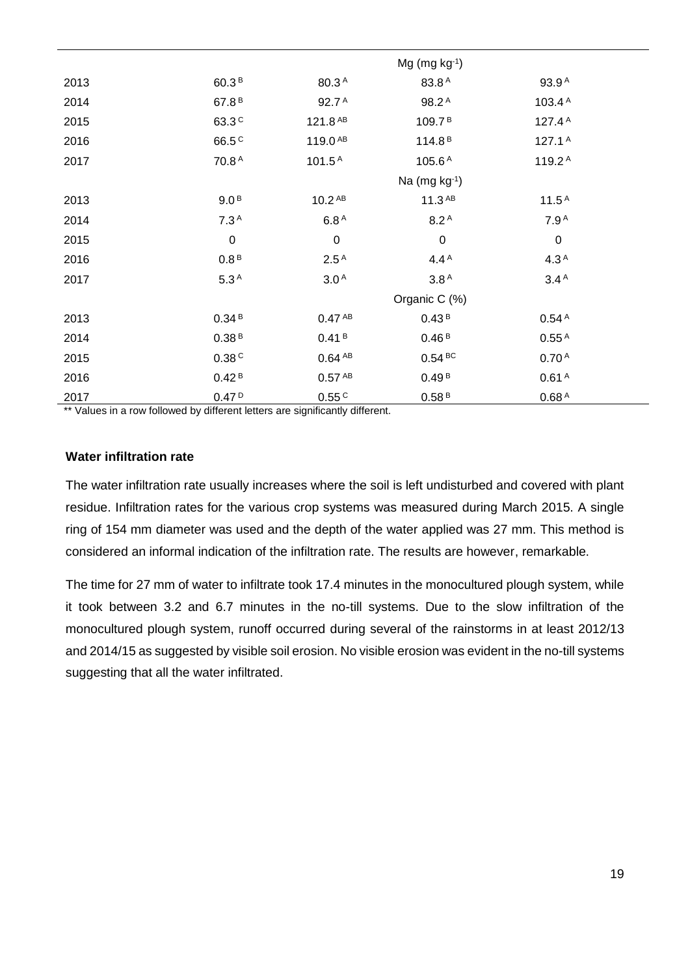|      |                   |                     | $Mg$ (mg kg $^{-1}$ ) |                    |  |
|------|-------------------|---------------------|-----------------------|--------------------|--|
| 2013 | 60.3 <sup>B</sup> | 80.3 <sup>A</sup>   | 83.8A                 | 93.9 <sup>A</sup>  |  |
| 2014 | 67.8 <sup>B</sup> | 92.7 <sup>A</sup>   | 98.2 <sup>A</sup>     | 103.4 <sup>A</sup> |  |
| 2015 | 63.3 <sup>c</sup> | 121.8 AB            | 109.7 <sup>B</sup>    | 127.4 $A$          |  |
| 2016 | 66.5 <sup>c</sup> | 119.0 <sup>AB</sup> | 114.8 <sup>B</sup>    | 127.1 $A$          |  |
| 2017 | 70.8A             | 101.5 <sup>A</sup>  | 105.6 <sup>A</sup>    | 119.2 <sup>A</sup> |  |
|      |                   |                     | Na $(mg kg-1)$        |                    |  |
| 2013 | 9.0 <sup>B</sup>  | 10.2 <sup>AB</sup>  | $11.3^{AB}$           | 11.5 <sup>A</sup>  |  |
| 2014 | 7.3 <sup>A</sup>  | 6.8 <sup>A</sup>    | 8.2 <sup>A</sup>      | 7.9 <sup>A</sup>   |  |
| 2015 | $\boldsymbol{0}$  | $\pmb{0}$           | $\boldsymbol{0}$      | $\pmb{0}$          |  |
| 2016 | 0.8 <sup>B</sup>  | 2.5 <sup>A</sup>    | 4.4 $A$               | 4.3 <sup>A</sup>   |  |
| 2017 | 5.3 <sup>A</sup>  | 3.0 <sup>A</sup>    | 3.8 <sup>A</sup>      | 3.4 <sup>A</sup>   |  |
|      |                   |                     | Organic C (%)         |                    |  |
| 2013 | 0.34B             | 0.47 <sup>AB</sup>  | 0.43 <sup>B</sup>     | 0.54 <sup>A</sup>  |  |
| 2014 | 0.38B             | 0.41 <sup>B</sup>   | 0.46B                 | 0.55 <sup>A</sup>  |  |
| 2015 | 0.38C             | 0.64 <sup>AB</sup>  | 0.54 BC               | 0.70 <sup>A</sup>  |  |
| 2016 | 0.42 <sup>B</sup> | 0.57 <sup>AB</sup>  | 0.49 <sup>B</sup>     | 0.61 <sup>A</sup>  |  |
| 2017 | 0.47P             | 0.55 <sup>C</sup>   | 0.58B                 | 0.68 <sup>A</sup>  |  |

\*\* Values in a row followed by different letters are significantly different.

#### **Water infiltration rate**

The water infiltration rate usually increases where the soil is left undisturbed and covered with plant residue. Infiltration rates for the various crop systems was measured during March 2015. A single ring of 154 mm diameter was used and the depth of the water applied was 27 mm. This method is considered an informal indication of the infiltration rate. The results are however, remarkable.

The time for 27 mm of water to infiltrate took 17.4 minutes in the monocultured plough system, while it took between 3.2 and 6.7 minutes in the no-till systems. Due to the slow infiltration of the monocultured plough system, runoff occurred during several of the rainstorms in at least 2012/13 and 2014/15 as suggested by visible soil erosion. No visible erosion was evident in the no-till systems suggesting that all the water infiltrated.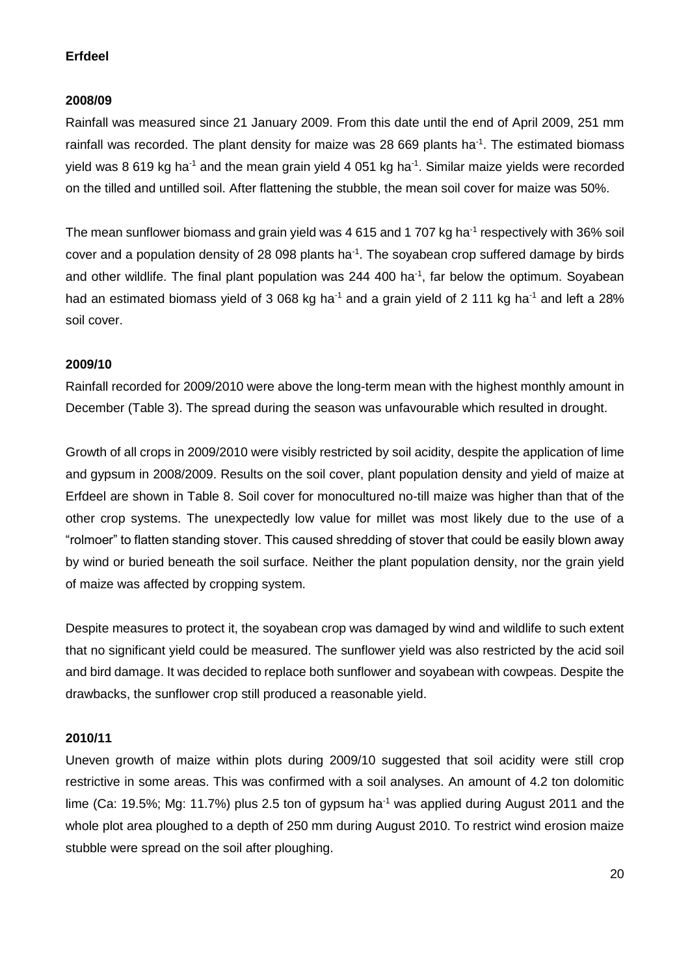# **Erfdeel**

### **2008/09**

Rainfall was measured since 21 January 2009. From this date until the end of April 2009, 251 mm rainfall was recorded. The plant density for maize was 28 669 plants ha $<sup>-1</sup>$ . The estimated biomass</sup> yield was 8 619 kg ha<sup>-1</sup> and the mean grain yield 4 051 kg ha<sup>-1</sup>. Similar maize yields were recorded on the tilled and untilled soil. After flattening the stubble, the mean soil cover for maize was 50%.

The mean sunflower biomass and grain yield was 4 615 and 1 707 kg ha<sup>-1</sup> respectively with 36% soil cover and a population density of 28 098 plants ha<sup>-1</sup>. The soyabean crop suffered damage by birds and other wildlife. The final plant population was 244 400 ha $<sup>-1</sup>$ , far below the optimum. Soyabean</sup> had an estimated biomass yield of 3 068 kg ha<sup>-1</sup> and a grain yield of 2 111 kg ha<sup>-1</sup> and left a 28% soil cover.

# **2009/10**

Rainfall recorded for 2009/2010 were above the long-term mean with the highest monthly amount in December (Table 3). The spread during the season was unfavourable which resulted in drought.

Growth of all crops in 2009/2010 were visibly restricted by soil acidity, despite the application of lime and gypsum in 2008/2009. Results on the soil cover, plant population density and yield of maize at Erfdeel are shown in Table 8. Soil cover for monocultured no-till maize was higher than that of the other crop systems. The unexpectedly low value for millet was most likely due to the use of a "rolmoer" to flatten standing stover. This caused shredding of stover that could be easily blown away by wind or buried beneath the soil surface. Neither the plant population density, nor the grain yield of maize was affected by cropping system.

Despite measures to protect it, the soyabean crop was damaged by wind and wildlife to such extent that no significant yield could be measured. The sunflower yield was also restricted by the acid soil and bird damage. It was decided to replace both sunflower and soyabean with cowpeas. Despite the drawbacks, the sunflower crop still produced a reasonable yield.

#### **2010/11**

Uneven growth of maize within plots during 2009/10 suggested that soil acidity were still crop restrictive in some areas. This was confirmed with a soil analyses. An amount of 4.2 ton dolomitic lime (Ca: 19.5%; Mg: 11.7%) plus 2.5 ton of gypsum ha<sup>-1</sup> was applied during August 2011 and the whole plot area ploughed to a depth of 250 mm during August 2010. To restrict wind erosion maize stubble were spread on the soil after ploughing.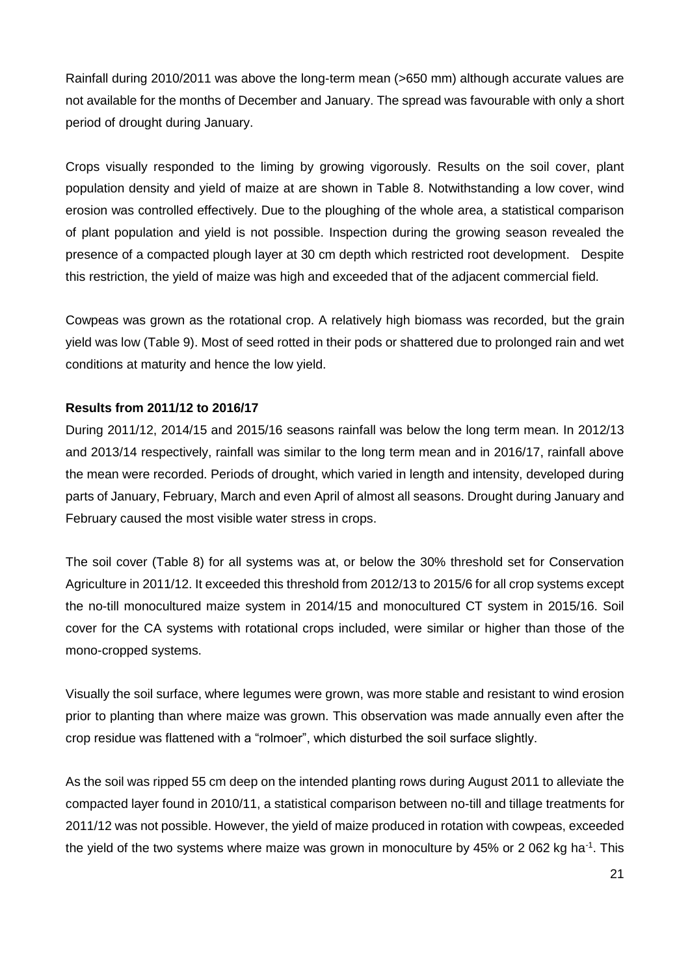Rainfall during 2010/2011 was above the long-term mean (>650 mm) although accurate values are not available for the months of December and January. The spread was favourable with only a short period of drought during January.

Crops visually responded to the liming by growing vigorously. Results on the soil cover, plant population density and yield of maize at are shown in Table 8. Notwithstanding a low cover, wind erosion was controlled effectively. Due to the ploughing of the whole area, a statistical comparison of plant population and yield is not possible. Inspection during the growing season revealed the presence of a compacted plough layer at 30 cm depth which restricted root development. Despite this restriction, the yield of maize was high and exceeded that of the adjacent commercial field.

Cowpeas was grown as the rotational crop. A relatively high biomass was recorded, but the grain yield was low (Table 9). Most of seed rotted in their pods or shattered due to prolonged rain and wet conditions at maturity and hence the low yield.

# **Results from 2011/12 to 2016/17**

During 2011/12, 2014/15 and 2015/16 seasons rainfall was below the long term mean. In 2012/13 and 2013/14 respectively, rainfall was similar to the long term mean and in 2016/17, rainfall above the mean were recorded. Periods of drought, which varied in length and intensity, developed during parts of January, February, March and even April of almost all seasons. Drought during January and February caused the most visible water stress in crops.

The soil cover (Table 8) for all systems was at, or below the 30% threshold set for Conservation Agriculture in 2011/12. It exceeded this threshold from 2012/13 to 2015/6 for all crop systems except the no-till monocultured maize system in 2014/15 and monocultured CT system in 2015/16. Soil cover for the CA systems with rotational crops included, were similar or higher than those of the mono-cropped systems.

Visually the soil surface, where legumes were grown, was more stable and resistant to wind erosion prior to planting than where maize was grown. This observation was made annually even after the crop residue was flattened with a "rolmoer", which disturbed the soil surface slightly.

As the soil was ripped 55 cm deep on the intended planting rows during August 2011 to alleviate the compacted layer found in 2010/11, a statistical comparison between no-till and tillage treatments for 2011/12 was not possible. However, the yield of maize produced in rotation with cowpeas, exceeded the yield of the two systems where maize was grown in monoculture by 45% or 2 062 kg ha<sup>-1</sup>. This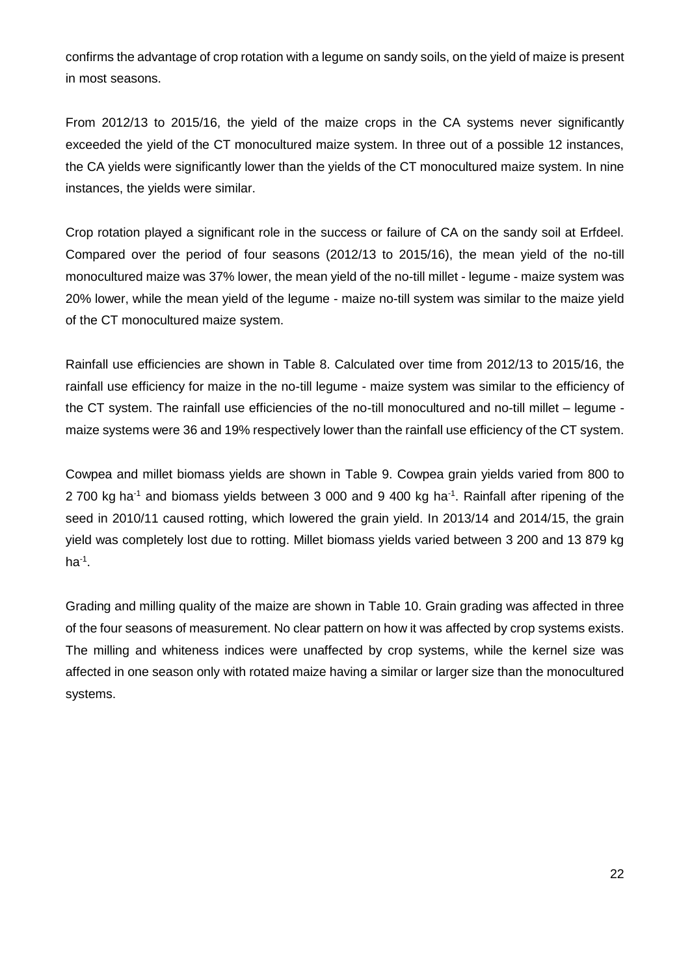confirms the advantage of crop rotation with a legume on sandy soils, on the yield of maize is present in most seasons.

From 2012/13 to 2015/16, the yield of the maize crops in the CA systems never significantly exceeded the yield of the CT monocultured maize system. In three out of a possible 12 instances, the CA yields were significantly lower than the yields of the CT monocultured maize system. In nine instances, the yields were similar.

Crop rotation played a significant role in the success or failure of CA on the sandy soil at Erfdeel. Compared over the period of four seasons (2012/13 to 2015/16), the mean yield of the no-till monocultured maize was 37% lower, the mean yield of the no-till millet - legume - maize system was 20% lower, while the mean yield of the legume - maize no-till system was similar to the maize yield of the CT monocultured maize system.

Rainfall use efficiencies are shown in Table 8. Calculated over time from 2012/13 to 2015/16, the rainfall use efficiency for maize in the no-till legume - maize system was similar to the efficiency of the CT system. The rainfall use efficiencies of the no-till monocultured and no-till millet – legume maize systems were 36 and 19% respectively lower than the rainfall use efficiency of the CT system.

Cowpea and millet biomass yields are shown in Table 9. Cowpea grain yields varied from 800 to 2 700 kg ha<sup>-1</sup> and biomass yields between 3 000 and 9 400 kg ha<sup>-1</sup>. Rainfall after ripening of the seed in 2010/11 caused rotting, which lowered the grain yield. In 2013/14 and 2014/15, the grain yield was completely lost due to rotting. Millet biomass yields varied between 3 200 and 13 879 kg  $ha^{-1}$ .

Grading and milling quality of the maize are shown in Table 10. Grain grading was affected in three of the four seasons of measurement. No clear pattern on how it was affected by crop systems exists. The milling and whiteness indices were unaffected by crop systems, while the kernel size was affected in one season only with rotated maize having a similar or larger size than the monocultured systems.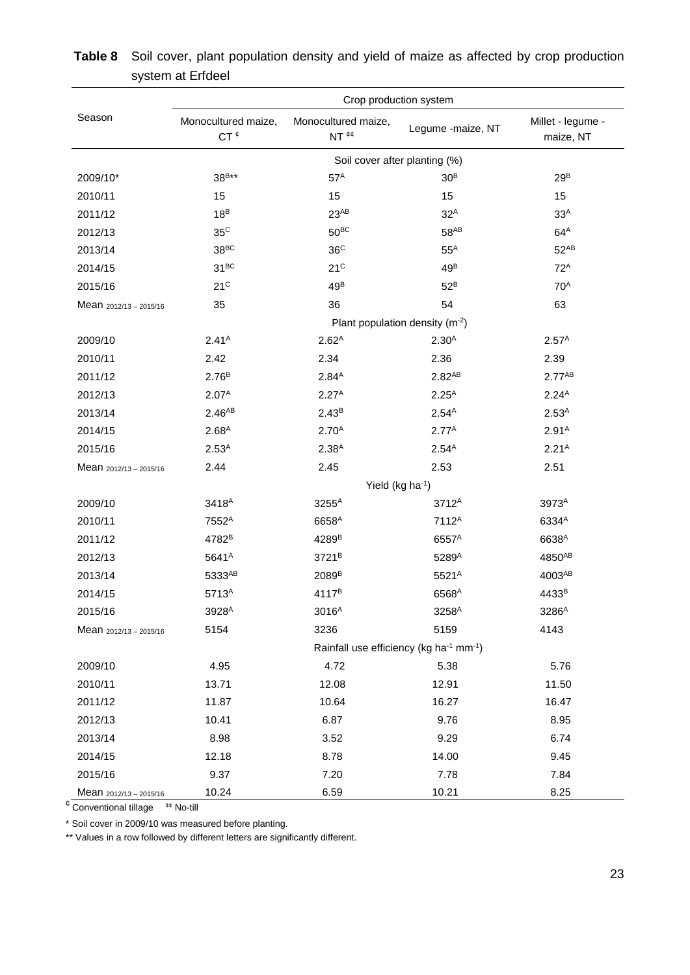|                          |                                        | Crop production system                                          |                   |                                |
|--------------------------|----------------------------------------|-----------------------------------------------------------------|-------------------|--------------------------------|
| Season                   | Monocultured maize,<br>CT <sup>¢</sup> | Monocultured maize,<br>NT <sup>¢¢</sup>                         | Legume -maize, NT | Millet - legume -<br>maize, NT |
|                          |                                        | Soil cover after planting (%)                                   |                   |                                |
| 2009/10*                 | 38 <sup>B**</sup>                      | 57 <sup>A</sup>                                                 | 30 <sup>B</sup>   | 29 <sup>B</sup>                |
| 2010/11                  | 15                                     | 15                                                              | 15                | 15                             |
| 2011/12                  | 18 <sup>B</sup>                        | $23^{AB}$                                                       | $32^A$            | 33 <sup>A</sup>                |
| 2012/13                  | 35 <sup>C</sup>                        | $50^{BC}$                                                       | $58^{AB}$         | $64^A$                         |
| 2013/14                  | 38 <sup>BC</sup>                       | 36 <sup>C</sup>                                                 | $55^A$            | $52^{AB}$                      |
| 2014/15                  | $31^{BC}$                              | 21 <sup>C</sup>                                                 | 49 <sup>B</sup>   | $72^A$                         |
| 2015/16                  | 21 <sup>C</sup>                        | 49 <sup>B</sup>                                                 | $52^B$            | 70 <sup>A</sup>                |
| Mean 2012/13 - 2015/16   | 35                                     | 36                                                              | 54                | 63                             |
|                          |                                        | Plant population density $(m-2)$                                |                   |                                |
| 2009/10                  | 2.41 <sup>A</sup>                      | 2.62 <sup>A</sup>                                               | 2.30 <sup>A</sup> | 2.57 <sup>A</sup>              |
| 2010/11                  | 2.42                                   | 2.34                                                            | 2.36              | 2.39                           |
| 2011/12                  | 2.76 <sup>B</sup>                      | $2.84^{A}$                                                      | $2.82^{AB}$       | $2.77^{AB}$                    |
| 2012/13                  | 2.07 <sup>A</sup>                      | $2.27^{A}$                                                      | $2.25^{A}$        | $2.24^{A}$                     |
| 2013/14                  | $2.46^{AB}$                            | $2.43^{B}$                                                      | $2.54^{A}$        | 2.53 <sup>A</sup>              |
| 2014/15                  | 2.68 <sup>A</sup>                      | 2.70 <sup>A</sup>                                               | $2.77^{A}$        | 2.91 <sup>A</sup>              |
| 2015/16                  | $2.53^{A}$                             | 2.38 <sup>A</sup>                                               | $2.54^{A}$        | 2.21 <sup>A</sup>              |
| Mean $2012/13 - 2015/16$ | 2.44                                   | 2.45                                                            | 2.53              | 2.51                           |
|                          |                                        | Yield (kg ha <sup>-1</sup> )                                    |                   |                                |
| 2009/10                  | 3418 <sup>A</sup>                      | 3255 <sup>A</sup>                                               | 3712 <sup>A</sup> | 3973 <sup>A</sup>              |
| 2010/11                  | 7552 <sup>A</sup>                      | 6658 <sup>A</sup>                                               | 7112 <sup>A</sup> | 6334 <sup>A</sup>              |
| 2011/12                  | 4782 <sup>B</sup>                      | 4289 <sup>B</sup>                                               | 6557 <sup>A</sup> | 6638 <sup>A</sup>              |
| 2012/13                  | 5641 <sup>A</sup>                      | 3721 <sup>B</sup>                                               | 5289 <sup>A</sup> | 4850AB                         |
| 2013/14                  | 5333AB                                 | 2089 <sup>B</sup>                                               | 5521 <sup>A</sup> | 4003AB                         |
| 2014/15                  | 5713 <sup>A</sup>                      | 4117 <sup>B</sup>                                               | 6568 <sup>A</sup> | 4433 <sup>B</sup>              |
| 2015/16                  | 3928 <sup>A</sup>                      | 3016 <sup>A</sup>                                               | 3258 <sup>A</sup> | 3286 <sup>A</sup>              |
| Mean 2012/13 - 2015/16   | 5154                                   | 3236                                                            | 5159              | 4143                           |
|                          |                                        | Rainfall use efficiency (kg ha <sup>-1</sup> mm <sup>-1</sup> ) |                   |                                |
| 2009/10                  | 4.95                                   | 4.72                                                            | 5.38              | 5.76                           |
| 2010/11                  | 13.71                                  | 12.08                                                           | 12.91             | 11.50                          |
| 2011/12                  | 11.87                                  | 10.64                                                           | 16.27             | 16.47                          |
| 2012/13                  | 10.41                                  | 6.87                                                            | 9.76              | 8.95                           |
| 2013/14                  | 8.98                                   | 3.52                                                            | 9.29              | 6.74                           |
| 2014/15                  | 12.18                                  | 8.78                                                            | 14.00             | 9.45                           |
| 2015/16                  | 9.37                                   | 7.20                                                            | 7.78              | 7.84                           |
| Mean 2012/13 - 2015/16   | 10.24                                  | 6.59                                                            | 10.21             | 8.25                           |

# **Table 8** Soil cover, plant population density and yield of maize as affected by crop production system at Erfdeel

 $\sqrt[e]{\text{Conventional tillage}}$ <sup>e¢</sup> No-till

\* Soil cover in 2009/10 was measured before planting.

\*\* Values in a row followed by different letters are significantly different.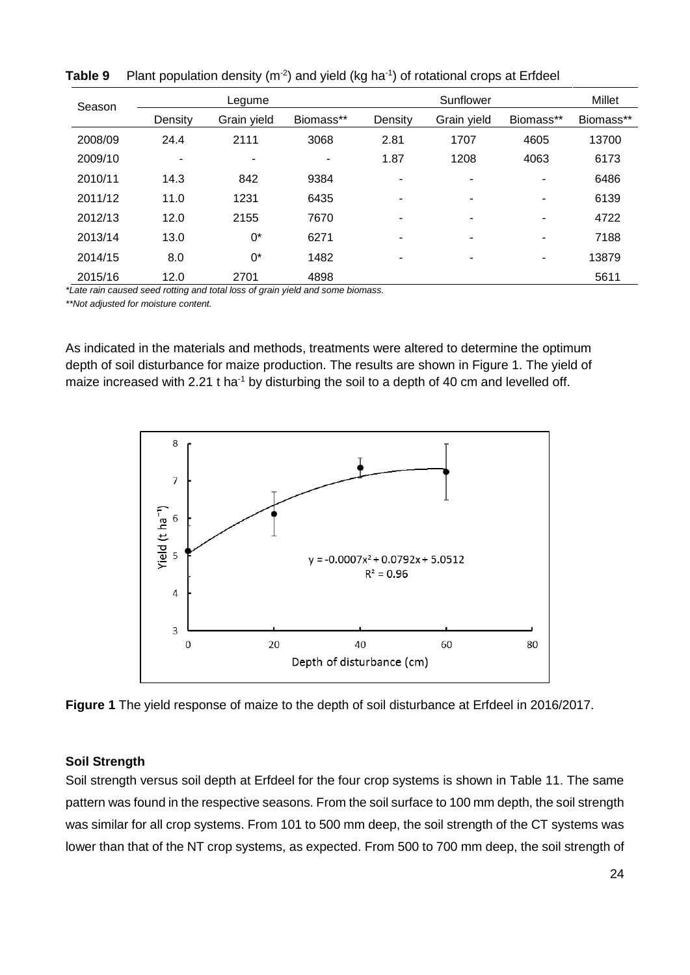| Season  |                          | Legume      |           |                | Sunflower                |                |           |  |
|---------|--------------------------|-------------|-----------|----------------|--------------------------|----------------|-----------|--|
|         | Density                  | Grain yield | Biomass** | Density        | Grain yield              | Biomass**      | Biomass** |  |
| 2008/09 | 24.4                     | 2111        | 3068      | 2.81           | 1707                     | 4605           | 13700     |  |
| 2009/10 | $\overline{\phantom{a}}$ |             |           | 1.87           | 1208                     | 4063           | 6173      |  |
| 2010/11 | 14.3                     | 842         | 9384      | ۰              | ٠                        | ٠              | 6486      |  |
| 2011/12 | 11.0                     | 1231        | 6435      | -              | $\overline{\phantom{a}}$ | ٠              | 6139      |  |
| 2012/13 | 12.0                     | 2155        | 7670      | $\blacksquare$ | ٠                        | ٠              | 4722      |  |
| 2013/14 | 13.0                     | $0^*$       | 6271      | ۰              | $\overline{\phantom{a}}$ | ٠              | 7188      |  |
| 2014/15 | 8.0                      | $0^*$       | 1482      | -              | $\overline{\phantom{0}}$ | $\blacksquare$ | 13879     |  |
| 2015/16 | 12.0<br>$\cdots$         | 2701<br>.   | 4898<br>. | . .            |                          |                | 5611      |  |

**Table 9** Plant population density (m<sup>-2</sup>) and yield (kg ha<sup>-1</sup>) of rotational crops at Erfdeel

*\*Late rain caused seed rotting and total loss of grain yield and some biomass.*

*\*\*Not adjusted for moisture content.*

As indicated in the materials and methods, treatments were altered to determine the optimum depth of soil disturbance for maize production. The results are shown in Figure 1. The yield of maize increased with 2.21 t ha<sup>-1</sup> by disturbing the soil to a depth of 40 cm and levelled off.



**Figure 1** The yield response of maize to the depth of soil disturbance at Erfdeel in 2016/2017.

#### **Soil Strength**

Soil strength versus soil depth at Erfdeel for the four crop systems is shown in Table 11. The same pattern was found in the respective seasons. From the soil surface to 100 mm depth, the soil strength was similar for all crop systems. From 101 to 500 mm deep, the soil strength of the CT systems was lower than that of the NT crop systems, as expected. From 500 to 700 mm deep, the soil strength of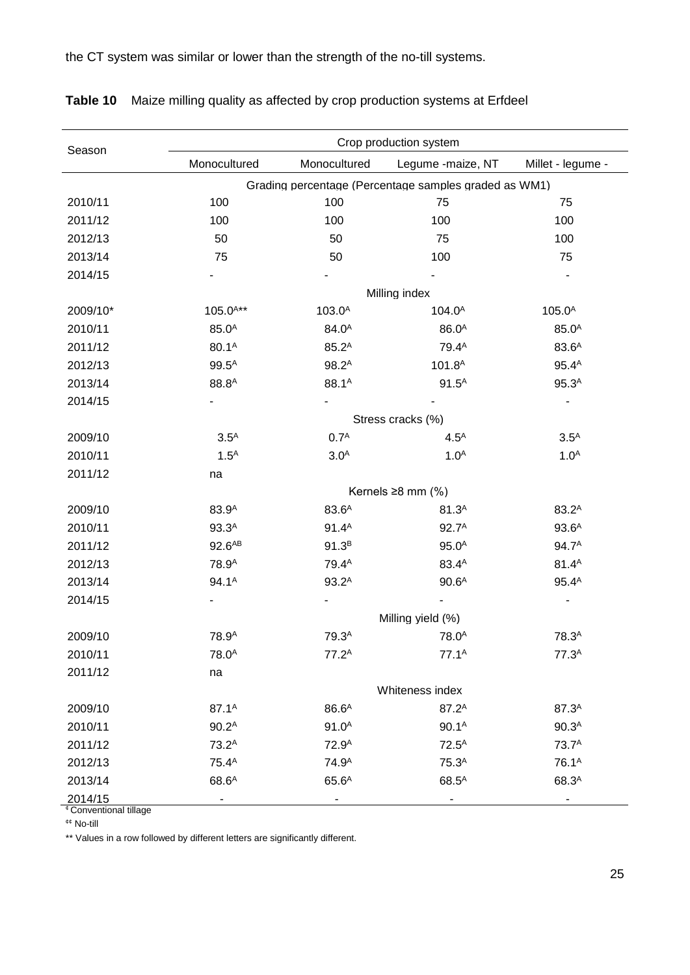the CT system was similar or lower than the strength of the no-till systems.

| Season   |                    |                    | Crop production system                                |                    |
|----------|--------------------|--------------------|-------------------------------------------------------|--------------------|
|          | Monocultured       | Monocultured       | Legume -maize, NT                                     | Millet - legume -  |
|          |                    |                    | Grading percentage (Percentage samples graded as WM1) |                    |
| 2010/11  | 100                | 100                | 75                                                    | 75                 |
| 2011/12  | 100                | 100                | 100                                                   | 100                |
| 2012/13  | 50                 | 50                 | 75                                                    | 100                |
| 2013/14  | 75                 | 50                 | 100                                                   | 75                 |
| 2014/15  |                    |                    |                                                       |                    |
|          |                    |                    | Milling index                                         |                    |
| 2009/10* | $105.0^{A**}$      | 103.0 <sup>A</sup> | 104.0 <sup>A</sup>                                    | 105.0 <sup>A</sup> |
| 2010/11  | 85.0 <sup>A</sup>  | 84.0 <sup>A</sup>  | 86.0 <sup>A</sup>                                     | 85.0 <sup>A</sup>  |
| 2011/12  | 80.1 <sup>A</sup>  | $85.2^{A}$         | 79.4 <sup>A</sup>                                     | 83.6 <sup>A</sup>  |
| 2012/13  | $99.5^{A}$         | $98.2^A$           | 101.8 <sup>A</sup>                                    | $95.4^{A}$         |
| 2013/14  | 88.8 <sup>A</sup>  | 88.1 <sup>A</sup>  | $91.5^{A}$                                            | 95.3 <sup>A</sup>  |
| 2014/15  |                    |                    |                                                       |                    |
|          |                    |                    | Stress cracks (%)                                     |                    |
| 2009/10  | 3.5 <sup>A</sup>   | 0.7 <sup>A</sup>   | 4.5 <sup>A</sup>                                      | 3.5 <sup>A</sup>   |
| 2010/11  | 1.5 <sup>A</sup>   | 3.0 <sup>A</sup>   | 1.0 <sup>A</sup>                                      | 1.0 <sup>A</sup>   |
| 2011/12  | na                 |                    |                                                       |                    |
|          |                    |                    | Kernels $\geq 8$ mm (%)                               |                    |
| 2009/10  | 83.9 <sup>A</sup>  | 83.6 <sup>A</sup>  | 81.3 <sup>A</sup>                                     | $83.2^A$           |
| 2010/11  | 93.3 <sup>A</sup>  | $91.4^A$           | 92.7 <sup>A</sup>                                     | 93.6 <sup>A</sup>  |
| 2011/12  | 92.6 <sup>AB</sup> | $91.3^{B}$         | 95.0 <sup>A</sup>                                     | 94.7 <sup>A</sup>  |
| 2012/13  | 78.9 <sup>A</sup>  | 79.4 <sup>A</sup>  | 83.4 <sup>A</sup>                                     | $81.4^{A}$         |
| 2013/14  | 94.1 <sup>A</sup>  | $93.2^A$           | 90.6 <sup>A</sup>                                     | $95.4^{A}$         |
| 2014/15  |                    |                    |                                                       |                    |
|          |                    |                    | Milling yield (%)                                     |                    |
| 2009/10  | 78.9 <sup>A</sup>  | 79.3 <sup>A</sup>  | 78.0 <sup>A</sup>                                     | 78.3 <sup>A</sup>  |
| 2010/11  | 78.0 <sup>A</sup>  | $77.2^A$           | $77.1^A$                                              | 77.3 <sup>A</sup>  |
| 2011/12  | na                 |                    |                                                       |                    |
|          |                    |                    | Whiteness index                                       |                    |
| 2009/10  | 87.1 <sup>A</sup>  | 86.6 <sup>A</sup>  | 87.2 <sup>A</sup>                                     | 87.3 <sup>A</sup>  |
| 2010/11  | 90.2 <sup>A</sup>  | 91.0 <sup>A</sup>  | 90.1 <sup>A</sup>                                     | 90.3 <sup>A</sup>  |
| 2011/12  | 73.2 <sup>A</sup>  | 72.9 <sup>A</sup>  | $72.5^{A}$                                            | 73.7 <sup>A</sup>  |
| 2012/13  | 75.4 <sup>A</sup>  | 74.9 <sup>A</sup>  | 75.3 <sup>A</sup>                                     | 76.1 <sup>A</sup>  |
| 2013/14  | 68.6 <sup>A</sup>  | 65.6 <sup>A</sup>  | $68.5^{A}$                                            | 68.3 <sup>A</sup>  |
| 2014/15  |                    |                    |                                                       |                    |

**Table 10** Maize milling quality as affected by crop production systems at Erfdeel

<sup>¢</sup> Conventional tillage

¢¢ No-till

\*\* Values in a row followed by different letters are significantly different.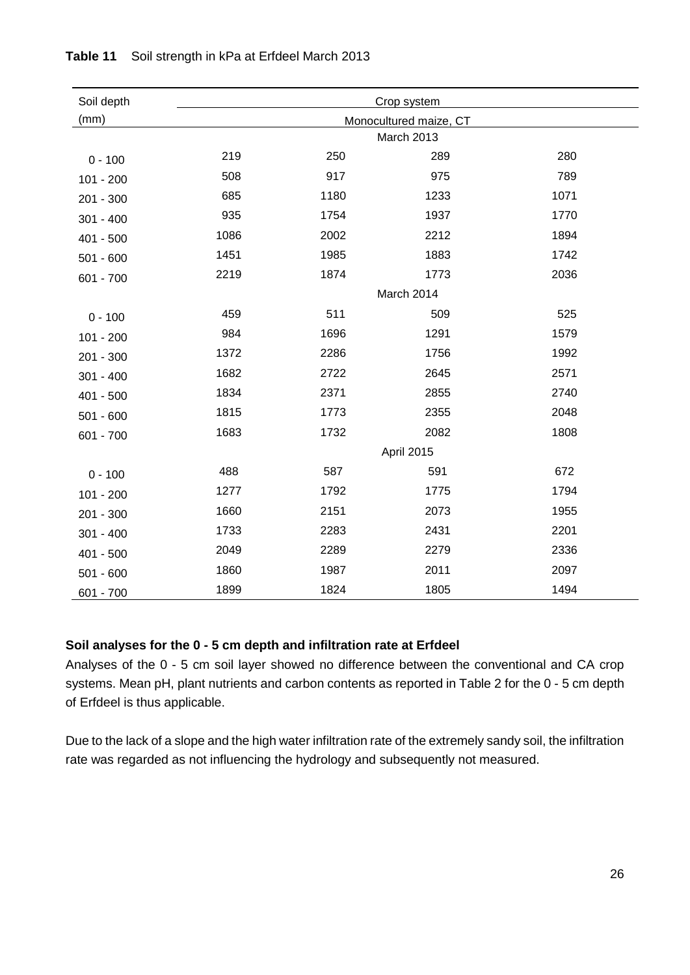| Soil depth  | Crop system |      |                        |      |  |  |  |  |  |
|-------------|-------------|------|------------------------|------|--|--|--|--|--|
| (mm)        |             |      | Monocultured maize, CT |      |  |  |  |  |  |
|             |             |      |                        |      |  |  |  |  |  |
| $0 - 100$   | 219         | 250  | 289                    | 280  |  |  |  |  |  |
| $101 - 200$ | 508         | 917  | 975                    | 789  |  |  |  |  |  |
| 201 - 300   | 685         | 1180 | 1233                   | 1071 |  |  |  |  |  |
| $301 - 400$ | 935         | 1754 | 1937                   | 1770 |  |  |  |  |  |
| 401 - 500   | 1086        | 2002 | 2212                   | 1894 |  |  |  |  |  |
| $501 - 600$ | 1451        | 1985 | 1883                   | 1742 |  |  |  |  |  |
| 601 - 700   | 2219        | 1874 | 1773                   | 2036 |  |  |  |  |  |
|             |             |      | March 2014             |      |  |  |  |  |  |
| $0 - 100$   | 459         | 511  | 509                    | 525  |  |  |  |  |  |
| $101 - 200$ | 984         | 1696 | 1291                   | 1579 |  |  |  |  |  |
| 201 - 300   | 1372        | 2286 | 1756                   | 1992 |  |  |  |  |  |
| $301 - 400$ | 1682        | 2722 | 2645                   | 2571 |  |  |  |  |  |
| $401 - 500$ | 1834        | 2371 | 2855                   | 2740 |  |  |  |  |  |
| $501 - 600$ | 1815        | 1773 | 2355                   | 2048 |  |  |  |  |  |
| 601 - 700   | 1683        | 1732 | 2082                   | 1808 |  |  |  |  |  |
|             |             |      | April 2015             |      |  |  |  |  |  |
| $0 - 100$   | 488         | 587  | 591                    | 672  |  |  |  |  |  |
| $101 - 200$ | 1277        | 1792 | 1775                   | 1794 |  |  |  |  |  |
| 201 - 300   | 1660        | 2151 | 2073                   | 1955 |  |  |  |  |  |
| $301 - 400$ | 1733        | 2283 | 2431                   | 2201 |  |  |  |  |  |
| 401 - 500   | 2049        | 2289 | 2279                   | 2336 |  |  |  |  |  |
| $501 - 600$ | 1860        | 1987 | 2011                   | 2097 |  |  |  |  |  |
| 601 - 700   | 1899        | 1824 | 1805                   | 1494 |  |  |  |  |  |

# **Table 11** Soil strength in kPa at Erfdeel March 2013

# **Soil analyses for the 0 - 5 cm depth and infiltration rate at Erfdeel**

Analyses of the 0 - 5 cm soil layer showed no difference between the conventional and CA crop systems. Mean pH, plant nutrients and carbon contents as reported in Table 2 for the 0 - 5 cm depth of Erfdeel is thus applicable.

Due to the lack of a slope and the high water infiltration rate of the extremely sandy soil, the infiltration rate was regarded as not influencing the hydrology and subsequently not measured.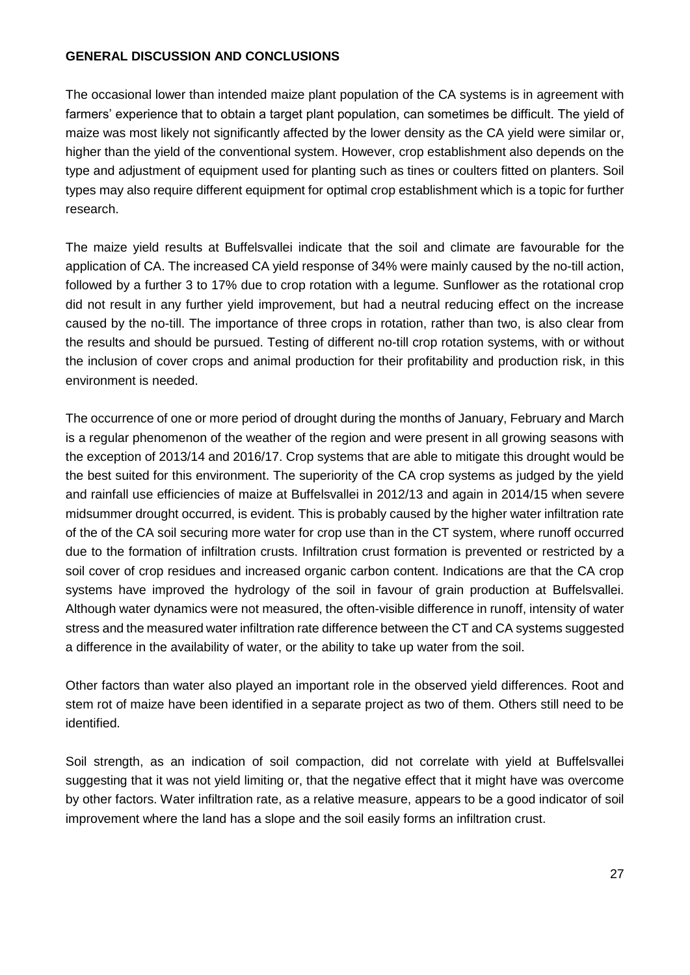# **GENERAL DISCUSSION AND CONCLUSIONS**

The occasional lower than intended maize plant population of the CA systems is in agreement with farmers' experience that to obtain a target plant population, can sometimes be difficult. The yield of maize was most likely not significantly affected by the lower density as the CA yield were similar or, higher than the yield of the conventional system. However, crop establishment also depends on the type and adjustment of equipment used for planting such as tines or coulters fitted on planters. Soil types may also require different equipment for optimal crop establishment which is a topic for further research.

The maize yield results at Buffelsvallei indicate that the soil and climate are favourable for the application of CA. The increased CA yield response of 34% were mainly caused by the no-till action, followed by a further 3 to 17% due to crop rotation with a legume. Sunflower as the rotational crop did not result in any further yield improvement, but had a neutral reducing effect on the increase caused by the no-till. The importance of three crops in rotation, rather than two, is also clear from the results and should be pursued. Testing of different no-till crop rotation systems, with or without the inclusion of cover crops and animal production for their profitability and production risk, in this environment is needed.

The occurrence of one or more period of drought during the months of January, February and March is a regular phenomenon of the weather of the region and were present in all growing seasons with the exception of 2013/14 and 2016/17. Crop systems that are able to mitigate this drought would be the best suited for this environment. The superiority of the CA crop systems as judged by the yield and rainfall use efficiencies of maize at Buffelsvallei in 2012/13 and again in 2014/15 when severe midsummer drought occurred, is evident. This is probably caused by the higher water infiltration rate of the of the CA soil securing more water for crop use than in the CT system, where runoff occurred due to the formation of infiltration crusts. Infiltration crust formation is prevented or restricted by a soil cover of crop residues and increased organic carbon content. Indications are that the CA crop systems have improved the hydrology of the soil in favour of grain production at Buffelsvallei. Although water dynamics were not measured, the often-visible difference in runoff, intensity of water stress and the measured water infiltration rate difference between the CT and CA systems suggested a difference in the availability of water, or the ability to take up water from the soil.

Other factors than water also played an important role in the observed yield differences. Root and stem rot of maize have been identified in a separate project as two of them. Others still need to be identified.

Soil strength, as an indication of soil compaction, did not correlate with yield at Buffelsvallei suggesting that it was not yield limiting or, that the negative effect that it might have was overcome by other factors. Water infiltration rate, as a relative measure, appears to be a good indicator of soil improvement where the land has a slope and the soil easily forms an infiltration crust.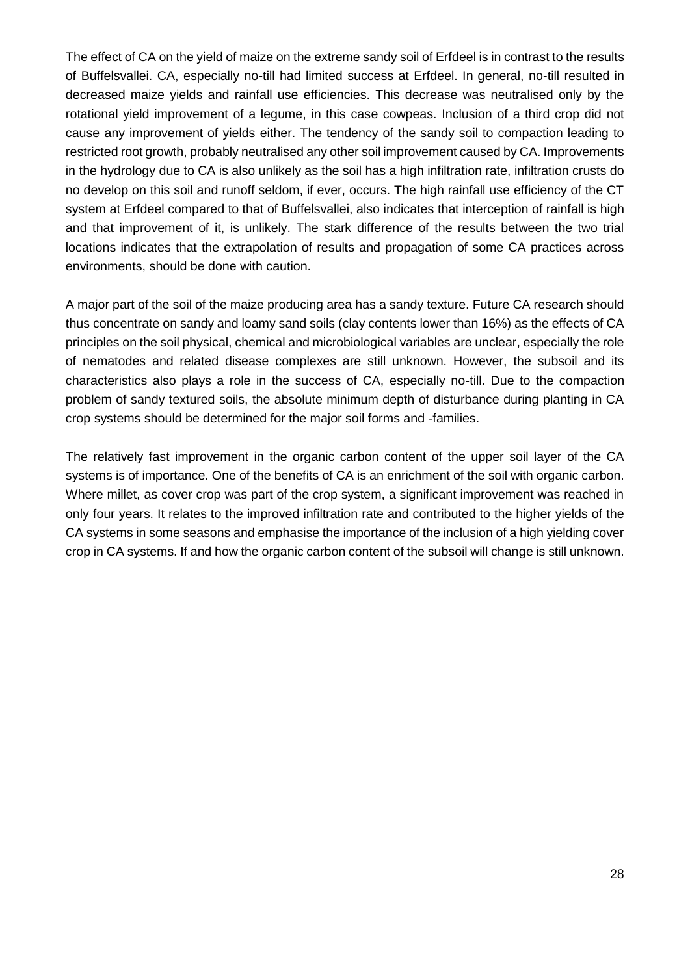The effect of CA on the yield of maize on the extreme sandy soil of Erfdeel is in contrast to the results of Buffelsvallei. CA, especially no-till had limited success at Erfdeel. In general, no-till resulted in decreased maize yields and rainfall use efficiencies. This decrease was neutralised only by the rotational yield improvement of a legume, in this case cowpeas. Inclusion of a third crop did not cause any improvement of yields either. The tendency of the sandy soil to compaction leading to restricted root growth, probably neutralised any other soil improvement caused by CA. Improvements in the hydrology due to CA is also unlikely as the soil has a high infiltration rate, infiltration crusts do no develop on this soil and runoff seldom, if ever, occurs. The high rainfall use efficiency of the CT system at Erfdeel compared to that of Buffelsvallei, also indicates that interception of rainfall is high and that improvement of it, is unlikely. The stark difference of the results between the two trial locations indicates that the extrapolation of results and propagation of some CA practices across environments, should be done with caution.

A major part of the soil of the maize producing area has a sandy texture. Future CA research should thus concentrate on sandy and loamy sand soils (clay contents lower than 16%) as the effects of CA principles on the soil physical, chemical and microbiological variables are unclear, especially the role of nematodes and related disease complexes are still unknown. However, the subsoil and its characteristics also plays a role in the success of CA, especially no-till. Due to the compaction problem of sandy textured soils, the absolute minimum depth of disturbance during planting in CA crop systems should be determined for the major soil forms and -families.

The relatively fast improvement in the organic carbon content of the upper soil layer of the CA systems is of importance. One of the benefits of CA is an enrichment of the soil with organic carbon. Where millet, as cover crop was part of the crop system, a significant improvement was reached in only four years. It relates to the improved infiltration rate and contributed to the higher yields of the CA systems in some seasons and emphasise the importance of the inclusion of a high yielding cover crop in CA systems. If and how the organic carbon content of the subsoil will change is still unknown.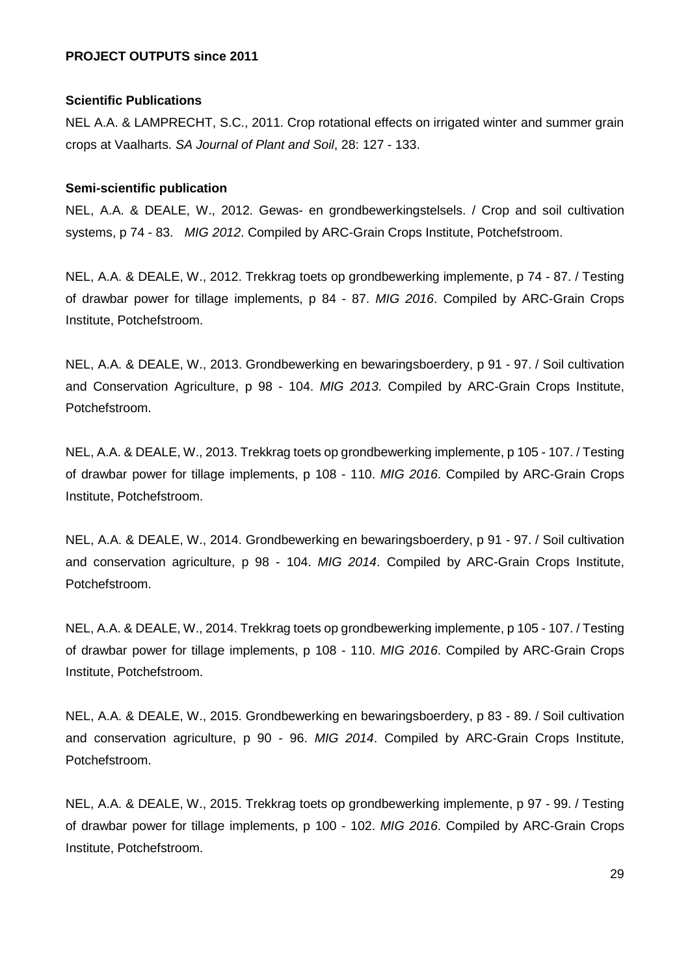#### **PROJECT OUTPUTS since 2011**

#### **Scientific Publications**

NEL A.A. & LAMPRECHT, S.C., 2011. Crop rotational effects on irrigated winter and summer grain crops at Vaalharts. *SA Journal of Plant and Soil*, 28: 127 - 133.

#### **Semi-scientific publication**

NEL, A.A. & DEALE, W., 2012. Gewas- en grondbewerkingstelsels. / Crop and soil cultivation systems, p 74 - 83. *MIG 2012*. Compiled by ARC-Grain Crops Institute, Potchefstroom.

NEL, A.A. & DEALE, W., 2012. Trekkrag toets op grondbewerking implemente, p 74 - 87. / Testing of drawbar power for tillage implements, p 84 - 87. *MIG 2016*. Compiled by ARC-Grain Crops Institute, Potchefstroom.

NEL, A.A. & DEALE, W., 2013. Grondbewerking en bewaringsboerdery, p 91 - 97. / Soil cultivation and Conservation Agriculture, p 98 - 104. *MIG 2013*. Compiled by ARC-Grain Crops Institute, Potchefstroom.

NEL, A.A. & DEALE, W., 2013. Trekkrag toets op grondbewerking implemente, p 105 - 107. / Testing of drawbar power for tillage implements, p 108 - 110. *MIG 2016*. Compiled by ARC-Grain Crops Institute, Potchefstroom.

NEL, A.A. & DEALE, W., 2014. Grondbewerking en bewaringsboerdery, p 91 - 97. / Soil cultivation and conservation agriculture, p 98 - 104. *MIG 2014*. Compiled by ARC-Grain Crops Institute, Potchefstroom.

NEL, A.A. & DEALE, W., 2014. Trekkrag toets op grondbewerking implemente, p 105 - 107. / Testing of drawbar power for tillage implements, p 108 - 110. *MIG 2016*. Compiled by ARC-Grain Crops Institute, Potchefstroom.

NEL, A.A. & DEALE, W., 2015. Grondbewerking en bewaringsboerdery, p 83 - 89. / Soil cultivation and conservation agriculture, p 90 - 96. *MIG 2014*. Compiled by ARC-Grain Crops Institute, Potchefstroom.

NEL, A.A. & DEALE, W., 2015. Trekkrag toets op grondbewerking implemente, p 97 - 99. / Testing of drawbar power for tillage implements, p 100 - 102. *MIG 2016*. Compiled by ARC-Grain Crops Institute, Potchefstroom.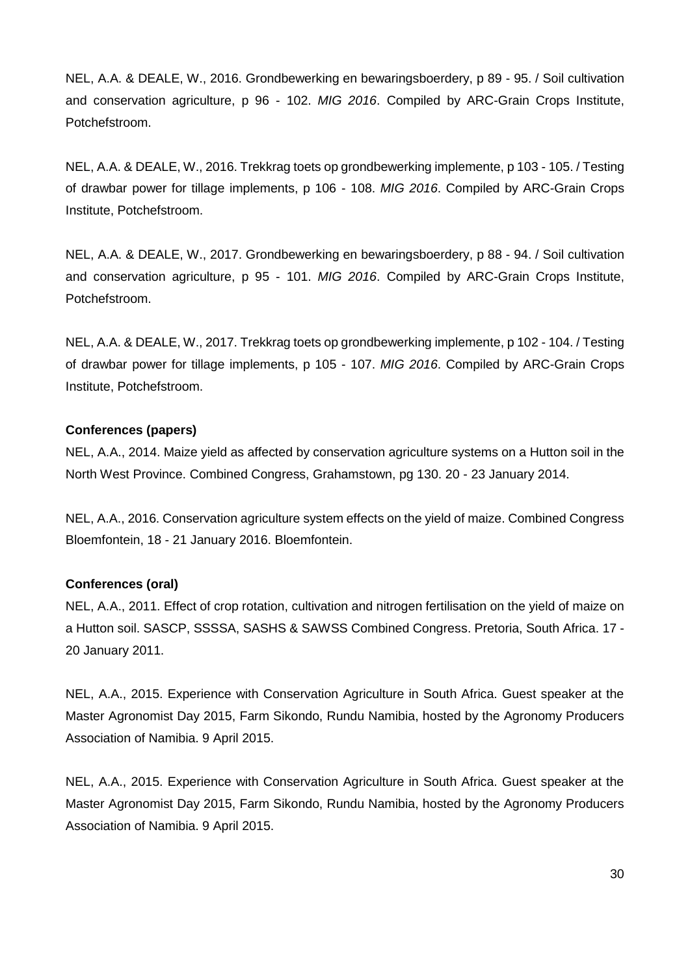NEL, A.A. & DEALE, W., 2016. Grondbewerking en bewaringsboerdery, p 89 - 95. / Soil cultivation and conservation agriculture, p 96 - 102. *MIG 2016*. Compiled by ARC-Grain Crops Institute, Potchefstroom.

NEL, A.A. & DEALE, W., 2016. Trekkrag toets op grondbewerking implemente, p 103 - 105. / Testing of drawbar power for tillage implements, p 106 - 108. *MIG 2016*. Compiled by ARC-Grain Crops Institute, Potchefstroom.

NEL, A.A. & DEALE, W., 2017. Grondbewerking en bewaringsboerdery, p 88 - 94. / Soil cultivation and conservation agriculture, p 95 - 101. *MIG 2016*. Compiled by ARC-Grain Crops Institute, Potchefstroom.

NEL, A.A. & DEALE, W., 2017. Trekkrag toets op grondbewerking implemente, p 102 - 104. / Testing of drawbar power for tillage implements, p 105 - 107. *MIG 2016*. Compiled by ARC-Grain Crops Institute, Potchefstroom.

# **Conferences (papers)**

NEL, A.A., 2014. Maize yield as affected by conservation agriculture systems on a Hutton soil in the North West Province. Combined Congress, Grahamstown, pg 130. 20 - 23 January 2014.

NEL, A.A., 2016. Conservation agriculture system effects on the yield of maize. Combined Congress Bloemfontein, 18 - 21 January 2016. Bloemfontein.

#### **Conferences (oral)**

NEL, A.A., 2011. Effect of crop rotation, cultivation and nitrogen fertilisation on the yield of maize on a Hutton soil. SASCP, SSSSA, SASHS & SAWSS Combined Congress. Pretoria, South Africa. 17 - 20 January 2011.

NEL, A.A., 2015. Experience with Conservation Agriculture in South Africa. Guest speaker at the Master Agronomist Day 2015, Farm Sikondo, Rundu Namibia, hosted by the Agronomy Producers Association of Namibia. 9 April 2015.

NEL, A.A., 2015. Experience with Conservation Agriculture in South Africa. Guest speaker at the Master Agronomist Day 2015, Farm Sikondo, Rundu Namibia, hosted by the Agronomy Producers Association of Namibia. 9 April 2015.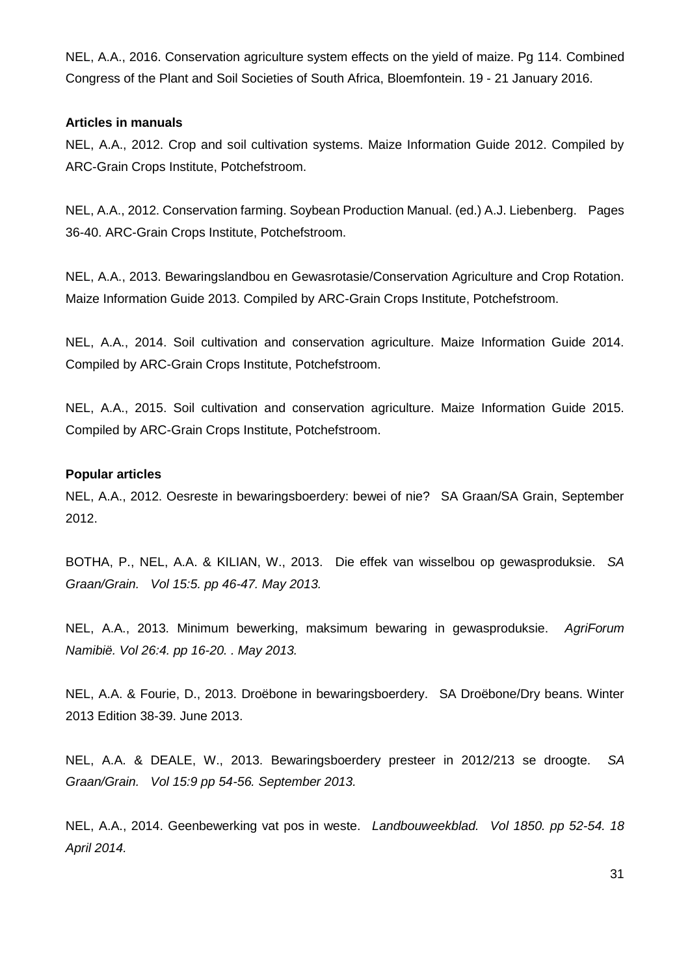NEL, A.A., 2016. Conservation agriculture system effects on the yield of maize. Pg 114. Combined Congress of the Plant and Soil Societies of South Africa, Bloemfontein. 19 - 21 January 2016.

#### **Articles in manuals**

NEL, A.A., 2012. Crop and soil cultivation systems. Maize Information Guide 2012. Compiled by ARC-Grain Crops Institute, Potchefstroom.

NEL, A.A., 2012. Conservation farming. Soybean Production Manual. (ed.) A.J. Liebenberg. Pages 36-40. ARC-Grain Crops Institute, Potchefstroom.

NEL, A.A., 2013. Bewaringslandbou en Gewasrotasie/Conservation Agriculture and Crop Rotation. Maize Information Guide 2013. Compiled by ARC-Grain Crops Institute, Potchefstroom.

NEL, A.A., 2014. Soil cultivation and conservation agriculture. Maize Information Guide 2014. Compiled by ARC-Grain Crops Institute, Potchefstroom.

NEL, A.A., 2015. Soil cultivation and conservation agriculture. Maize Information Guide 2015. Compiled by ARC-Grain Crops Institute, Potchefstroom.

#### **Popular articles**

NEL, A.A., 2012. Oesreste in bewaringsboerdery: bewei of nie? SA Graan/SA Grain, September 2012.

BOTHA, P., NEL, A.A. & KILIAN, W., 2013.Die effek van wisselbou op gewasproduksie. *SA Graan/Grain. Vol 15:5. pp 46-47. May 2013.*

NEL, A.A., 2013. Minimum bewerking, maksimum bewaring in gewasproduksie. *AgriForum Namibië. Vol 26:4. pp 16-20. . May 2013.* 

NEL, A.A. & Fourie, D., 2013. Droëbone in bewaringsboerdery. SA Droëbone/Dry beans. Winter 2013 Edition 38-39. June 2013.

NEL, A.A. & DEALE, W., 2013. Bewaringsboerdery presteer in 2012/213 se droogte. *SA Graan/Grain. Vol 15:9 pp 54-56. September 2013.*

NEL, A.A., 2014. Geenbewerking vat pos in weste. *Landbouweekblad. Vol 1850. pp 52-54. 18 April 2014.*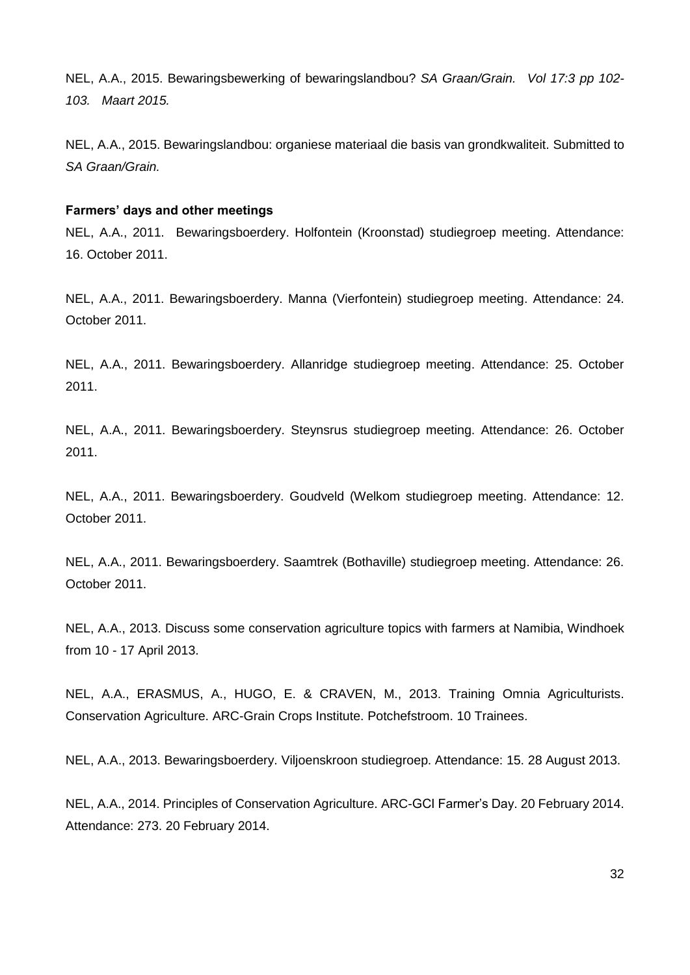NEL, A.A., 2015. Bewaringsbewerking of bewaringslandbou? *SA Graan/Grain. Vol 17:3 pp 102- 103. Maart 2015.*

NEL, A.A., 2015. Bewaringslandbou: organiese materiaal die basis van grondkwaliteit. Submitted to *SA Graan/Grain.*

#### **Farmers' days and other meetings**

NEL, A.A., 2011. Bewaringsboerdery. Holfontein (Kroonstad) studiegroep meeting. Attendance: 16. October 2011.

NEL, A.A., 2011. Bewaringsboerdery. Manna (Vierfontein) studiegroep meeting. Attendance: 24. October 2011.

NEL, A.A., 2011. Bewaringsboerdery. Allanridge studiegroep meeting. Attendance: 25. October 2011.

NEL, A.A., 2011. Bewaringsboerdery. Steynsrus studiegroep meeting. Attendance: 26. October 2011.

NEL, A.A., 2011. Bewaringsboerdery. Goudveld (Welkom studiegroep meeting. Attendance: 12. October 2011.

NEL, A.A., 2011. Bewaringsboerdery. Saamtrek (Bothaville) studiegroep meeting. Attendance: 26. October 2011.

NEL, A.A., 2013. Discuss some conservation agriculture topics with farmers at Namibia, Windhoek from 10 - 17 April 2013.

NEL, A.A., ERASMUS, A., HUGO, E. & CRAVEN, M., 2013. Training Omnia Agriculturists. Conservation Agriculture. ARC-Grain Crops Institute. Potchefstroom. 10 Trainees.

NEL, A.A., 2013. Bewaringsboerdery. Viljoenskroon studiegroep. Attendance: 15. 28 August 2013.

NEL, A.A., 2014. Principles of Conservation Agriculture. ARC-GCI Farmer's Day. 20 February 2014. Attendance: 273. 20 February 2014.

32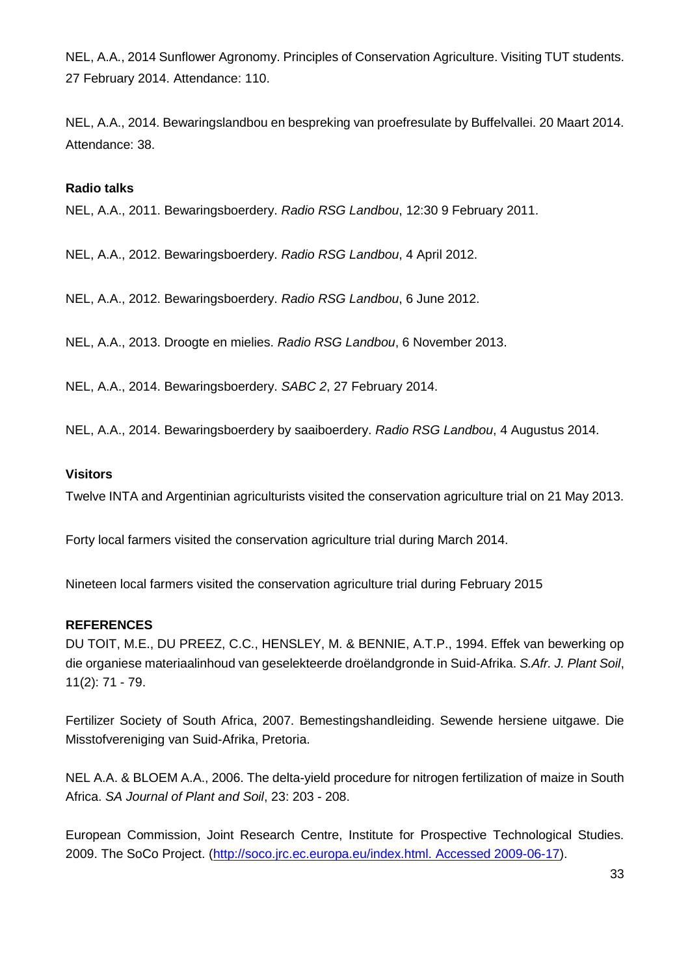NEL, A.A., 2014 Sunflower Agronomy. Principles of Conservation Agriculture. Visiting TUT students. 27 February 2014. Attendance: 110.

NEL, A.A., 2014. Bewaringslandbou en bespreking van proefresulate by Buffelvallei. 20 Maart 2014. Attendance: 38.

#### **Radio talks**

NEL, A.A., 2011. Bewaringsboerdery. *Radio RSG Landbou*, 12:30 9 February 2011.

NEL, A.A., 2012. Bewaringsboerdery. *Radio RSG Landbou*, 4 April 2012.

NEL, A.A., 2012. Bewaringsboerdery. *Radio RSG Landbou*, 6 June 2012.

NEL, A.A., 2013. Droogte en mielies. *Radio RSG Landbou*, 6 November 2013.

NEL, A.A., 2014. Bewaringsboerdery. *SABC 2*, 27 February 2014.

NEL, A.A., 2014. Bewaringsboerdery by saaiboerdery. *Radio RSG Landbou*, 4 Augustus 2014.

#### **Visitors**

Twelve INTA and Argentinian agriculturists visited the conservation agriculture trial on 21 May 2013.

Forty local farmers visited the conservation agriculture trial during March 2014.

Nineteen local farmers visited the conservation agriculture trial during February 2015

#### **REFERENCES**

DU TOIT, M.E., DU PREEZ, C.C., HENSLEY, M. & BENNIE, A.T.P., 1994. Effek van bewerking op die organiese materiaalinhoud van geselekteerde droëlandgronde in Suid-Afrika. *S.Afr. J. Plant Soil*, 11(2): 71 - 79.

Fertilizer Society of South Africa, 2007. Bemestingshandleiding. Sewende hersiene uitgawe. Die Misstofvereniging van Suid-Afrika, Pretoria.

NEL A.A. & BLOEM A.A., 2006. The delta-yield procedure for nitrogen fertilization of maize in South Africa. *SA Journal of Plant and Soil*, 23: 203 - 208.

European Commission, Joint Research Centre, Institute for Prospective Technological Studies. 2009. The SoCo Project. [\(http://soco.jrc.ec.europa.eu/index.html. Accessed 2009-06-17\)](http://soco.jrc.ec.europa.eu/index.html.%20Accessed%202009-06-17).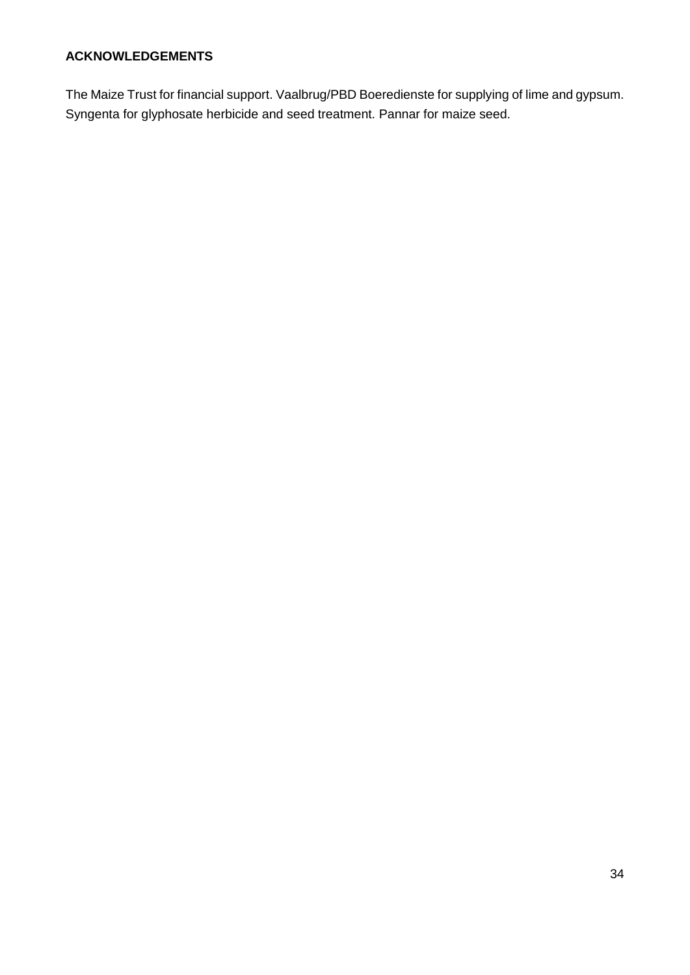# **ACKNOWLEDGEMENTS**

The Maize Trust for financial support. Vaalbrug/PBD Boeredienste for supplying of lime and gypsum. Syngenta for glyphosate herbicide and seed treatment. Pannar for maize seed.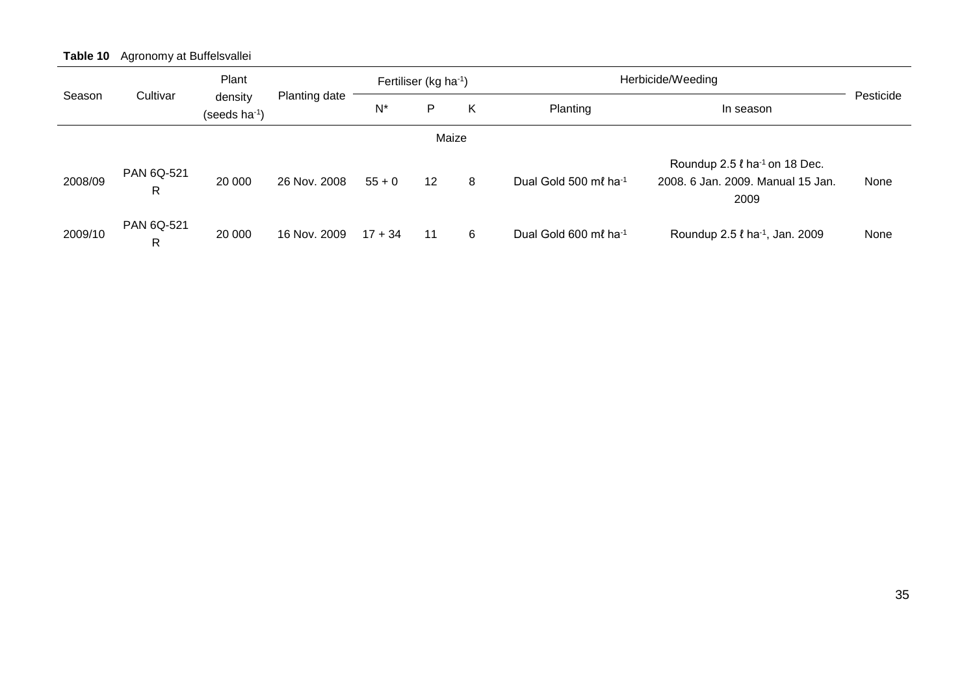**Table 10** Agronomy at Buffelsvallei

|         |                            | Plant                                |               |           | Fertiliser (kg ha-1) |   | Herbicide/Weeding                 |                                                                                             |           |
|---------|----------------------------|--------------------------------------|---------------|-----------|----------------------|---|-----------------------------------|---------------------------------------------------------------------------------------------|-----------|
| Season  | Cultivar                   | density<br>(seeds ha <sup>-1</sup> ) | Planting date | $N^*$     | P                    | Κ | Planting                          | In season                                                                                   | Pesticide |
|         |                            |                                      |               |           | Maize                |   |                                   |                                                                                             |           |
| 2008/09 | PAN 6Q-521<br>$\mathsf{R}$ | 20 000                               | 26 Nov. 2008  | $55 + 0$  | $12 \,$              | 8 | Dual Gold 500 ml ha <sup>-1</sup> | Roundup $2.5 \ell$ ha <sup>-1</sup> on 18 Dec.<br>2008. 6 Jan. 2009. Manual 15 Jan.<br>2009 | None      |
| 2009/10 | PAN 6Q-521<br>$\mathsf{R}$ | 20 000                               | 16 Nov. 2009  | $17 + 34$ | 11                   | 6 | Dual Gold 600 ml ha <sup>-1</sup> | Roundup 2.5 ℓ ha <sup>-1</sup> , Jan. 2009                                                  | None      |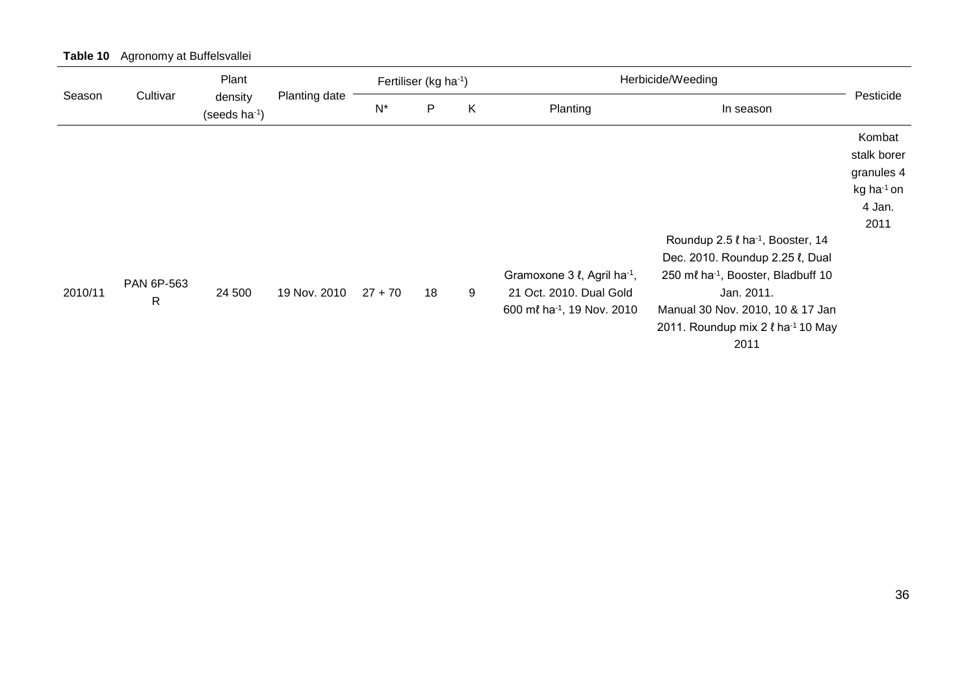|         |                            | Plant                         |               |           | Fertiliser (kg ha-1) |   | Herbicide/Weeding                                                                  |                                                                                                                                                                                                                                                   |                                                                                 |
|---------|----------------------------|-------------------------------|---------------|-----------|----------------------|---|------------------------------------------------------------------------------------|---------------------------------------------------------------------------------------------------------------------------------------------------------------------------------------------------------------------------------------------------|---------------------------------------------------------------------------------|
| Season  | Cultivar                   | density<br>(seeds $ha^{-1}$ ) | Planting date | $N^*$     | P                    | K | Planting                                                                           | In season                                                                                                                                                                                                                                         | Pesticide                                                                       |
|         |                            |                               |               |           |                      |   |                                                                                    |                                                                                                                                                                                                                                                   | Kombat<br>stalk borer<br>granules 4<br>kg ha <sup>-1</sup> on<br>4 Jan.<br>2011 |
| 2010/11 | PAN 6P-563<br>$\mathsf{R}$ | 24 500                        | 19 Nov. 2010  | $27 + 70$ | 18                   | 9 | Gramoxone 3 l, Agril ha-1,<br>21 Oct. 2010. Dual Gold<br>600 ml ha-1, 19 Nov. 2010 | Roundup 2.5 l ha <sup>-1</sup> , Booster, 14<br>Dec. 2010. Roundup 2.25 l, Dual<br>250 ml ha <sup>-1</sup> , Booster, Bladbuff 10<br>Jan. 2011.<br>Manual 30 Nov. 2010, 10 & 17 Jan<br>2011. Roundup mix 2 $\ell$ ha <sup>-1</sup> 10 May<br>2011 |                                                                                 |

# **Table 10** Agronomy at Buffelsvallei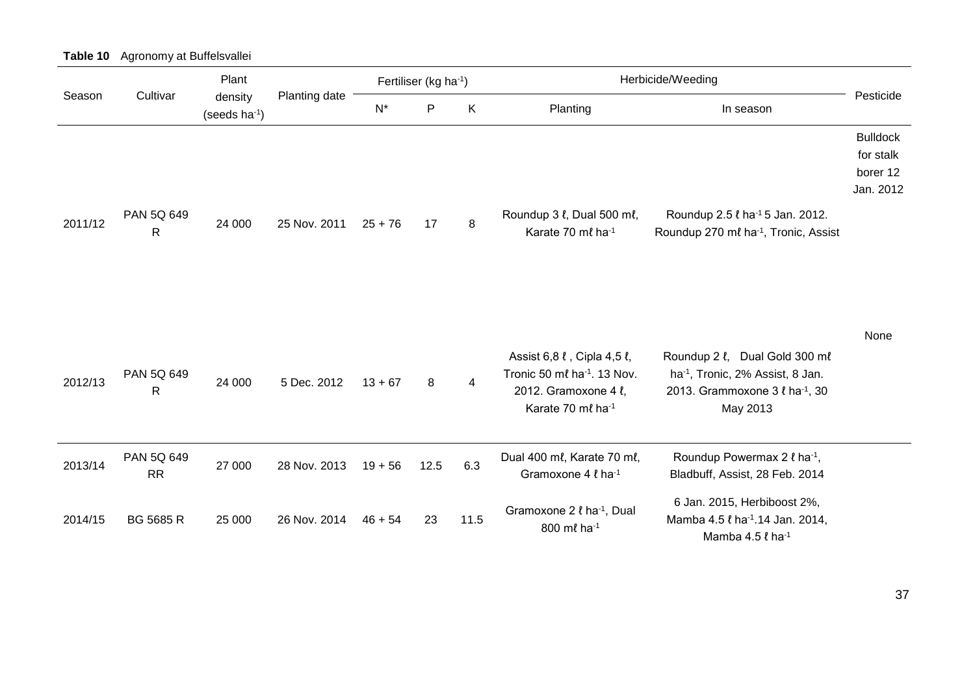|         |                            | Plant                   |               | Fertiliser (kg ha-1) |              |      | Herbicide/Weeding                                                                                                  |                                                                                                                            |                                                       |
|---------|----------------------------|-------------------------|---------------|----------------------|--------------|------|--------------------------------------------------------------------------------------------------------------------|----------------------------------------------------------------------------------------------------------------------------|-------------------------------------------------------|
| Season  | Cultivar                   | density<br>(seeds ha-1) | Planting date | $N^*$                | $\mathsf{P}$ | K    | Planting                                                                                                           | In season                                                                                                                  | Pesticide                                             |
| 2011/12 | PAN 5Q 649<br>$\mathsf{R}$ | 24 000                  | 25 Nov. 2011  | $25 + 76$            | 17           | 8    | Roundup 3 l, Dual 500 ml,<br>Karate 70 ml ha-1                                                                     | Roundup 2.5 $\ell$ ha <sup>-1</sup> 5 Jan. 2012.<br>Roundup 270 ml ha-1, Tronic, Assist                                    | <b>Bulldock</b><br>for stalk<br>borer 12<br>Jan. 2012 |
| 2012/13 | PAN 5Q 649<br>$\mathsf{R}$ | 24 000                  | 5 Dec. 2012   | $13 + 67$            | 8            | 4    | Assist 6,8 l, Cipla 4,5 l,<br>Tronic 50 ml ha <sup>-1</sup> . 13 Nov.<br>2012. Gramoxone 4 l,<br>Karate 70 ml ha-1 | Roundup 2 l, Dual Gold 300 ml<br>ha <sup>-1</sup> , Tronic, 2% Assist, 8 Jan.<br>2013. Grammoxone 3 l ha-1, 30<br>May 2013 | None                                                  |
| 2013/14 | PAN 5Q 649<br><b>RR</b>    | 27 000                  | 28 Nov. 2013  | $19 + 56$            | 12.5         | 6.3  | Dual 400 ml, Karate 70 ml,<br>Gramoxone 4 l ha-1                                                                   | Roundup Powermax 2 $\ell$ ha <sup>-1</sup> ,<br>Bladbuff, Assist, 28 Feb. 2014                                             |                                                       |
| 2014/15 | <b>BG 5685 R</b>           | 25 000                  | 26 Nov. 2014  | $46 + 54$            | 23           | 11.5 | Gramoxone 2 <i>l</i> ha <sup>-1</sup> , Dual<br>800 ml ha-1                                                        | 6 Jan. 2015, Herbiboost 2%,<br>Mamba 4.5 <i>l</i> ha <sup>-1</sup> .14 Jan. 2014,<br>Mamba 4.5 $\ell$ ha <sup>-1</sup>     |                                                       |

**Table 10** Agronomy at Buffelsvallei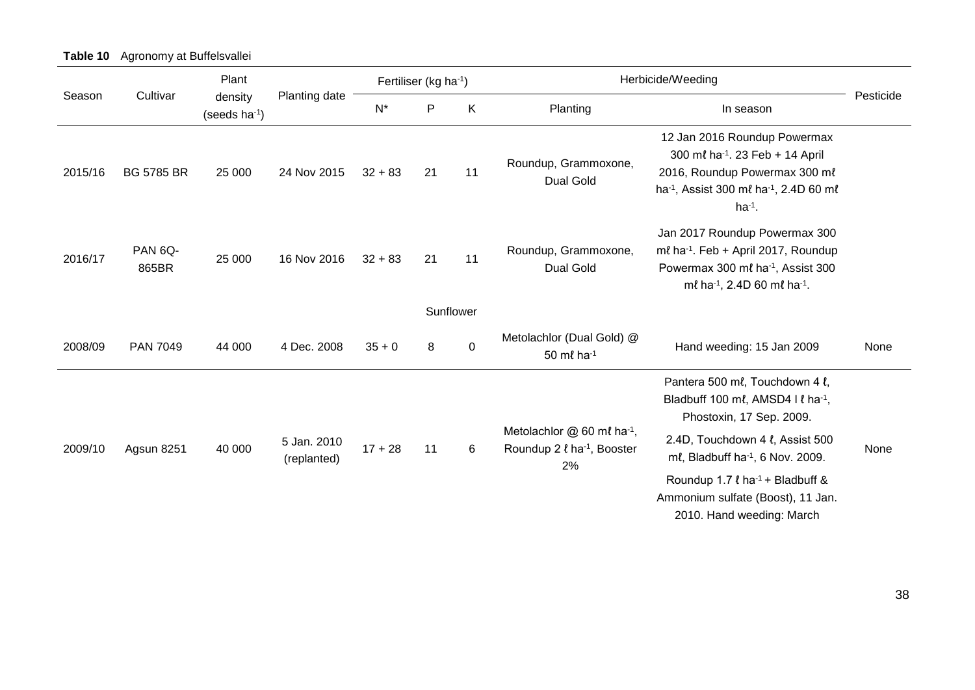|         |                   | Plant                                |               | Fertiliser (kg ha-1) |              |           |                                                                                | Herbicide/Weeding                                                                                                                                                                             |           |
|---------|-------------------|--------------------------------------|---------------|----------------------|--------------|-----------|--------------------------------------------------------------------------------|-----------------------------------------------------------------------------------------------------------------------------------------------------------------------------------------------|-----------|
| Season  | Cultivar          | density<br>(seeds $ha^{-1}$ )        | Planting date | $N^*$                | $\mathsf{P}$ | K         | Planting                                                                       | In season                                                                                                                                                                                     | Pesticide |
| 2015/16 | <b>BG 5785 BR</b> | 25 000                               | 24 Nov 2015   | $32 + 83$            | 21           | 11        | Roundup, Grammoxone,<br>Dual Gold                                              | 12 Jan 2016 Roundup Powermax<br>300 ml ha <sup>-1</sup> . 23 Feb + 14 April<br>2016, Roundup Powermax 300 ml<br>ha <sup>-1</sup> , Assist 300 ml ha <sup>-1</sup> , 2.4D 60 ml<br>$ha^{-1}$ . |           |
| 2016/17 | PAN 6Q-<br>865BR  | 25 000                               | 16 Nov 2016   | $32 + 83$            | 21           | 11        | Roundup, Grammoxone,<br>Dual Gold                                              | Jan 2017 Roundup Powermax 300<br>ml ha-1. Feb + April 2017, Roundup<br>Powermax 300 ml ha <sup>-1</sup> , Assist 300<br>ml ha-1, 2.4D 60 ml ha-1.                                             |           |
|         |                   |                                      |               |                      |              | Sunflower |                                                                                |                                                                                                                                                                                               |           |
| 2008/09 | <b>PAN 7049</b>   | 44 000                               | 4 Dec. 2008   | $35 + 0$             | 8            | $\pmb{0}$ | Metolachlor (Dual Gold) @<br>50 ml ha-1                                        | Hand weeding: 15 Jan 2009                                                                                                                                                                     | None      |
|         |                   |                                      |               |                      |              |           |                                                                                | Pantera 500 ml, Touchdown 4 l,<br>Bladbuff 100 ml, AMSD4 Il ha-1,<br>Phostoxin, 17 Sep. 2009.                                                                                                 |           |
| 2009/10 | Agsun 8251        | 5 Jan. 2010<br>40 000<br>(replanted) |               | $17 + 28$            | 11           | 6         | Metolachlor @ 60 ml ha-1,<br>Roundup 2 $\ell$ ha <sup>-1</sup> , Booster<br>2% | 2.4D, Touchdown 4 l, Assist 500<br>ml, Bladbuff ha-1, 6 Nov. 2009.                                                                                                                            | None      |
|         |                   |                                      |               |                      |              |           |                                                                                | Roundup 1.7 $\ell$ ha <sup>-1</sup> + Bladbuff &<br>Ammonium sulfate (Boost), 11 Jan.<br>2010. Hand weeding: March                                                                            |           |

**Table 10** Agronomy at Buffelsvallei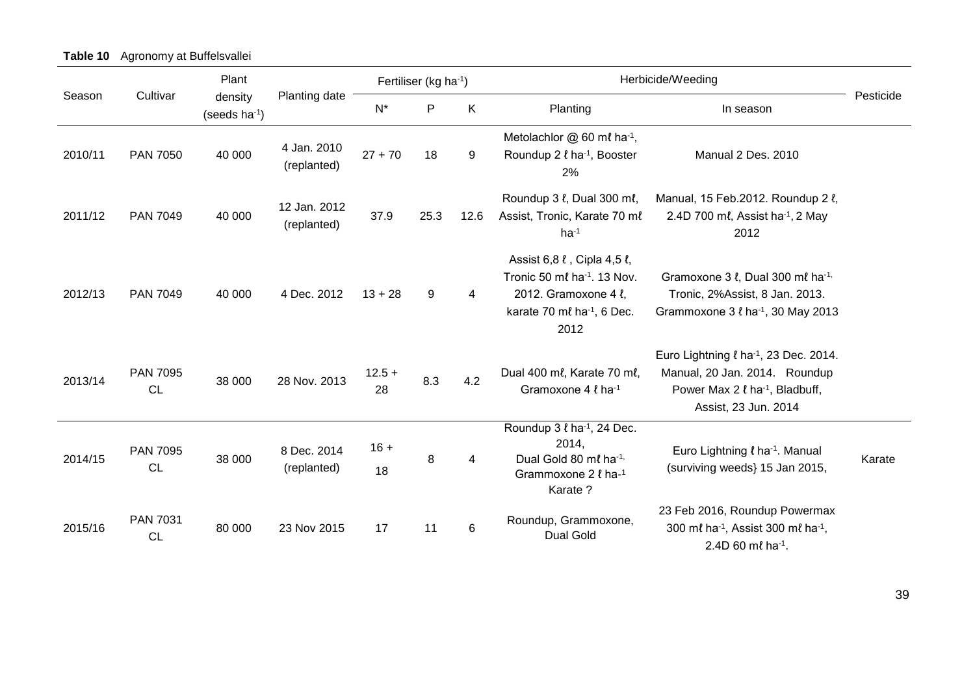**Table 10** Agronomy at Buffelsvallei

|         |                              | Plant                                |                             |                | Fertiliser (kg ha-1) |                | Herbicide/Weeding                                                                                                                                    |                                                                                                                                                                    |           |
|---------|------------------------------|--------------------------------------|-----------------------------|----------------|----------------------|----------------|------------------------------------------------------------------------------------------------------------------------------------------------------|--------------------------------------------------------------------------------------------------------------------------------------------------------------------|-----------|
| Season  | Cultivar                     | density<br>(seeds ha <sup>-1</sup> ) | Planting date               | $N^*$          | $\mathsf{P}$         | $\sf K$        | Planting                                                                                                                                             | In season                                                                                                                                                          | Pesticide |
| 2010/11 | <b>PAN 7050</b>              | 40 000                               | 4 Jan. 2010<br>(replanted)  | $27 + 70$      | 18                   | 9              | Metolachlor $@60$ ml ha <sup>-1</sup> ,<br>Roundup 2 $\ell$ ha <sup>-1</sup> , Booster<br>2%                                                         | Manual 2 Des. 2010                                                                                                                                                 |           |
| 2011/12 | <b>PAN 7049</b>              | 40 000                               | 12 Jan. 2012<br>(replanted) | 37.9           | 25.3                 | 12.6           | Roundup 3 $\ell$ , Dual 300 m $\ell$ ,<br>Assist, Tronic, Karate 70 ml<br>$ha^{-1}$                                                                  | Manual, 15 Feb.2012. Roundup 2 l,<br>2.4D 700 ml, Assist ha <sup>-1</sup> , 2 May<br>2012                                                                          |           |
| 2012/13 | <b>PAN 7049</b>              | 40 000                               | 4 Dec. 2012                 | $13 + 28$      | 9                    | $\overline{4}$ | Assist 6,8 l, Cipla 4,5 l,<br>Tronic 50 $m\ell$ ha <sup>-1</sup> , 13 Nov.<br>2012. Gramoxone 4 l,<br>karate 70 ml ha <sup>-1</sup> , 6 Dec.<br>2012 | Gramoxone 3 l, Dual 300 ml ha-1,<br>Tronic, 2%Assist, 8 Jan. 2013.<br>Grammoxone $3 \ell$ ha <sup>-1</sup> , 30 May 2013                                           |           |
| 2013/14 | <b>PAN 7095</b><br><b>CL</b> | 38 000                               | 28 Nov. 2013                | $12.5 +$<br>28 | 8.3                  | 4.2            | Dual 400 ml, Karate 70 ml,<br>Gramoxone 4 $\ell$ ha <sup>-1</sup>                                                                                    | Euro Lightning $\ell$ ha <sup>-1</sup> , 23 Dec. 2014.<br>Manual, 20 Jan. 2014. Roundup<br>Power Max 2 $\ell$ ha <sup>-1</sup> , Bladbuff,<br>Assist, 23 Jun. 2014 |           |
| 2014/15 | <b>PAN 7095</b><br><b>CL</b> | 38 000                               | 8 Dec. 2014<br>(replanted)  | $16 +$<br>18   | 8                    | 4              | Roundup 3 <i>l</i> ha <sup>-1</sup> , 24 Dec.<br>2014,<br>Dual Gold 80 ml ha-1,<br>Grammoxone 2 l ha-1<br>Karate ?                                   | Euro Lightning <i>l</i> ha <sup>-1</sup> . Manual<br>(surviving weeds) 15 Jan 2015,                                                                                | Karate    |
| 2015/16 | PAN 7031<br><b>CL</b>        | 80 000                               | 23 Nov 2015                 | 17             | 11                   | $\,6$          | Roundup, Grammoxone,<br><b>Dual Gold</b>                                                                                                             | 23 Feb 2016, Roundup Powermax<br>300 ml ha-1, Assist 300 ml ha-1,<br>2.4D 60 ml ha-1.                                                                              |           |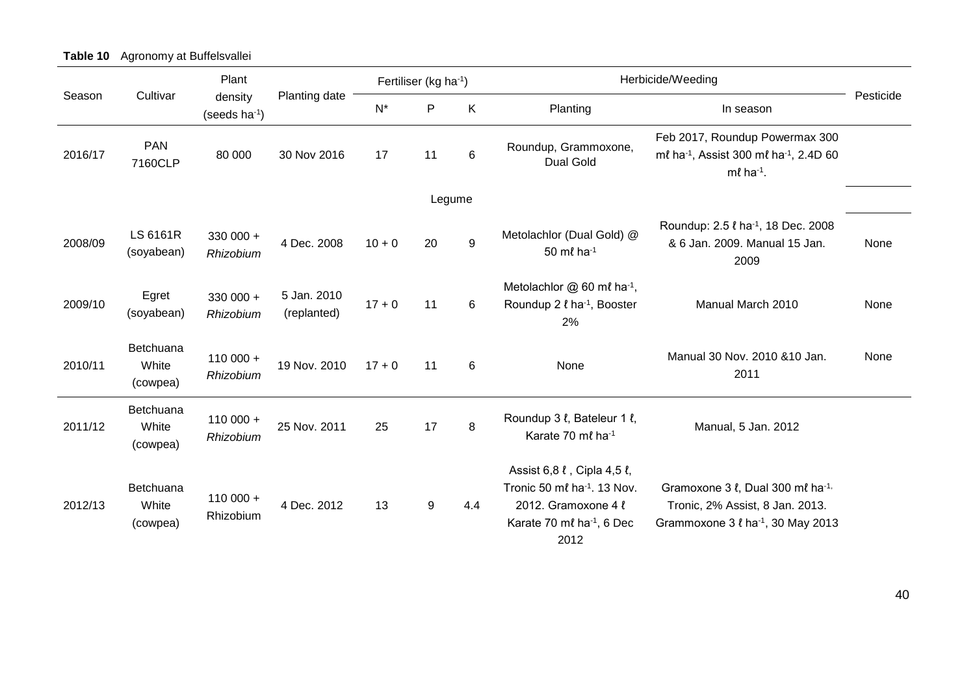|         |                                | Plant                                |                            | Fertiliser (kg ha-1) |              |                  | Herbicide/Weeding                                                                                                                             |                                                                                                                                |           |
|---------|--------------------------------|--------------------------------------|----------------------------|----------------------|--------------|------------------|-----------------------------------------------------------------------------------------------------------------------------------------------|--------------------------------------------------------------------------------------------------------------------------------|-----------|
| Season  | Cultivar                       | density<br>(seeds ha <sup>-1</sup> ) | Planting date              | $N^*$                | $\mathsf{P}$ | K                | Planting                                                                                                                                      | In season                                                                                                                      | Pesticide |
| 2016/17 | <b>PAN</b><br>7160CLP          | 80 000                               | 30 Nov 2016                | 17                   | 11           | 6                | Roundup, Grammoxone,<br><b>Dual Gold</b>                                                                                                      | Feb 2017, Roundup Powermax 300<br>ml ha <sup>-1</sup> , Assist 300 ml ha <sup>-1</sup> , 2.4D 60<br>$m\ell$ ha <sup>-1</sup> . |           |
|         |                                |                                      |                            |                      |              | Legume           |                                                                                                                                               |                                                                                                                                |           |
| 2008/09 | LS 6161R<br>(soyabean)         | $330000 +$<br>Rhizobium              | 4 Dec. 2008                | $10 + 0$             | 20           | $\boldsymbol{9}$ | Metolachlor (Dual Gold) @<br>50 ml ha-1                                                                                                       | Roundup: 2.5 $\ell$ ha <sup>-1</sup> , 18 Dec. 2008<br>& 6 Jan. 2009. Manual 15 Jan.<br>2009                                   | None      |
| 2009/10 | Egret<br>(soyabean)            | 330 000 +<br>Rhizobium               | 5 Jan. 2010<br>(replanted) | $17 + 0$             | 11           | 6                | Metolachlor @ 60 ml ha-1,<br>Roundup 2 l ha-1, Booster<br>2%                                                                                  | Manual March 2010                                                                                                              | None      |
| 2010/11 | Betchuana<br>White<br>(cowpea) | $110000 +$<br>Rhizobium              | 19 Nov. 2010               | $17 + 0$             | 11           | 6                | None                                                                                                                                          | Manual 30 Nov. 2010 & 10 Jan.<br>2011                                                                                          | None      |
| 2011/12 | Betchuana<br>White<br>(cowpea) | $110000 +$<br>Rhizobium              | 25 Nov. 2011               | 25                   | 17           | 8                | Roundup 3 $\ell$ , Bateleur 1 $\ell$ ,<br>Karate 70 ml ha-1                                                                                   | Manual, 5 Jan. 2012                                                                                                            |           |
| 2012/13 | Betchuana<br>White<br>(cowpea) | $110000 +$<br>Rhizobium              | 4 Dec. 2012                | 13                   | 9            | 4.4              | Assist 6,8 l, Cipla 4,5 l,<br>Tronic 50 ml ha <sup>-1</sup> , 13 Nov.<br>2012. Gramoxone 4 l<br>Karate 70 ml ha <sup>-1</sup> , 6 Dec<br>2012 | Gramoxone 3 l, Dual 300 ml ha-1,<br>Tronic, 2% Assist, 8 Jan. 2013.<br>Grammoxone $3 \ell$ ha <sup>-1</sup> , 30 May 2013      |           |

**Table 10** Agronomy at Buffelsvallei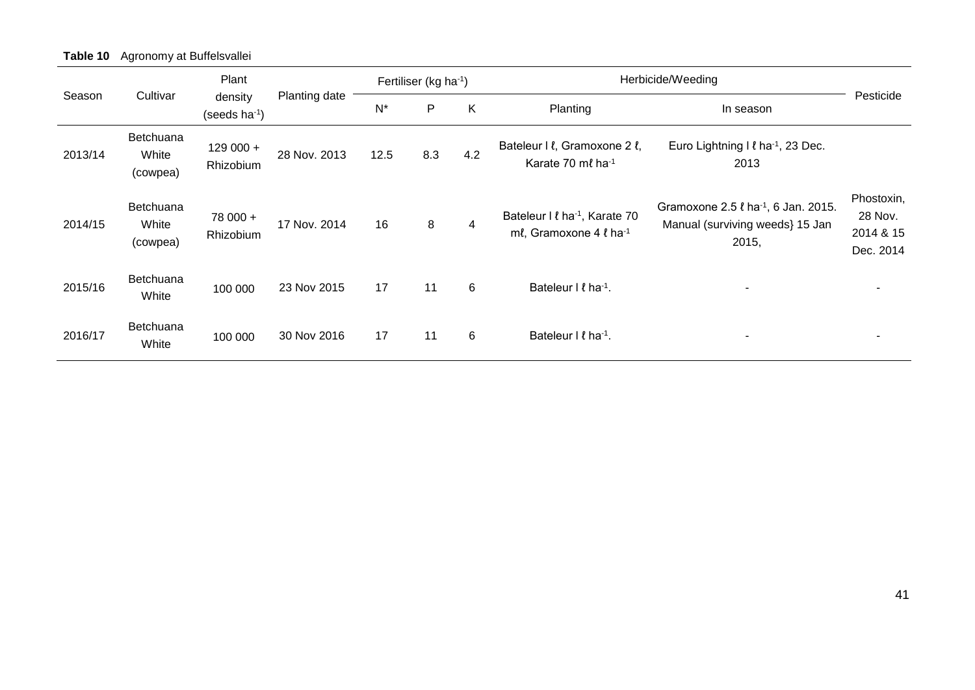| Table 10 Agronomy at Buffelsvallei |
|------------------------------------|
|                                    |

|         |                                       | Plant                         |               | Fertiliser (kg ha <sup>-1</sup> ) |     |     | Herbicide/Weeding                                                          | Pesticide                                                                                        |                                                 |
|---------|---------------------------------------|-------------------------------|---------------|-----------------------------------|-----|-----|----------------------------------------------------------------------------|--------------------------------------------------------------------------------------------------|-------------------------------------------------|
| Season  | Cultivar                              | density<br>(seeds $ha^{-1}$ ) | Planting date | $N^*$                             | P   | K   | Planting                                                                   | In season                                                                                        |                                                 |
| 2013/14 | <b>Betchuana</b><br>White<br>(cowpea) | $129000 +$<br>Rhizobium       | 28 Nov. 2013  | 12.5                              | 8.3 | 4.2 | Bateleur I l, Gramoxone 2 l,<br>Karate 70 ml ha-1                          | Euro Lightning I <i>l</i> ha <sup>-1</sup> , 23 Dec.<br>2013                                     |                                                 |
| 2014/15 | <b>Betchuana</b><br>White<br>(cowpea) | 78 000 +<br>Rhizobium         | 17 Nov. 2014  | 16                                | 8   | 4   | Bateleur I <i>I</i> ha <sup>-1</sup> , Karate 70<br>ml, Gramoxone 4 l ha-1 | Gramoxone 2.5 $\ell$ ha <sup>-1</sup> , 6 Jan. 2015.<br>Manual (surviving weeds) 15 Jan<br>2015, | Phostoxin,<br>28 Nov.<br>2014 & 15<br>Dec. 2014 |
| 2015/16 | <b>Betchuana</b><br>White             | 100 000                       | 23 Nov 2015   | 17                                | 11  | 6   | Bateleur I $\ell$ ha <sup>-1</sup> .                                       |                                                                                                  |                                                 |
| 2016/17 | Betchuana<br>White                    | 100 000                       | 30 Nov 2016   | 17                                | 11  | 6   | Bateleur I $\ell$ ha <sup>-1</sup> .                                       |                                                                                                  |                                                 |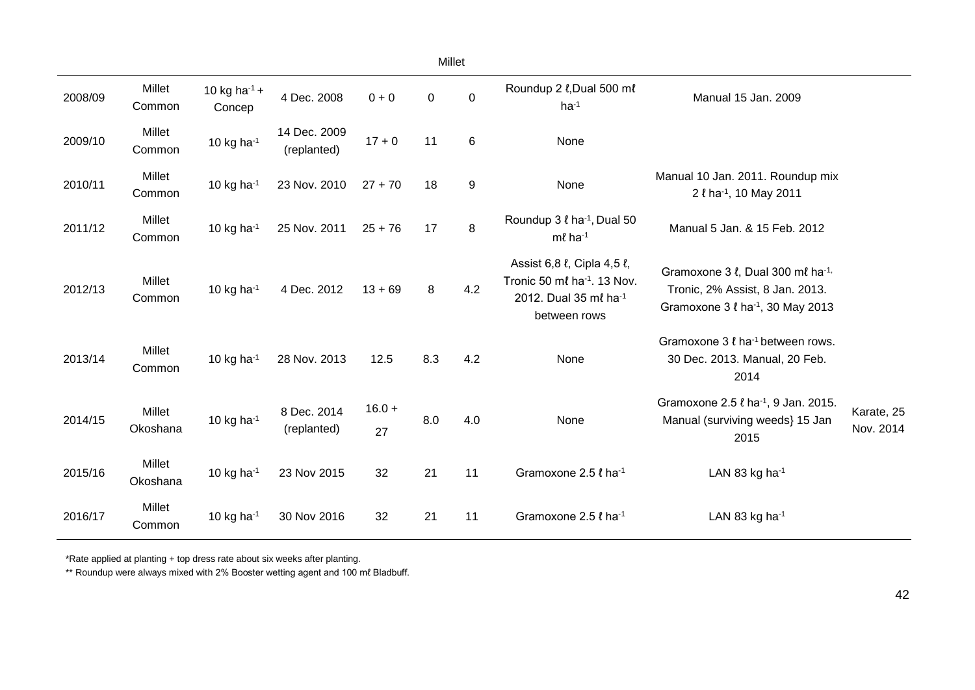|         | Millet             |                              |                             |                |             |                  |                                                                                                                            |                                                                                                                                             |                         |  |  |
|---------|--------------------|------------------------------|-----------------------------|----------------|-------------|------------------|----------------------------------------------------------------------------------------------------------------------------|---------------------------------------------------------------------------------------------------------------------------------------------|-------------------------|--|--|
| 2008/09 | Millet<br>Common   | 10 kg ha $^{-1}$ +<br>Concep | 4 Dec. 2008                 | $0 + 0$        | $\mathbf 0$ | $\pmb{0}$        | Roundup 2 l, Dual 500 ml<br>$ha^{-1}$                                                                                      | Manual 15 Jan. 2009                                                                                                                         |                         |  |  |
| 2009/10 | Millet<br>Common   | 10 kg ha $^{-1}$             | 14 Dec. 2009<br>(replanted) | $17 + 0$       | 11          | 6                | None                                                                                                                       |                                                                                                                                             |                         |  |  |
| 2010/11 | Millet<br>Common   | 10 kg ha $^{-1}$             | 23 Nov. 2010                | $27 + 70$      | 18          | $\boldsymbol{9}$ | None                                                                                                                       | Manual 10 Jan. 2011. Roundup mix<br>2 l ha-1, 10 May 2011                                                                                   |                         |  |  |
| 2011/12 | Millet<br>Common   | 10 kg ha $^{-1}$             | 25 Nov. 2011                | $25 + 76$      | 17          | 8                | Roundup 3 <i>l</i> ha <sup>-1</sup> , Dual 50<br>$m\ell$ ha <sup>-1</sup>                                                  | Manual 5 Jan. & 15 Feb. 2012                                                                                                                |                         |  |  |
| 2012/13 | Millet<br>Common   | 10 kg ha $^{-1}$             | 4 Dec. 2012                 | $13 + 69$      | 8           | 4.2              | Assist 6,8 l, Cipla 4,5 l,<br>Tronic 50 ml ha <sup>-1</sup> . 13 Nov.<br>2012. Dual 35 ml ha <sup>-1</sup><br>between rows | Gramoxone 3 $\ell$ , Dual 300 m $\ell$ ha <sup>-1,</sup><br>Tronic, 2% Assist, 8 Jan. 2013.<br>Gramoxone 3 ℓ ha <sup>-1</sup> , 30 May 2013 |                         |  |  |
| 2013/14 | Millet<br>Common   | 10 kg ha $^{-1}$             | 28 Nov. 2013                | 12.5           | 8.3         | 4.2              | None                                                                                                                       | Gramoxone $3 \ell$ ha <sup>-1</sup> between rows.<br>30 Dec. 2013. Manual, 20 Feb.<br>2014                                                  |                         |  |  |
| 2014/15 | Millet<br>Okoshana | 10 kg ha $^{-1}$             | 8 Dec. 2014<br>(replanted)  | $16.0 +$<br>27 | 8.0         | 4.0              | None                                                                                                                       | Gramoxone 2.5 l ha-1, 9 Jan. 2015.<br>Manual (surviving weeds) 15 Jan<br>2015                                                               | Karate, 25<br>Nov. 2014 |  |  |
| 2015/16 | Millet<br>Okoshana | 10 kg ha $^{-1}$             | 23 Nov 2015                 | 32             | 21          | 11               | Gramoxone 2.5 l ha-1                                                                                                       | LAN 83 kg ha-1                                                                                                                              |                         |  |  |
| 2016/17 | Millet<br>Common   | 10 kg ha $^{-1}$             | 30 Nov 2016                 | 32             | 21          | 11               | Gramoxone 2.5 l ha-1                                                                                                       | LAN 83 kg ha $^{-1}$                                                                                                                        |                         |  |  |

\*Rate applied at planting + top dress rate about six weeks after planting.

\*\* Roundup were always mixed with 2% Booster wetting agent and 100 ml Bladbuff.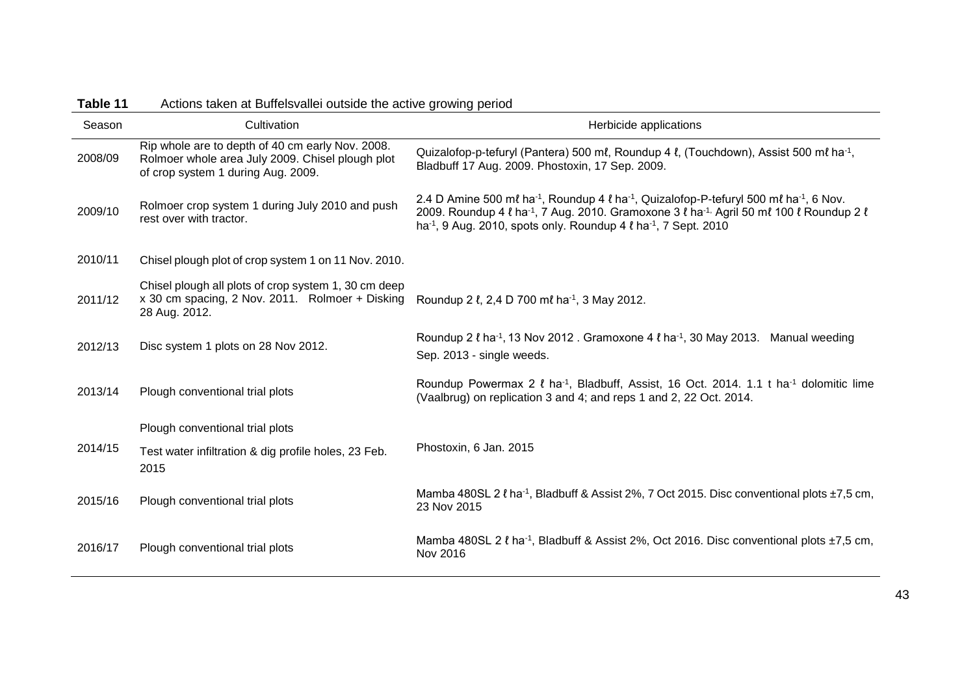| $I$ anic $I$ | Actions taken at Duncisvaller outside the active growing period                                                                            |                                                                                                                                                                                                                                                                                                                                               |
|--------------|--------------------------------------------------------------------------------------------------------------------------------------------|-----------------------------------------------------------------------------------------------------------------------------------------------------------------------------------------------------------------------------------------------------------------------------------------------------------------------------------------------|
| Season       | Cultivation                                                                                                                                | Herbicide applications                                                                                                                                                                                                                                                                                                                        |
| 2008/09      | Rip whole are to depth of 40 cm early Nov. 2008.<br>Rolmoer whole area July 2009. Chisel plough plot<br>of crop system 1 during Aug. 2009. | Quizalofop-p-tefuryl (Pantera) 500 ml, Roundup 4 l, (Touchdown), Assist 500 ml ha <sup>-1</sup> ,<br>Bladbuff 17 Aug. 2009. Phostoxin, 17 Sep. 2009.                                                                                                                                                                                          |
| 2009/10      | Rolmoer crop system 1 during July 2010 and push<br>rest over with tractor.                                                                 | 2.4 D Amine 500 ml ha <sup>-1</sup> , Roundup 4 l ha <sup>-1</sup> , Quizalofop-P-tefuryl 500 ml ha <sup>-1</sup> , 6 Nov.<br>2009. Roundup 4 l ha <sup>-1</sup> , 7 Aug. 2010. Gramoxone 3 l ha <sup>-1,</sup> Agril 50 ml 100 l Roundup 2 l<br>ha <sup>-1</sup> , 9 Aug. 2010, spots only. Roundup 4 $\ell$ ha <sup>-1</sup> , 7 Sept. 2010 |
| 2010/11      | Chisel plough plot of crop system 1 on 11 Nov. 2010.                                                                                       |                                                                                                                                                                                                                                                                                                                                               |
| 2011/12      | Chisel plough all plots of crop system 1, 30 cm deep<br>x 30 cm spacing, 2 Nov. 2011. Rolmoer + Disking<br>28 Aug. 2012.                   | Roundup 2 l, 2,4 D 700 ml ha <sup>-1</sup> , 3 May 2012.                                                                                                                                                                                                                                                                                      |
| 2012/13      | Disc system 1 plots on 28 Nov 2012.                                                                                                        | Roundup 2 $\ell$ ha <sup>-1</sup> , 13 Nov 2012 . Gramoxone 4 $\ell$ ha <sup>-1</sup> , 30 May 2013. Manual weeding<br>Sep. 2013 - single weeds.                                                                                                                                                                                              |
| 2013/14      | Plough conventional trial plots                                                                                                            | Roundup Powermax 2 $\ell$ ha <sup>-1</sup> , Bladbuff, Assist, 16 Oct. 2014. 1.1 t ha <sup>-1</sup> dolomitic lime<br>(Vaalbrug) on replication 3 and 4; and reps 1 and 2, 22 Oct. 2014.                                                                                                                                                      |
|              | Plough conventional trial plots                                                                                                            |                                                                                                                                                                                                                                                                                                                                               |
| 2014/15      | Test water infiltration & dig profile holes, 23 Feb.<br>2015                                                                               | Phostoxin, 6 Jan. 2015                                                                                                                                                                                                                                                                                                                        |
| 2015/16      | Plough conventional trial plots                                                                                                            | Mamba 480SL 2 $\ell$ ha <sup>-1</sup> , Bladbuff & Assist 2%, 7 Oct 2015. Disc conventional plots $\pm 7.5$ cm,<br>23 Nov 2015                                                                                                                                                                                                                |
| 2016/17      | Plough conventional trial plots                                                                                                            | Mamba 480SL 2 l ha <sup>-1</sup> , Bladbuff & Assist 2%, Oct 2016. Disc conventional plots ±7,5 cm,<br>Nov 2016                                                                                                                                                                                                                               |

#### **Table 11** Actions taken at Buffelsvallei outside the active growing period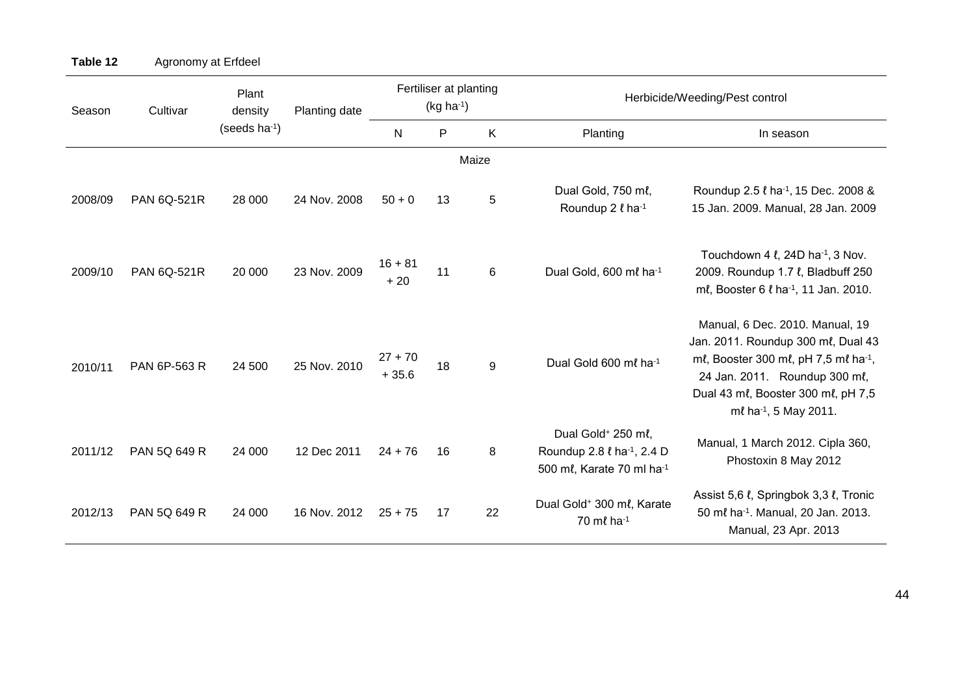| Season  | Cultivar           | Plant<br>density          | Planting date | Fertiliser at planting<br>$(kg ha-1)$ |              |       | Herbicide/Weeding/Pest control                                                                                           |                                                                                                                                                                                                                          |  |
|---------|--------------------|---------------------------|---------------|---------------------------------------|--------------|-------|--------------------------------------------------------------------------------------------------------------------------|--------------------------------------------------------------------------------------------------------------------------------------------------------------------------------------------------------------------------|--|
|         |                    | (seeds ha <sup>-1</sup> ) |               | ${\sf N}$                             | $\mathsf{P}$ | K     | Planting                                                                                                                 | In season                                                                                                                                                                                                                |  |
|         |                    |                           |               |                                       |              | Maize |                                                                                                                          |                                                                                                                                                                                                                          |  |
| 2008/09 | <b>PAN 6Q-521R</b> | 28 000                    | 24 Nov. 2008  | $50 + 0$                              | 13           | 5     | Dual Gold, 750 ml,<br>Roundup 2 l ha-1                                                                                   | Roundup 2.5 ℓ ha <sup>-1</sup> , 15 Dec. 2008 &<br>15 Jan. 2009. Manual, 28 Jan. 2009                                                                                                                                    |  |
| 2009/10 | <b>PAN 6Q-521R</b> | 20 000                    | 23 Nov. 2009  | $16 + 81$<br>$+20$                    | 11           | 6     | Dual Gold, 600 ml ha-1                                                                                                   | Touchdown 4 $\ell$ , 24D ha <sup>-1</sup> , 3 Nov.<br>2009. Roundup 1.7 $\ell$ , Bladbuff 250<br>ml, Booster 6 l ha <sup>-1</sup> , 11 Jan. 2010.                                                                        |  |
| 2010/11 | PAN 6P-563 R       | 24 500                    | 25 Nov. 2010  | $27 + 70$<br>$+35.6$                  | 18           | 9     | Dual Gold 600 ml ha <sup>-1</sup>                                                                                        | Manual, 6 Dec. 2010. Manual, 19<br>Jan. 2011. Roundup 300 ml, Dual 43<br>ml, Booster 300 ml, pH 7,5 ml ha <sup>-1</sup> ,<br>24 Jan. 2011. Roundup 300 ml,<br>Dual 43 ml, Booster 300 ml, pH 7,5<br>ml ha-1, 5 May 2011. |  |
| 2011/12 | PAN 5Q 649 R       | 24 000                    | 12 Dec 2011   | $24 + 76$                             | 16           | 8     | Dual Gold <sup>+</sup> 250 ml,<br>Roundup 2.8 <i>l</i> ha <sup>-1</sup> , 2.4 D<br>500 ml, Karate 70 ml ha <sup>-1</sup> | Manual, 1 March 2012. Cipla 360,<br>Phostoxin 8 May 2012                                                                                                                                                                 |  |
| 2012/13 | PAN 5Q 649 R       | 24 000                    | 16 Nov. 2012  | $25 + 75$                             | 17           | 22    | Dual Gold <sup>+</sup> 300 ml, Karate<br>70 ml ha-1                                                                      | Assist 5,6 l, Springbok 3,3 l, Tronic<br>50 ml ha <sup>-1</sup> . Manual, 20 Jan. 2013.<br>Manual, 23 Apr. 2013                                                                                                          |  |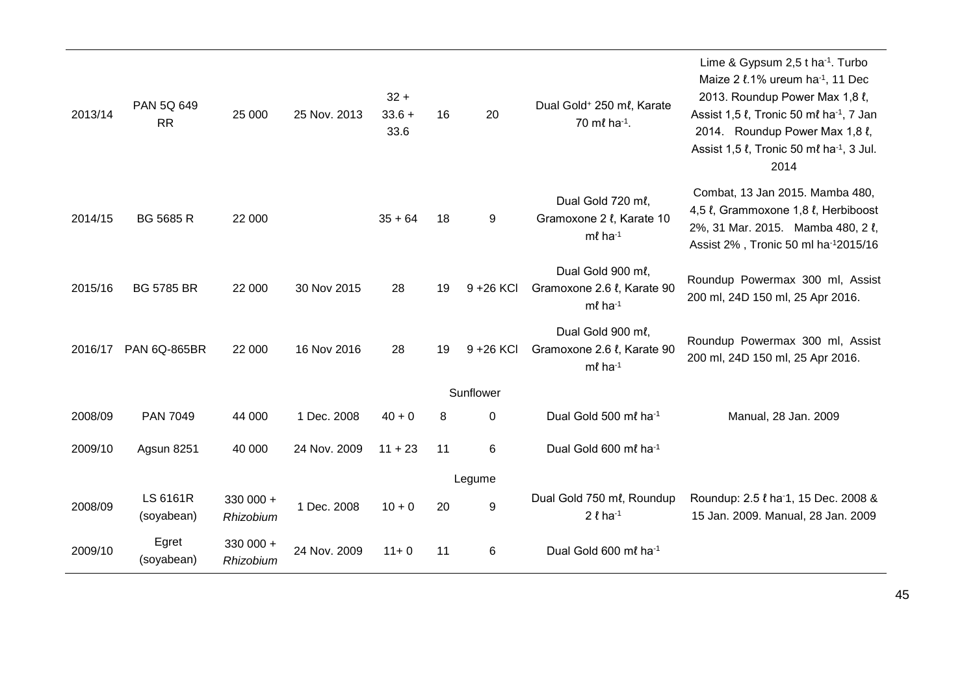| 2013/14 | PAN 5Q 649<br><b>RR</b> | 25 000                 | 25 Nov. 2013 | $32 +$<br>$33.6 +$<br>33.6 | 16 | 20           | Dual Gold <sup>+</sup> 250 ml, Karate<br>70 ml ha-1.            | Lime & Gypsum 2,5 t ha <sup>-1</sup> . Turbo<br>Maize 2 l.1% ureum ha <sup>-1</sup> , 11 Dec<br>2013. Roundup Power Max 1,8 l,<br>Assist 1,5 l, Tronic 50 ml ha <sup>-1</sup> , 7 Jan<br>2014. Roundup Power Max 1,8 l,<br>Assist 1,5 $\ell$ , Tronic 50 m $\ell$ ha <sup>-1</sup> , 3 Jul.<br>2014 |
|---------|-------------------------|------------------------|--------------|----------------------------|----|--------------|-----------------------------------------------------------------|-----------------------------------------------------------------------------------------------------------------------------------------------------------------------------------------------------------------------------------------------------------------------------------------------------|
| 2014/15 | <b>BG 5685 R</b>        | 22 000                 |              | $35 + 64$                  | 18 | 9            | Dual Gold 720 ml,<br>Gramoxone 2 l, Karate 10<br>$m\ell$ ha-1   | Combat, 13 Jan 2015. Mamba 480,<br>4,5 l, Grammoxone 1,8 l, Herbiboost<br>2%, 31 Mar. 2015. Mamba 480, 2 l,<br>Assist 2%, Tronic 50 ml ha-12015/16                                                                                                                                                  |
| 2015/16 | <b>BG 5785 BR</b>       | 22 000                 | 30 Nov 2015  | 28                         | 19 | $9 + 26$ KCl | Dual Gold 900 ml,<br>Gramoxone 2.6 l, Karate 90<br>$m\ell$ ha-1 | Roundup Powermax 300 ml, Assist<br>200 ml, 24D 150 ml, 25 Apr 2016.                                                                                                                                                                                                                                 |
| 2016/17 | <b>PAN 6Q-865BR</b>     | 22 000                 | 16 Nov 2016  | 28                         | 19 | 9 + 26 KCI   | Dual Gold 900 ml,<br>Gramoxone 2.6 l, Karate 90<br>$m\ell$ ha-1 | Roundup Powermax 300 ml, Assist<br>200 ml, 24D 150 ml, 25 Apr 2016.                                                                                                                                                                                                                                 |
|         |                         |                        |              |                            |    | Sunflower    |                                                                 |                                                                                                                                                                                                                                                                                                     |
| 2008/09 | <b>PAN 7049</b>         | 44 000                 | 1 Dec. 2008  | $40 + 0$                   | 8  | 0            | Dual Gold 500 ml ha-1                                           | Manual, 28 Jan. 2009                                                                                                                                                                                                                                                                                |
| 2009/10 | Agsun 8251              | 40 000                 | 24 Nov. 2009 | $11 + 23$                  | 11 | 6            | Dual Gold 600 ml ha-1                                           |                                                                                                                                                                                                                                                                                                     |
|         |                         |                        |              |                            |    | Legume       |                                                                 |                                                                                                                                                                                                                                                                                                     |
| 2008/09 | LS 6161R<br>(soyabean)  | 330 000 +<br>Rhizobium | 1 Dec. 2008  | $10 + 0$                   | 20 | 9            | Dual Gold 750 ml, Roundup<br>$2 \ell$ ha <sup>-1</sup>          | Roundup: 2.5 ℓ ha <sup>-1</sup> , 15 Dec. 2008 &<br>15 Jan. 2009. Manual, 28 Jan. 2009                                                                                                                                                                                                              |
| 2009/10 | Egret<br>(soyabean)     | 330 000 +<br>Rhizobium | 24 Nov. 2009 | $11 + 0$                   | 11 | 6            | Dual Gold 600 ml ha-1                                           |                                                                                                                                                                                                                                                                                                     |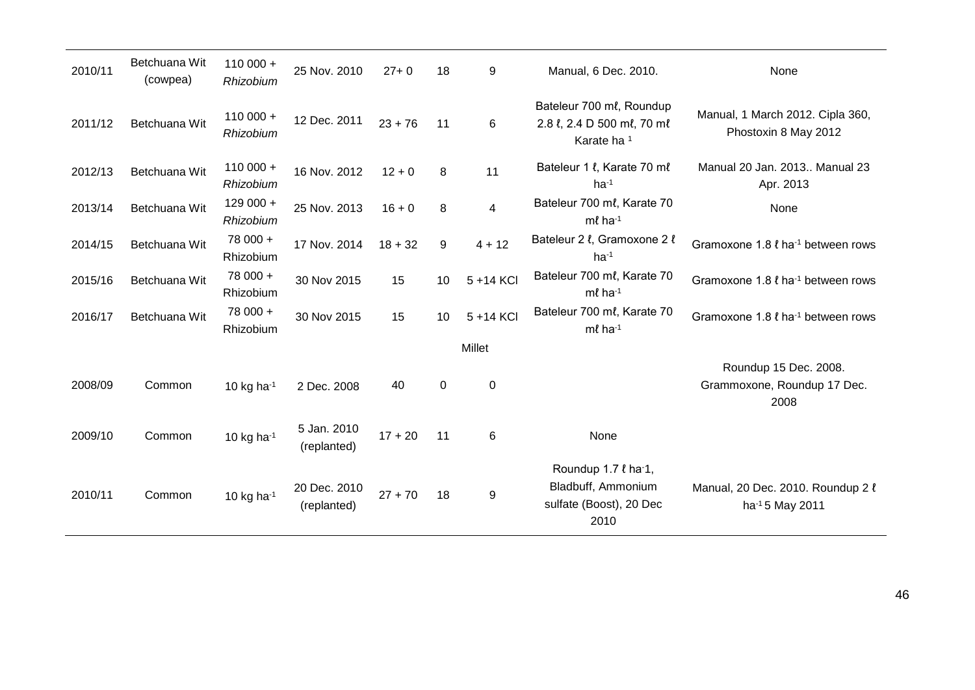| 2010/11 | Betchuana Wit<br>(cowpea) | $110000 +$<br>Rhizobium | 25 Nov. 2010                | $27 + 0$  | 18          | 9                | Manual, 6 Dec. 2010.                                                                           | None                                                         |
|---------|---------------------------|-------------------------|-----------------------------|-----------|-------------|------------------|------------------------------------------------------------------------------------------------|--------------------------------------------------------------|
| 2011/12 | Betchuana Wit             | $110000 +$<br>Rhizobium | 12 Dec. 2011                | $23 + 76$ | 11          | 6                | Bateleur 700 ml, Roundup<br>2.8 l, 2.4 D 500 ml, 70 ml<br>Karate ha <sup>1</sup>               | Manual, 1 March 2012. Cipla 360,<br>Phostoxin 8 May 2012     |
| 2012/13 | Betchuana Wit             | $110000 +$<br>Rhizobium | 16 Nov. 2012                | $12 + 0$  | 8           | 11               | Bateleur 1 l, Karate 70 ml<br>$ha^{-1}$                                                        | Manual 20 Jan. 2013 Manual 23<br>Apr. 2013                   |
| 2013/14 | Betchuana Wit             | $129000 +$<br>Rhizobium | 25 Nov. 2013                | $16 + 0$  | 8           | 4                | Bateleur 700 ml, Karate 70<br>$m\ell$ ha-1                                                     | None                                                         |
| 2014/15 | Betchuana Wit             | 78 000 +<br>Rhizobium   | 17 Nov. 2014                | $18 + 32$ | 9           | $4 + 12$         | Bateleur 2 l, Gramoxone 2 l<br>$ha^{-1}$                                                       | Gramoxone 1.8 l ha <sup>-1</sup> between rows                |
| 2015/16 | Betchuana Wit             | 78 000 +<br>Rhizobium   | 30 Nov 2015                 | 15        | 10          | 5 +14 KCI        | Bateleur 700 ml, Karate 70<br>$m\ell$ ha-1                                                     | Gramoxone 1.8 <i>l</i> ha <sup>-1</sup> between rows         |
| 2016/17 | Betchuana Wit             | 78 000 +<br>Rhizobium   | 30 Nov 2015                 | 15        | 10          | 5 +14 KCI        | Bateleur 700 ml, Karate 70<br>$m\ell$ ha-1                                                     | Gramoxone 1.8 <i>l</i> ha <sup>-1</sup> between rows         |
|         |                           |                         |                             |           |             | <b>Millet</b>    |                                                                                                |                                                              |
| 2008/09 | Common                    | 10 kg ha $^{-1}$        | 2 Dec. 2008                 | 40        | $\mathbf 0$ | $\mathbf 0$      |                                                                                                | Roundup 15 Dec. 2008.<br>Grammoxone, Roundup 17 Dec.<br>2008 |
| 2009/10 | Common                    | 10 kg ha $^{-1}$        | 5 Jan. 2010<br>(replanted)  | $17 + 20$ | 11          | 6                | None                                                                                           |                                                              |
| 2010/11 | Common                    | 10 kg ha $^{-1}$        | 20 Dec. 2010<br>(replanted) | $27 + 70$ | 18          | $\boldsymbol{9}$ | Roundup 1.7 $\ell$ ha <sup>-1</sup> ,<br>Bladbuff, Ammonium<br>sulfate (Boost), 20 Dec<br>2010 | Manual, 20 Dec. 2010. Roundup 2 l<br>ha-15 May 2011          |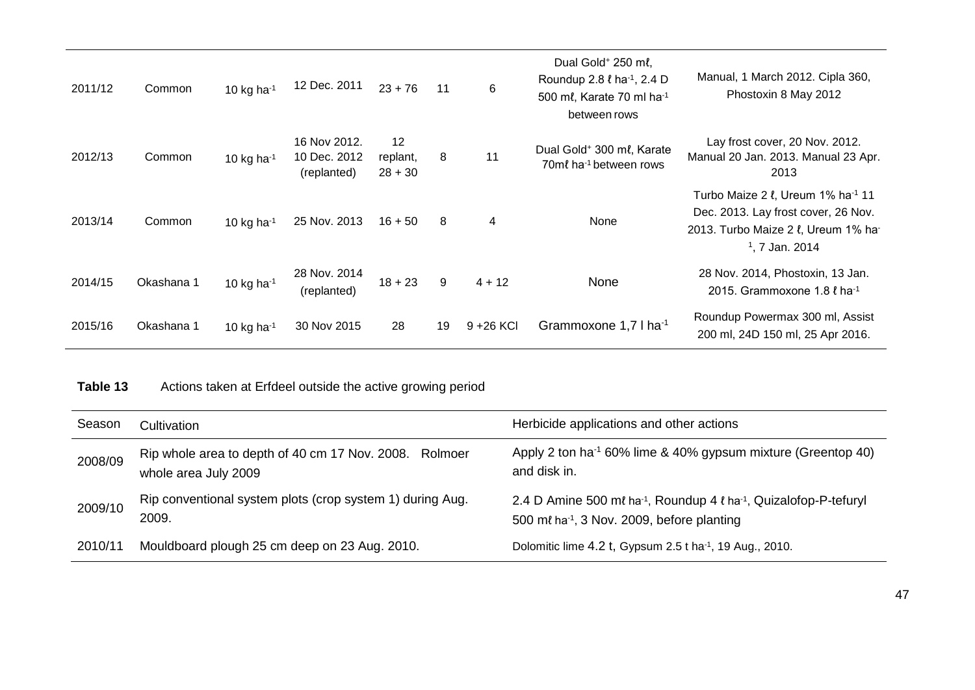| 2011/12 | Common     | 10 kg ha $-1$    | 12 Dec. 2011                                | $23 + 76$                   | 11 | 6            | Dual Gold <sup>+</sup> 250 ml,<br>Roundup 2.8 <i>l</i> ha <sup>-1</sup> , 2.4 D<br>500 ml, Karate 70 ml ha <sup>-1</sup><br>between rows | Manual, 1 March 2012. Cipla 360,<br>Phostoxin 8 May 2012                                                                                                 |
|---------|------------|------------------|---------------------------------------------|-----------------------------|----|--------------|------------------------------------------------------------------------------------------------------------------------------------------|----------------------------------------------------------------------------------------------------------------------------------------------------------|
| 2012/13 | Common     | 10 kg ha $^{-1}$ | 16 Nov 2012.<br>10 Dec. 2012<br>(replanted) | 12<br>replant,<br>$28 + 30$ | 8  | 11           | Dual Gold <sup>+</sup> 300 ml, Karate<br>70ml ha <sup>-1</sup> between rows                                                              | Lay frost cover, 20 Nov. 2012.<br>Manual 20 Jan. 2013. Manual 23 Apr.<br>2013                                                                            |
| 2013/14 | Common     | 10 kg ha $^{-1}$ | 25 Nov. 2013                                | $16 + 50$                   | 8  | 4            | None                                                                                                                                     | Turbo Maize 2 l, Ureum 1% ha <sup>-1</sup> 11<br>Dec. 2013. Lay frost cover, 26 Nov.<br>2013. Turbo Maize 2 l, Ureum 1% ha<br><sup>1</sup> , 7 Jan. 2014 |
| 2014/15 | Okashana 1 | 10 kg ha $^{-1}$ | 28 Nov. 2014<br>(replanted)                 | $18 + 23$                   | 9  | $4 + 12$     | None                                                                                                                                     | 28 Nov. 2014, Phostoxin, 13 Jan.<br>2015. Grammoxone 1.8 $\ell$ ha <sup>-1</sup>                                                                         |
| 2015/16 | Okashana 1 | 10 kg ha $^{-1}$ | 30 Nov 2015                                 | 28                          | 19 | $9 + 26$ KCI | Grammoxone 1,7 I ha <sup>-1</sup>                                                                                                        | Roundup Powermax 300 ml, Assist<br>200 ml, 24D 150 ml, 25 Apr 2016.                                                                                      |

| Table 13 | Actions taken at Erfdeel outside the active growing period |  |
|----------|------------------------------------------------------------|--|
|----------|------------------------------------------------------------|--|

| Season  | Cultivation                                                                    | Herbicide applications and other actions                                                                                                            |  |  |
|---------|--------------------------------------------------------------------------------|-----------------------------------------------------------------------------------------------------------------------------------------------------|--|--|
| 2008/09 | Rip whole area to depth of 40 cm 17 Nov. 2008. Rolmoer<br>whole area July 2009 | Apply 2 ton ha <sup>-1</sup> 60% lime & 40% gypsum mixture (Greentop 40)<br>and disk in.                                                            |  |  |
| 2009/10 | Rip conventional system plots (crop system 1) during Aug.<br>2009.             | 2.4 D Amine 500 ml ha <sup>-1</sup> , Roundup 4 l ha <sup>-1</sup> , Quizalofop-P-tefuryl<br>500 ml ha <sup>-1</sup> , 3 Nov. 2009, before planting |  |  |
| 2010/11 | Mouldboard plough 25 cm deep on 23 Aug. 2010.                                  | Dolomitic lime 4.2 t, Gypsum 2.5 t ha <sup>-1</sup> , 19 Aug., 2010.                                                                                |  |  |